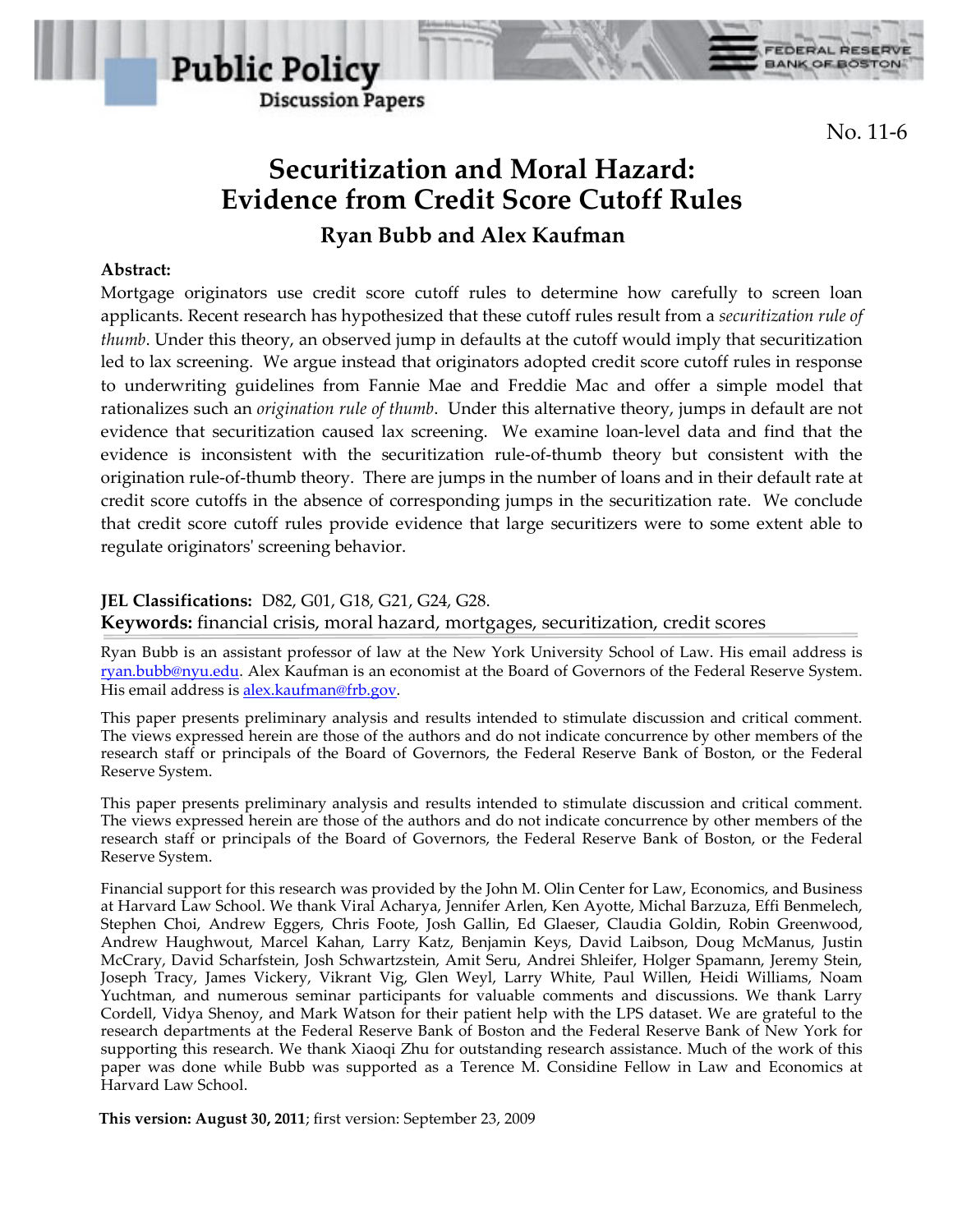

No. 11-6

**FEDERAL RESERV** 

**BANK OF BOSTON** 

# **Securitization and Moral Hazard: Evidence from Credit Score Cutoff Rules Ryan Bubb and Alex Kaufman**

## **Abstract:**

Mortgage originators use credit score cutoff rules to determine how carefully to screen loan applicants. Recent research has hypothesized that these cutoff rules result from a *securitization rule of thumb*. Under this theory, an observed jump in defaults at the cutoff would imply that securitization led to lax screening. We argue instead that originators adopted credit score cutoff rules in response to underwriting guidelines from Fannie Mae and Freddie Mac and offer a simple model that rationalizes such an *origination rule of thumb*. Under this alternative theory, jumps in default are not evidence that securitization caused lax screening. We examine loan-level data and find that the evidence is inconsistent with the securitization rule-of-thumb theory but consistent with the origination rule-of-thumb theory. There are jumps in the number of loans and in their default rate at credit score cutoffs in the absence of corresponding jumps in the securitization rate. We conclude that credit score cutoff rules provide evidence that large securitizers were to some extent able to regulate originators' screening behavior.

**JEL Classifications:** D82, G01, G18, G21, G24, G28. **Keywords:** financial crisis, moral hazard, mortgages, securitization, credit scores

Ryan Bubb is an assistant professor of law at the New York University School of Law. His email address is ryan.bubb@nyu.edu. Alex Kaufman is an economist at the Board of Governors of the Federal Reserve System. His email address is alex.kaufman@frb.gov.

This paper presents preliminary analysis and results intended to stimulate discussion and critical comment. The views expressed herein are those of the authors and do not indicate concurrence by other members of the research staff or principals of the Board of Governors, the Federal Reserve Bank of Boston, or the Federal Reserve System.

This paper presents preliminary analysis and results intended to stimulate discussion and critical comment. The views expressed herein are those of the authors and do not indicate concurrence by other members of the research staff or principals of the Board of Governors, the Federal Reserve Bank of Boston, or the Federal Reserve System.

Financial support for this research was provided by the John M. Olin Center for Law, Economics, and Business at Harvard Law School. We thank Viral Acharya, Jennifer Arlen, Ken Ayotte, Michal Barzuza, Effi Benmelech, Stephen Choi, Andrew Eggers, Chris Foote, Josh Gallin, Ed Glaeser, Claudia Goldin, Robin Greenwood, Andrew Haughwout, Marcel Kahan, Larry Katz, Benjamin Keys, David Laibson, Doug McManus, Justin McCrary, David Scharfstein, Josh Schwartzstein, Amit Seru, Andrei Shleifer, Holger Spamann, Jeremy Stein, Joseph Tracy, James Vickery, Vikrant Vig, Glen Weyl, Larry White, Paul Willen, Heidi Williams, Noam Yuchtman, and numerous seminar participants for valuable comments and discussions. We thank Larry Cordell, Vidya Shenoy, and Mark Watson for their patient help with the LPS dataset. We are grateful to the research departments at the Federal Reserve Bank of Boston and the Federal Reserve Bank of New York for supporting this research. We thank Xiaoqi Zhu for outstanding research assistance. Much of the work of this paper was done while Bubb was supported as a Terence M. Considine Fellow in Law and Economics at Harvard Law School.

**This version: August 30, 2011**; first version: September 23, 2009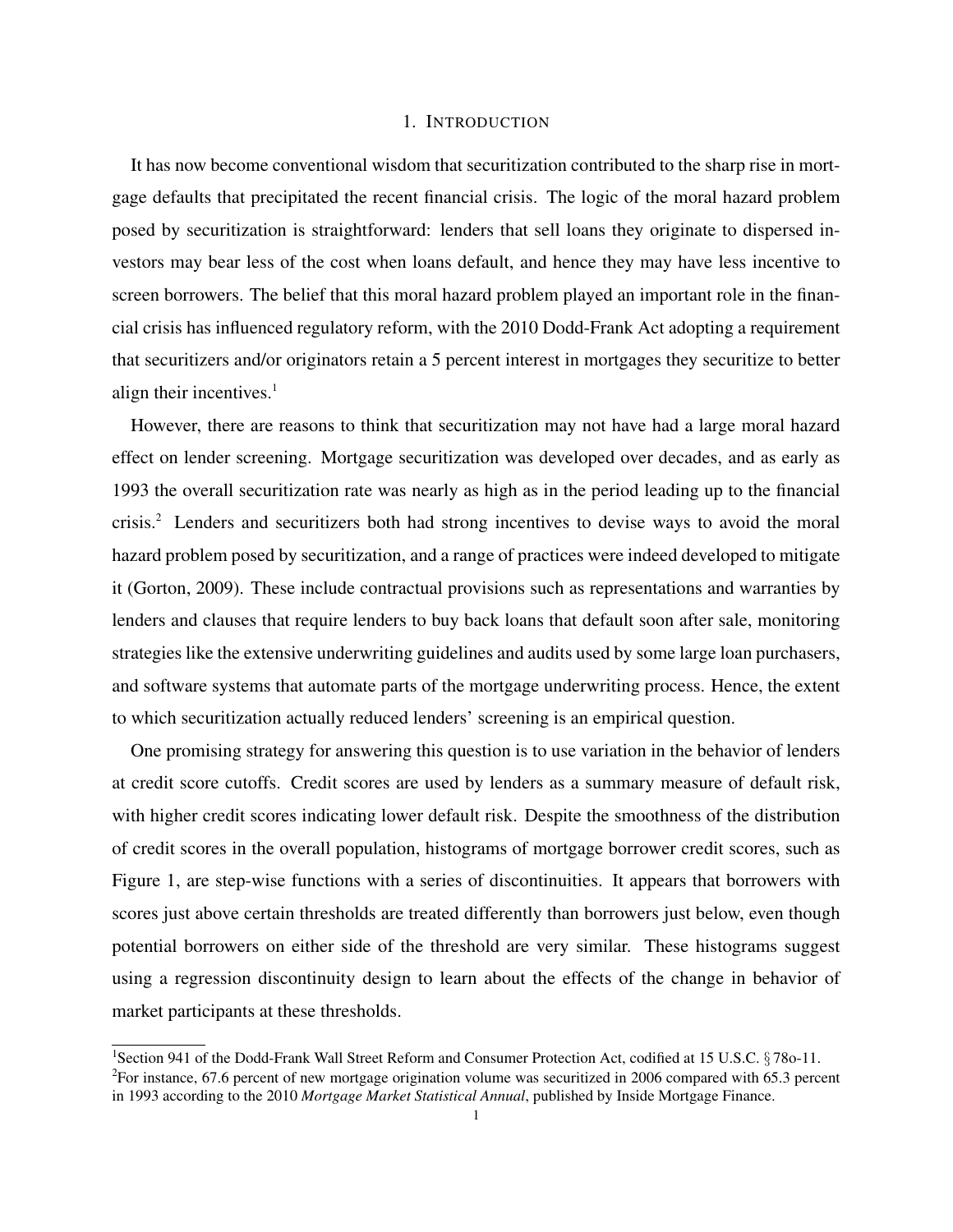## 1. INTRODUCTION

It has now become conventional wisdom that securitization contributed to the sharp rise in mortgage defaults that precipitated the recent financial crisis. The logic of the moral hazard problem posed by securitization is straightforward: lenders that sell loans they originate to dispersed investors may bear less of the cost when loans default, and hence they may have less incentive to screen borrowers. The belief that this moral hazard problem played an important role in the financial crisis has influenced regulatory reform, with the 2010 Dodd-Frank Act adopting a requirement that securitizers and/or originators retain a 5 percent interest in mortgages they securitize to better align their incentives. $<sup>1</sup>$ </sup>

However, there are reasons to think that securitization may not have had a large moral hazard effect on lender screening. Mortgage securitization was developed over decades, and as early as 1993 the overall securitization rate was nearly as high as in the period leading up to the financial crisis.<sup>2</sup> Lenders and securitizers both had strong incentives to devise ways to avoid the moral hazard problem posed by securitization, and a range of practices were indeed developed to mitigate it (Gorton, 2009). These include contractual provisions such as representations and warranties by lenders and clauses that require lenders to buy back loans that default soon after sale, monitoring strategies like the extensive underwriting guidelines and audits used by some large loan purchasers, and software systems that automate parts of the mortgage underwriting process. Hence, the extent to which securitization actually reduced lenders' screening is an empirical question.

One promising strategy for answering this question is to use variation in the behavior of lenders at credit score cutoffs. Credit scores are used by lenders as a summary measure of default risk, with higher credit scores indicating lower default risk. Despite the smoothness of the distribution of credit scores in the overall population, histograms of mortgage borrower credit scores, such as Figure 1, are step-wise functions with a series of discontinuities. It appears that borrowers with scores just above certain thresholds are treated differently than borrowers just below, even though potential borrowers on either side of the threshold are very similar. These histograms suggest using a regression discontinuity design to learn about the effects of the change in behavior of market participants at these thresholds.

<sup>1</sup>Section 941 of the Dodd-Frank Wall Street Reform and Consumer Protection Act, codified at 15 U.S.C. § 78o-11.  ${}^{2}$ For instance, 67.6 percent of new mortgage origination volume was securitized in 2006 compared with 65.3 percent in 1993 according to the 2010 *Mortgage Market Statistical Annual*, published by Inside Mortgage Finance.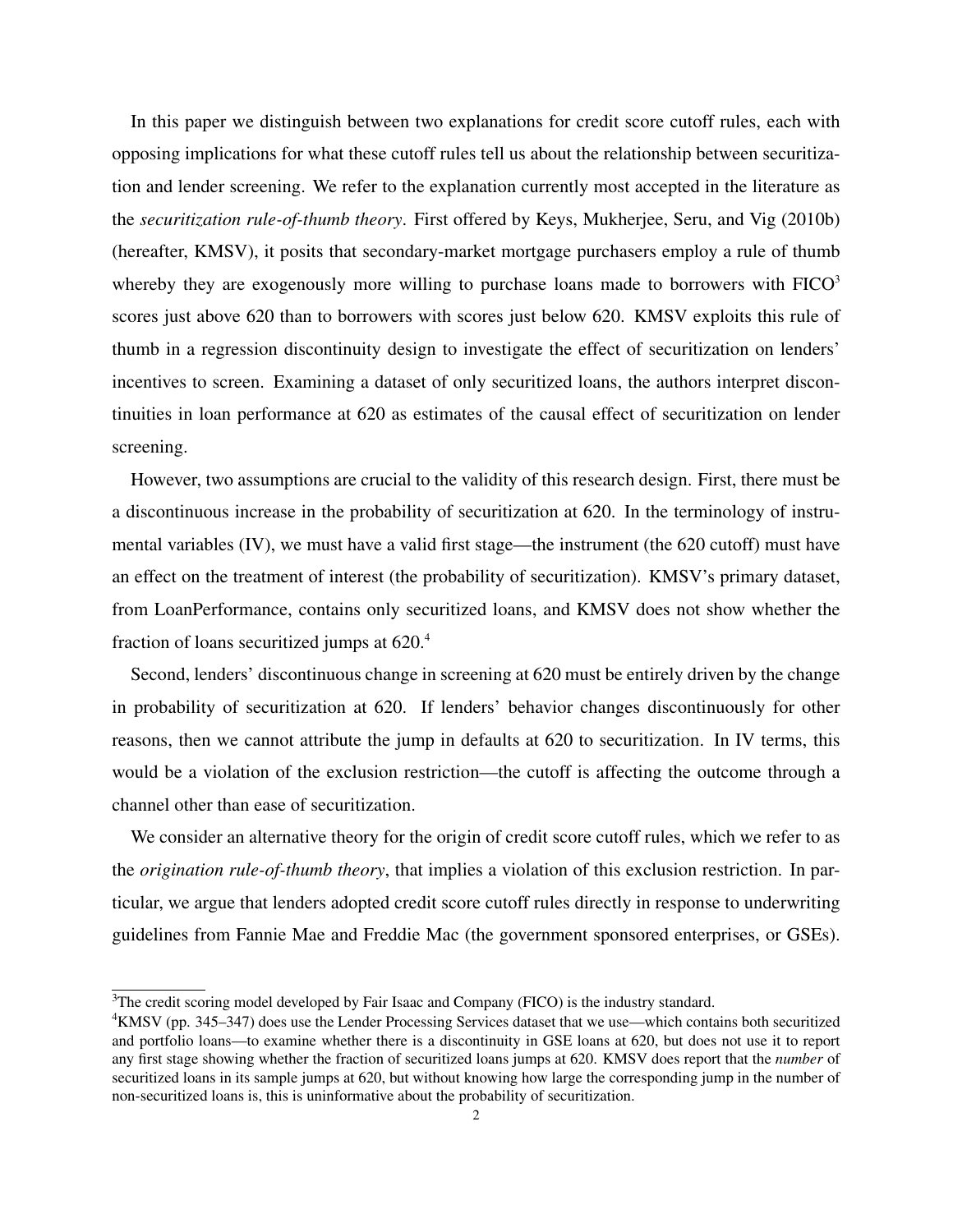In this paper we distinguish between two explanations for credit score cutoff rules, each with opposing implications for what these cutoff rules tell us about the relationship between securitization and lender screening. We refer to the explanation currently most accepted in the literature as the *securitization rule-of-thumb theory*. First offered by Keys, Mukherjee, Seru, and Vig (2010b) (hereafter, KMSV), it posits that secondary-market mortgage purchasers employ a rule of thumb whereby they are exogenously more willing to purchase loans made to borrowers with  $FICO<sup>3</sup>$ scores just above 620 than to borrowers with scores just below 620. KMSV exploits this rule of thumb in a regression discontinuity design to investigate the effect of securitization on lenders' incentives to screen. Examining a dataset of only securitized loans, the authors interpret discontinuities in loan performance at 620 as estimates of the causal effect of securitization on lender screening.

However, two assumptions are crucial to the validity of this research design. First, there must be a discontinuous increase in the probability of securitization at 620. In the terminology of instrumental variables (IV), we must have a valid first stage—the instrument (the 620 cutoff) must have an effect on the treatment of interest (the probability of securitization). KMSV's primary dataset, from LoanPerformance, contains only securitized loans, and KMSV does not show whether the fraction of loans securitized jumps at  $620<sup>4</sup>$ 

Second, lenders' discontinuous change in screening at 620 must be entirely driven by the change in probability of securitization at 620. If lenders' behavior changes discontinuously for other reasons, then we cannot attribute the jump in defaults at 620 to securitization. In IV terms, this would be a violation of the exclusion restriction—the cutoff is affecting the outcome through a channel other than ease of securitization.

We consider an alternative theory for the origin of credit score cutoff rules, which we refer to as the *origination rule-of-thumb theory*, that implies a violation of this exclusion restriction. In particular, we argue that lenders adopted credit score cutoff rules directly in response to underwriting guidelines from Fannie Mae and Freddie Mac (the government sponsored enterprises, or GSEs).

 $3$ The credit scoring model developed by Fair Isaac and Company (FICO) is the industry standard.

<sup>4</sup>KMSV (pp. 345–347) does use the Lender Processing Services dataset that we use—which contains both securitized and portfolio loans—to examine whether there is a discontinuity in GSE loans at 620, but does not use it to report any first stage showing whether the fraction of securitized loans jumps at 620. KMSV does report that the *number* of securitized loans in its sample jumps at 620, but without knowing how large the corresponding jump in the number of non-securitized loans is, this is uninformative about the probability of securitization.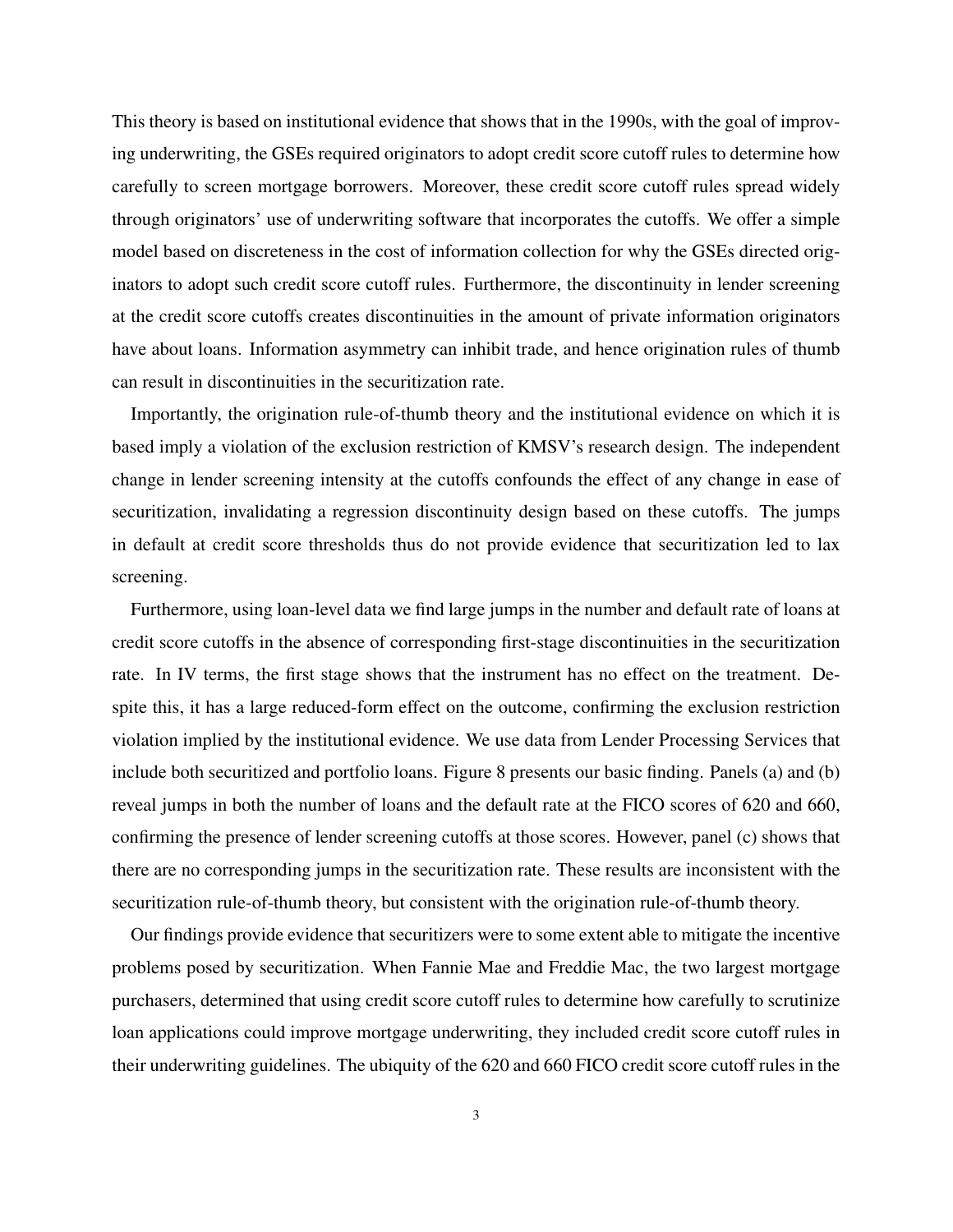This theory is based on institutional evidence that shows that in the 1990s, with the goal of improving underwriting, the GSEs required originators to adopt credit score cutoff rules to determine how carefully to screen mortgage borrowers. Moreover, these credit score cutoff rules spread widely through originators' use of underwriting software that incorporates the cutoffs. We offer a simple model based on discreteness in the cost of information collection for why the GSEs directed originators to adopt such credit score cutoff rules. Furthermore, the discontinuity in lender screening at the credit score cutoffs creates discontinuities in the amount of private information originators have about loans. Information asymmetry can inhibit trade, and hence origination rules of thumb can result in discontinuities in the securitization rate.

Importantly, the origination rule-of-thumb theory and the institutional evidence on which it is based imply a violation of the exclusion restriction of KMSV's research design. The independent change in lender screening intensity at the cutoffs confounds the effect of any change in ease of securitization, invalidating a regression discontinuity design based on these cutoffs. The jumps in default at credit score thresholds thus do not provide evidence that securitization led to lax screening.

Furthermore, using loan-level data we find large jumps in the number and default rate of loans at credit score cutoffs in the absence of corresponding first-stage discontinuities in the securitization rate. In IV terms, the first stage shows that the instrument has no effect on the treatment. Despite this, it has a large reduced-form effect on the outcome, confirming the exclusion restriction violation implied by the institutional evidence. We use data from Lender Processing Services that include both securitized and portfolio loans. Figure 8 presents our basic finding. Panels (a) and (b) reveal jumps in both the number of loans and the default rate at the FICO scores of 620 and 660, confirming the presence of lender screening cutoffs at those scores. However, panel (c) shows that there are no corresponding jumps in the securitization rate. These results are inconsistent with the securitization rule-of-thumb theory, but consistent with the origination rule-of-thumb theory.

Our findings provide evidence that securitizers were to some extent able to mitigate the incentive problems posed by securitization. When Fannie Mae and Freddie Mac, the two largest mortgage purchasers, determined that using credit score cutoff rules to determine how carefully to scrutinize loan applications could improve mortgage underwriting, they included credit score cutoff rules in their underwriting guidelines. The ubiquity of the 620 and 660 FICO credit score cutoff rules in the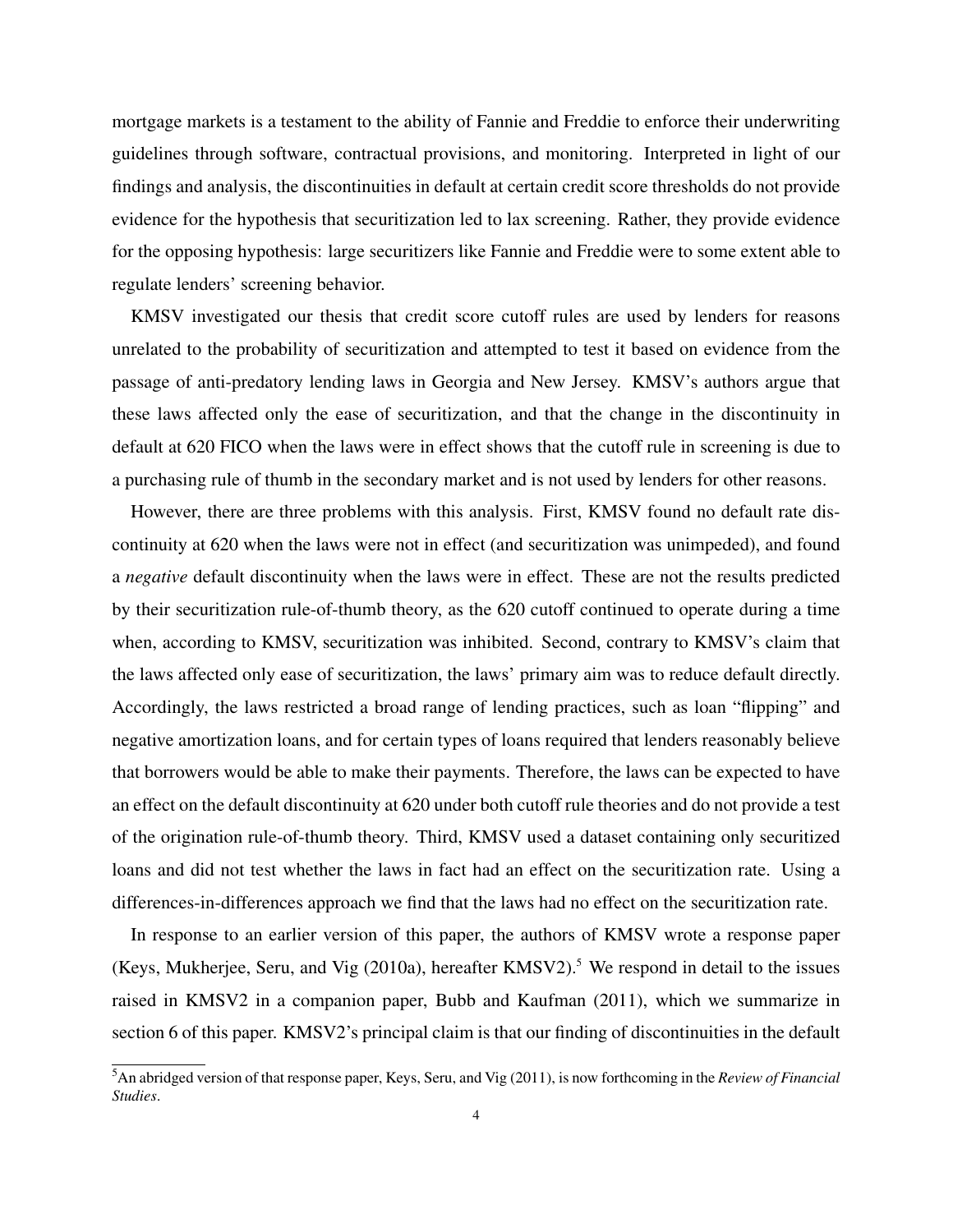mortgage markets is a testament to the ability of Fannie and Freddie to enforce their underwriting guidelines through software, contractual provisions, and monitoring. Interpreted in light of our findings and analysis, the discontinuities in default at certain credit score thresholds do not provide evidence for the hypothesis that securitization led to lax screening. Rather, they provide evidence for the opposing hypothesis: large securitizers like Fannie and Freddie were to some extent able to regulate lenders' screening behavior.

KMSV investigated our thesis that credit score cutoff rules are used by lenders for reasons unrelated to the probability of securitization and attempted to test it based on evidence from the passage of anti-predatory lending laws in Georgia and New Jersey. KMSV's authors argue that these laws affected only the ease of securitization, and that the change in the discontinuity in default at 620 FICO when the laws were in effect shows that the cutoff rule in screening is due to a purchasing rule of thumb in the secondary market and is not used by lenders for other reasons.

However, there are three problems with this analysis. First, KMSV found no default rate discontinuity at 620 when the laws were not in effect (and securitization was unimpeded), and found a *negative* default discontinuity when the laws were in effect. These are not the results predicted by their securitization rule-of-thumb theory, as the 620 cutoff continued to operate during a time when, according to KMSV, securitization was inhibited. Second, contrary to KMSV's claim that the laws affected only ease of securitization, the laws' primary aim was to reduce default directly. Accordingly, the laws restricted a broad range of lending practices, such as loan "flipping" and negative amortization loans, and for certain types of loans required that lenders reasonably believe that borrowers would be able to make their payments. Therefore, the laws can be expected to have an effect on the default discontinuity at 620 under both cutoff rule theories and do not provide a test of the origination rule-of-thumb theory. Third, KMSV used a dataset containing only securitized loans and did not test whether the laws in fact had an effect on the securitization rate. Using a differences-in-differences approach we find that the laws had no effect on the securitization rate.

In response to an earlier version of this paper, the authors of KMSV wrote a response paper (Keys, Mukherjee, Seru, and Vig  $(2010a)$ , hereafter KMSV2).<sup>5</sup> We respond in detail to the issues raised in KMSV2 in a companion paper, Bubb and Kaufman (2011), which we summarize in section 6 of this paper. KMSV2's principal claim is that our finding of discontinuities in the default

<sup>5</sup>An abridged version of that response paper, Keys, Seru, and Vig (2011), is now forthcoming in the *Review of Financial Studies*.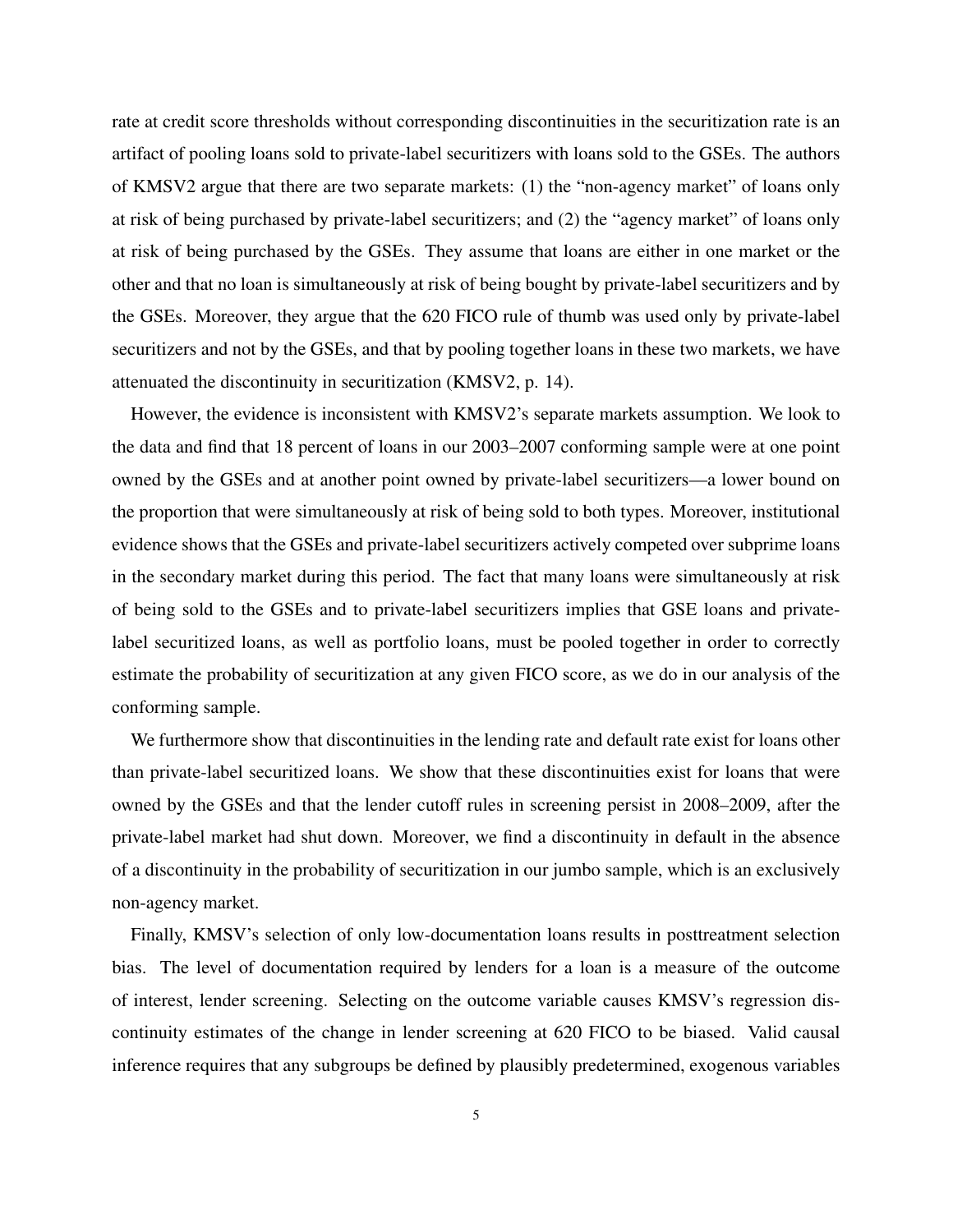rate at credit score thresholds without corresponding discontinuities in the securitization rate is an artifact of pooling loans sold to private-label securitizers with loans sold to the GSEs. The authors of KMSV2 argue that there are two separate markets: (1) the "non-agency market" of loans only at risk of being purchased by private-label securitizers; and (2) the "agency market" of loans only at risk of being purchased by the GSEs. They assume that loans are either in one market or the other and that no loan is simultaneously at risk of being bought by private-label securitizers and by the GSEs. Moreover, they argue that the 620 FICO rule of thumb was used only by private-label securitizers and not by the GSEs, and that by pooling together loans in these two markets, we have attenuated the discontinuity in securitization (KMSV2, p. 14).

However, the evidence is inconsistent with KMSV2's separate markets assumption. We look to the data and find that 18 percent of loans in our 2003–2007 conforming sample were at one point owned by the GSEs and at another point owned by private-label securitizers—a lower bound on the proportion that were simultaneously at risk of being sold to both types. Moreover, institutional evidence shows that the GSEs and private-label securitizers actively competed over subprime loans in the secondary market during this period. The fact that many loans were simultaneously at risk of being sold to the GSEs and to private-label securitizers implies that GSE loans and privatelabel securitized loans, as well as portfolio loans, must be pooled together in order to correctly estimate the probability of securitization at any given FICO score, as we do in our analysis of the conforming sample.

We furthermore show that discontinuities in the lending rate and default rate exist for loans other than private-label securitized loans. We show that these discontinuities exist for loans that were owned by the GSEs and that the lender cutoff rules in screening persist in 2008–2009, after the private-label market had shut down. Moreover, we find a discontinuity in default in the absence of a discontinuity in the probability of securitization in our jumbo sample, which is an exclusively non-agency market.

Finally, KMSV's selection of only low-documentation loans results in posttreatment selection bias. The level of documentation required by lenders for a loan is a measure of the outcome of interest, lender screening. Selecting on the outcome variable causes KMSV's regression discontinuity estimates of the change in lender screening at 620 FICO to be biased. Valid causal inference requires that any subgroups be defined by plausibly predetermined, exogenous variables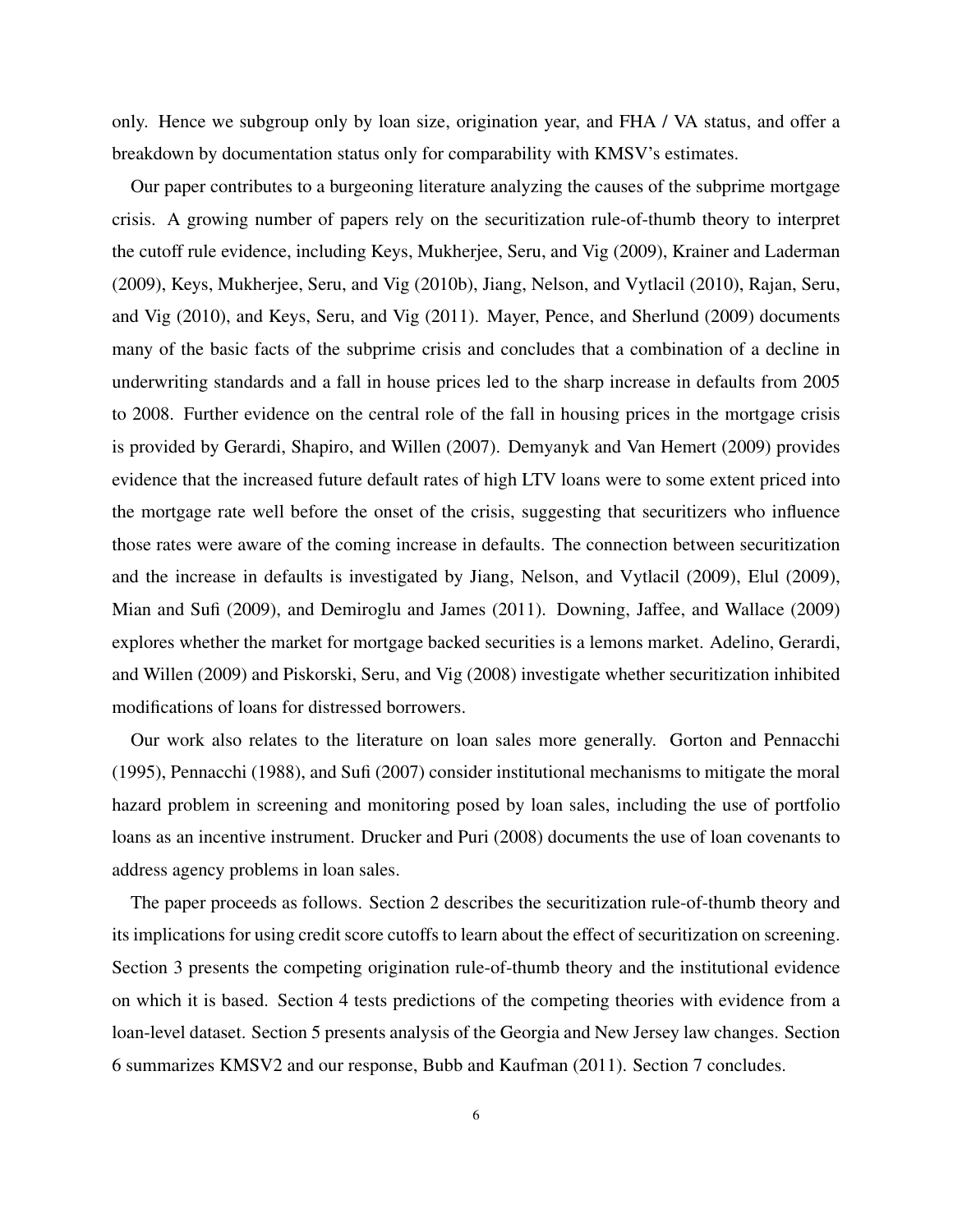only. Hence we subgroup only by loan size, origination year, and FHA / VA status, and offer a breakdown by documentation status only for comparability with KMSV's estimates.

Our paper contributes to a burgeoning literature analyzing the causes of the subprime mortgage crisis. A growing number of papers rely on the securitization rule-of-thumb theory to interpret the cutoff rule evidence, including Keys, Mukherjee, Seru, and Vig (2009), Krainer and Laderman (2009), Keys, Mukherjee, Seru, and Vig (2010b), Jiang, Nelson, and Vytlacil (2010), Rajan, Seru, and Vig (2010), and Keys, Seru, and Vig (2011). Mayer, Pence, and Sherlund (2009) documents many of the basic facts of the subprime crisis and concludes that a combination of a decline in underwriting standards and a fall in house prices led to the sharp increase in defaults from 2005 to 2008. Further evidence on the central role of the fall in housing prices in the mortgage crisis is provided by Gerardi, Shapiro, and Willen (2007). Demyanyk and Van Hemert (2009) provides evidence that the increased future default rates of high LTV loans were to some extent priced into the mortgage rate well before the onset of the crisis, suggesting that securitizers who influence those rates were aware of the coming increase in defaults. The connection between securitization and the increase in defaults is investigated by Jiang, Nelson, and Vytlacil (2009), Elul (2009), Mian and Sufi (2009), and Demiroglu and James (2011). Downing, Jaffee, and Wallace (2009) explores whether the market for mortgage backed securities is a lemons market. Adelino, Gerardi, and Willen (2009) and Piskorski, Seru, and Vig (2008) investigate whether securitization inhibited modifications of loans for distressed borrowers.

Our work also relates to the literature on loan sales more generally. Gorton and Pennacchi (1995), Pennacchi (1988), and Sufi (2007) consider institutional mechanisms to mitigate the moral hazard problem in screening and monitoring posed by loan sales, including the use of portfolio loans as an incentive instrument. Drucker and Puri (2008) documents the use of loan covenants to address agency problems in loan sales.

The paper proceeds as follows. Section 2 describes the securitization rule-of-thumb theory and its implications for using credit score cutoffs to learn about the effect of securitization on screening. Section 3 presents the competing origination rule-of-thumb theory and the institutional evidence on which it is based. Section 4 tests predictions of the competing theories with evidence from a loan-level dataset. Section 5 presents analysis of the Georgia and New Jersey law changes. Section 6 summarizes KMSV2 and our response, Bubb and Kaufman (2011). Section 7 concludes.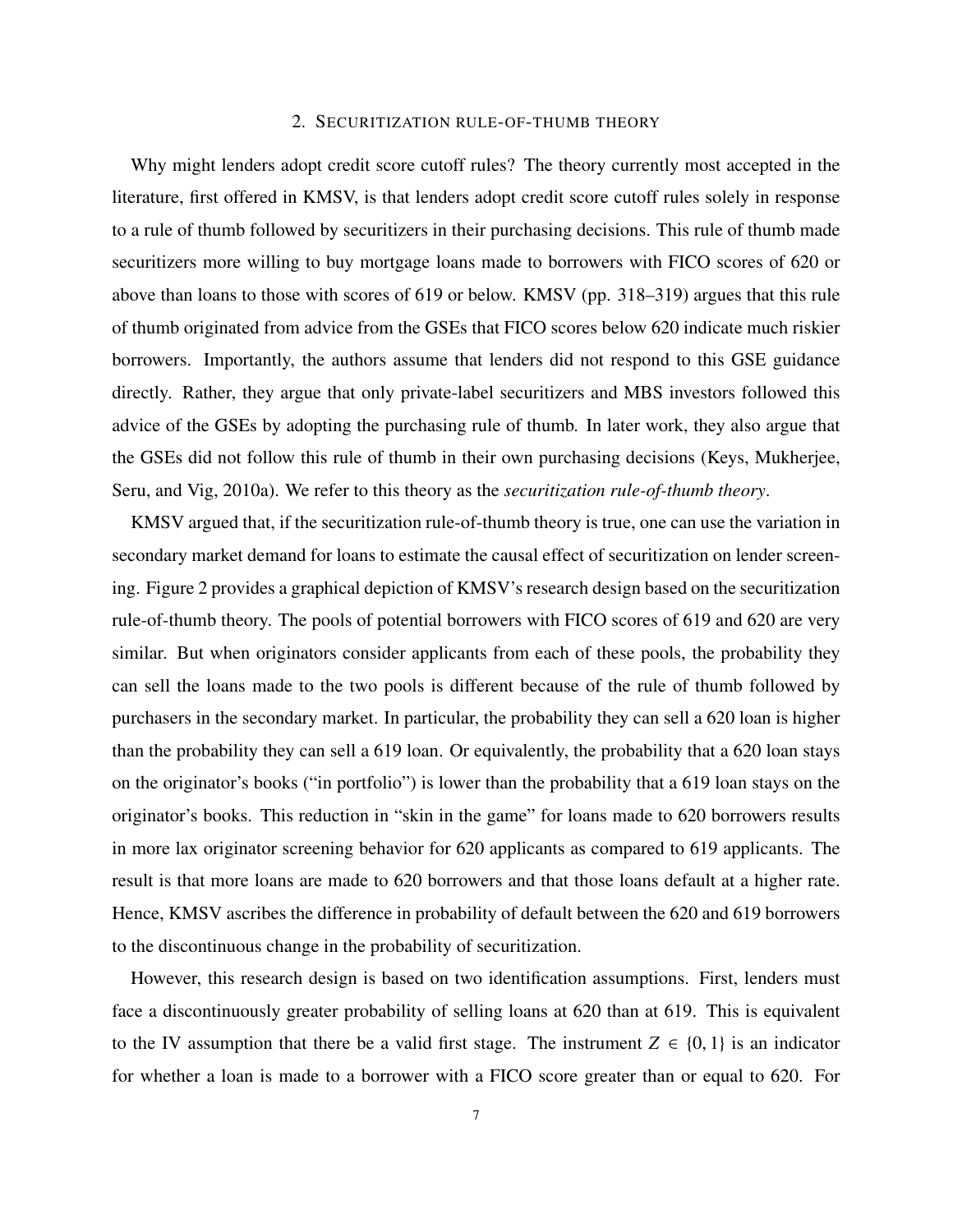## 2. SECURITIZATION RULE-OF-THUMB THEORY

Why might lenders adopt credit score cutoff rules? The theory currently most accepted in the literature, first offered in KMSV, is that lenders adopt credit score cutoff rules solely in response to a rule of thumb followed by securitizers in their purchasing decisions. This rule of thumb made securitizers more willing to buy mortgage loans made to borrowers with FICO scores of 620 or above than loans to those with scores of 619 or below. KMSV (pp. 318–319) argues that this rule of thumb originated from advice from the GSEs that FICO scores below 620 indicate much riskier borrowers. Importantly, the authors assume that lenders did not respond to this GSE guidance directly. Rather, they argue that only private-label securitizers and MBS investors followed this advice of the GSEs by adopting the purchasing rule of thumb. In later work, they also argue that the GSEs did not follow this rule of thumb in their own purchasing decisions (Keys, Mukherjee, Seru, and Vig, 2010a). We refer to this theory as the *securitization rule-of-thumb theory*.

KMSV argued that, if the securitization rule-of-thumb theory is true, one can use the variation in secondary market demand for loans to estimate the causal effect of securitization on lender screening. Figure 2 provides a graphical depiction of KMSV's research design based on the securitization rule-of-thumb theory. The pools of potential borrowers with FICO scores of 619 and 620 are very similar. But when originators consider applicants from each of these pools, the probability they can sell the loans made to the two pools is different because of the rule of thumb followed by purchasers in the secondary market. In particular, the probability they can sell a 620 loan is higher than the probability they can sell a 619 loan. Or equivalently, the probability that a 620 loan stays on the originator's books ("in portfolio") is lower than the probability that a 619 loan stays on the originator's books. This reduction in "skin in the game" for loans made to 620 borrowers results in more lax originator screening behavior for 620 applicants as compared to 619 applicants. The result is that more loans are made to 620 borrowers and that those loans default at a higher rate. Hence, KMSV ascribes the difference in probability of default between the 620 and 619 borrowers to the discontinuous change in the probability of securitization.

However, this research design is based on two identification assumptions. First, lenders must face a discontinuously greater probability of selling loans at 620 than at 619. This is equivalent to the IV assumption that there be a valid first stage. The instrument  $Z \in \{0, 1\}$  is an indicator for whether a loan is made to a borrower with a FICO score greater than or equal to 620. For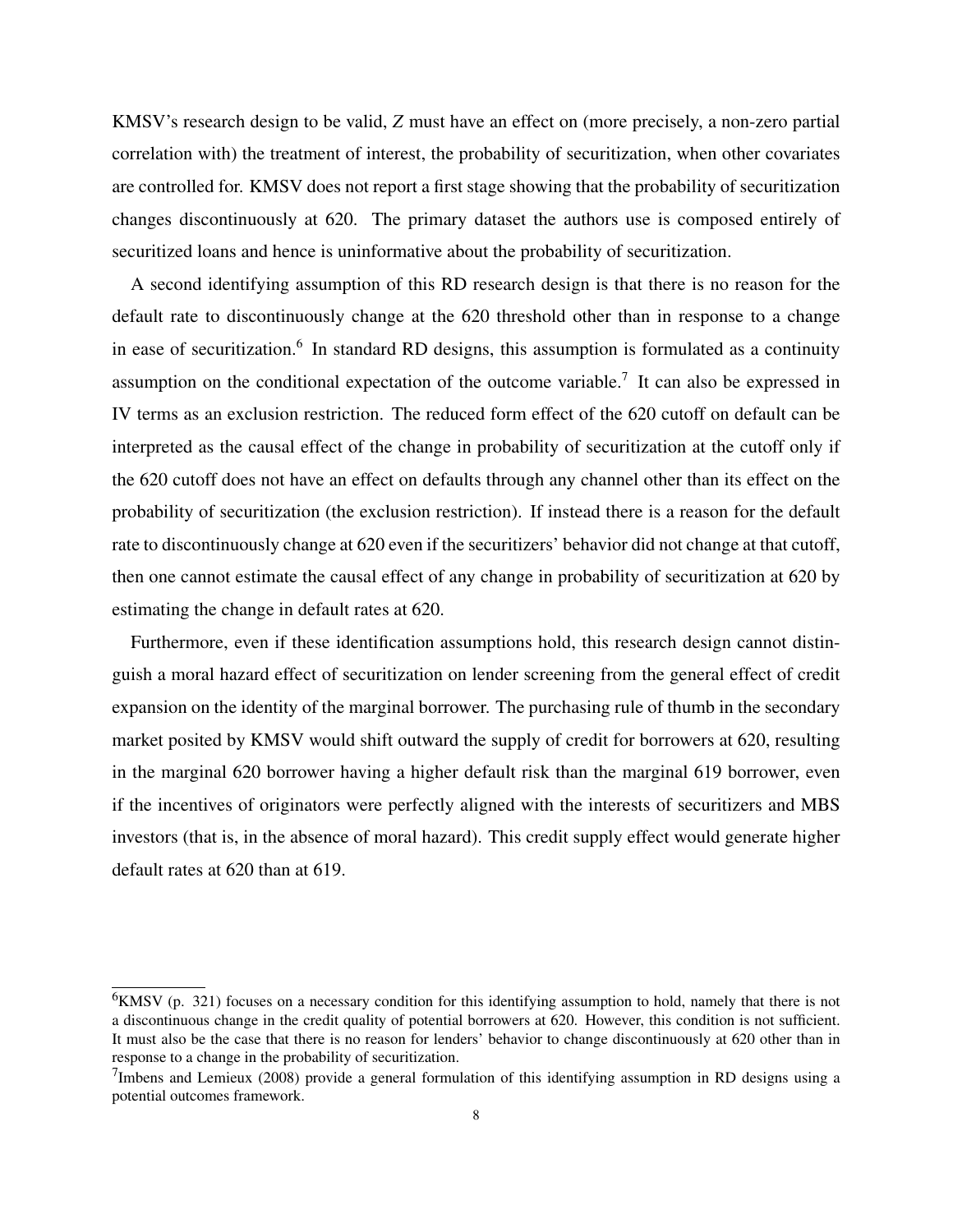KMSV's research design to be valid, *Z* must have an effect on (more precisely, a non-zero partial correlation with) the treatment of interest, the probability of securitization, when other covariates are controlled for. KMSV does not report a first stage showing that the probability of securitization changes discontinuously at 620. The primary dataset the authors use is composed entirely of securitized loans and hence is uninformative about the probability of securitization.

A second identifying assumption of this RD research design is that there is no reason for the default rate to discontinuously change at the 620 threshold other than in response to a change in ease of securitization.<sup>6</sup> In standard RD designs, this assumption is formulated as a continuity assumption on the conditional expectation of the outcome variable.<sup>7</sup> It can also be expressed in IV terms as an exclusion restriction. The reduced form effect of the 620 cutoff on default can be interpreted as the causal effect of the change in probability of securitization at the cutoff only if the 620 cutoff does not have an effect on defaults through any channel other than its effect on the probability of securitization (the exclusion restriction). If instead there is a reason for the default rate to discontinuously change at 620 even if the securitizers' behavior did not change at that cutoff, then one cannot estimate the causal effect of any change in probability of securitization at 620 by estimating the change in default rates at 620.

Furthermore, even if these identification assumptions hold, this research design cannot distinguish a moral hazard effect of securitization on lender screening from the general effect of credit expansion on the identity of the marginal borrower. The purchasing rule of thumb in the secondary market posited by KMSV would shift outward the supply of credit for borrowers at 620, resulting in the marginal 620 borrower having a higher default risk than the marginal 619 borrower, even if the incentives of originators were perfectly aligned with the interests of securitizers and MBS investors (that is, in the absence of moral hazard). This credit supply effect would generate higher default rates at 620 than at 619.

 $6$ KMSV (p. 321) focuses on a necessary condition for this identifying assumption to hold, namely that there is not a discontinuous change in the credit quality of potential borrowers at 620. However, this condition is not sufficient. It must also be the case that there is no reason for lenders' behavior to change discontinuously at 620 other than in response to a change in the probability of securitization.

 $^{7}$ Imbens and Lemieux (2008) provide a general formulation of this identifying assumption in RD designs using a potential outcomes framework.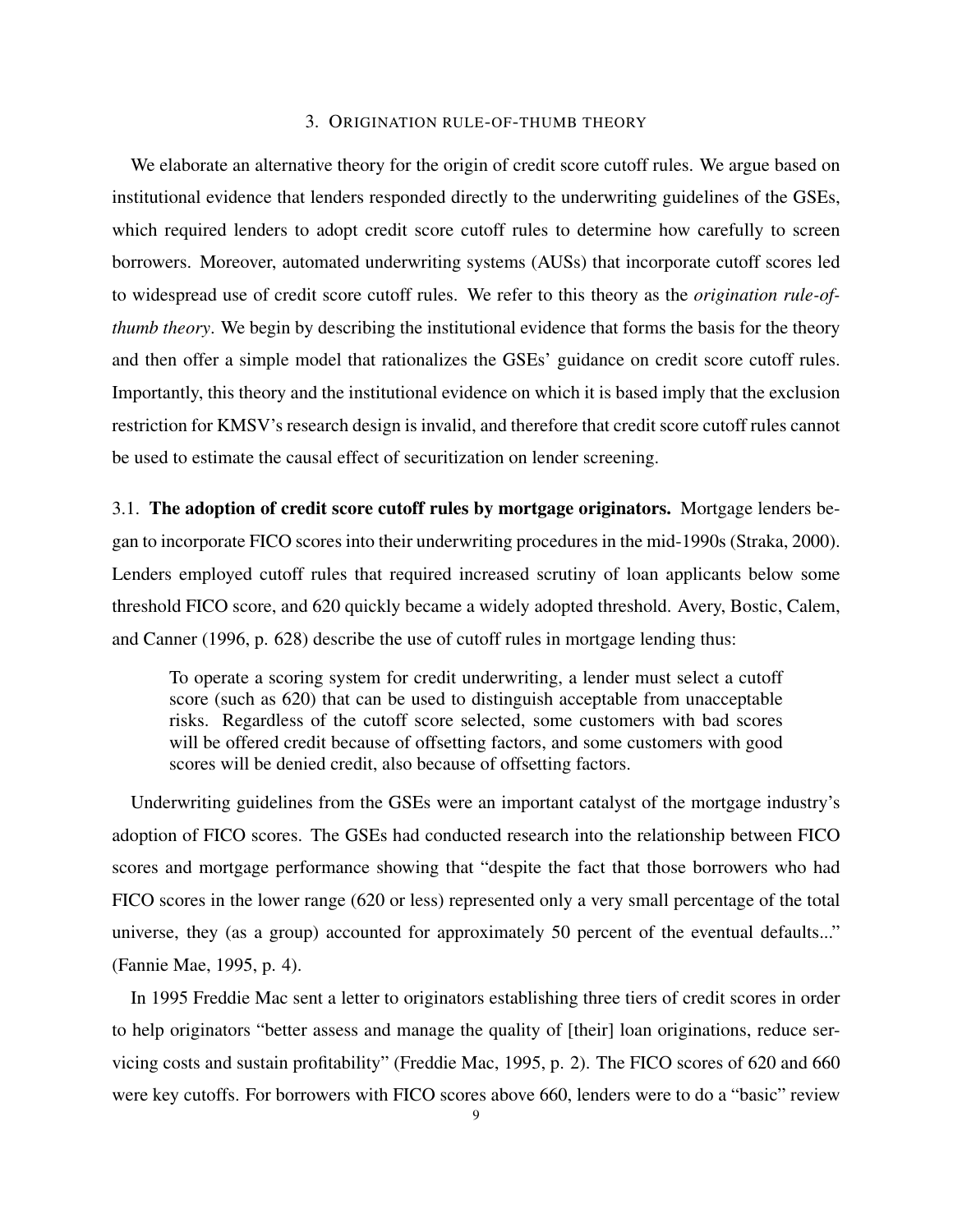## 3. ORIGINATION RULE-OF-THUMB THEORY

We elaborate an alternative theory for the origin of credit score cutoff rules. We argue based on institutional evidence that lenders responded directly to the underwriting guidelines of the GSEs, which required lenders to adopt credit score cutoff rules to determine how carefully to screen borrowers. Moreover, automated underwriting systems (AUSs) that incorporate cutoff scores led to widespread use of credit score cutoff rules. We refer to this theory as the *origination rule-ofthumb theory*. We begin by describing the institutional evidence that forms the basis for the theory and then offer a simple model that rationalizes the GSEs' guidance on credit score cutoff rules. Importantly, this theory and the institutional evidence on which it is based imply that the exclusion restriction for KMSV's research design is invalid, and therefore that credit score cutoff rules cannot be used to estimate the causal effect of securitization on lender screening.

3.1. The adoption of credit score cutoff rules by mortgage originators. Mortgage lenders began to incorporate FICO scores into their underwriting procedures in the mid-1990s (Straka, 2000). Lenders employed cutoff rules that required increased scrutiny of loan applicants below some threshold FICO score, and 620 quickly became a widely adopted threshold. Avery, Bostic, Calem, and Canner (1996, p. 628) describe the use of cutoff rules in mortgage lending thus:

To operate a scoring system for credit underwriting, a lender must select a cutoff score (such as 620) that can be used to distinguish acceptable from unacceptable risks. Regardless of the cutoff score selected, some customers with bad scores will be offered credit because of offsetting factors, and some customers with good scores will be denied credit, also because of offsetting factors.

Underwriting guidelines from the GSEs were an important catalyst of the mortgage industry's adoption of FICO scores. The GSEs had conducted research into the relationship between FICO scores and mortgage performance showing that "despite the fact that those borrowers who had FICO scores in the lower range (620 or less) represented only a very small percentage of the total universe, they (as a group) accounted for approximately 50 percent of the eventual defaults..." (Fannie Mae, 1995, p. 4).

In 1995 Freddie Mac sent a letter to originators establishing three tiers of credit scores in order to help originators "better assess and manage the quality of [their] loan originations, reduce servicing costs and sustain profitability" (Freddie Mac, 1995, p. 2). The FICO scores of 620 and 660 were key cutoffs. For borrowers with FICO scores above 660, lenders were to do a "basic" review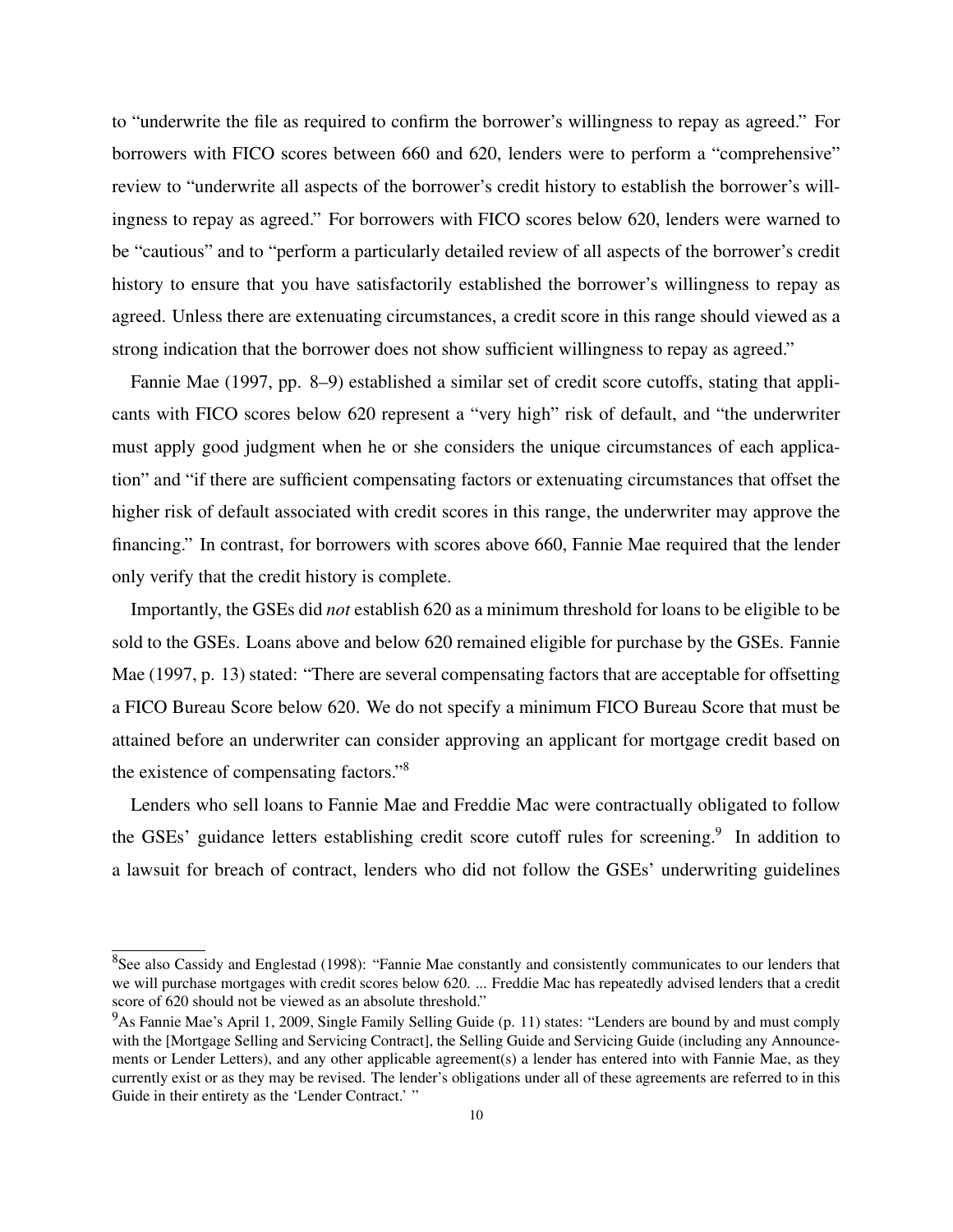to "underwrite the file as required to confirm the borrower's willingness to repay as agreed." For borrowers with FICO scores between 660 and 620, lenders were to perform a "comprehensive" review to "underwrite all aspects of the borrower's credit history to establish the borrower's willingness to repay as agreed." For borrowers with FICO scores below 620, lenders were warned to be "cautious" and to "perform a particularly detailed review of all aspects of the borrower's credit history to ensure that you have satisfactorily established the borrower's willingness to repay as agreed. Unless there are extenuating circumstances, a credit score in this range should viewed as a strong indication that the borrower does not show sufficient willingness to repay as agreed."

Fannie Mae (1997, pp. 8–9) established a similar set of credit score cutoffs, stating that applicants with FICO scores below 620 represent a "very high" risk of default, and "the underwriter must apply good judgment when he or she considers the unique circumstances of each application" and "if there are sufficient compensating factors or extenuating circumstances that offset the higher risk of default associated with credit scores in this range, the underwriter may approve the financing." In contrast, for borrowers with scores above 660, Fannie Mae required that the lender only verify that the credit history is complete.

Importantly, the GSEs did *not* establish 620 as a minimum threshold for loans to be eligible to be sold to the GSEs. Loans above and below 620 remained eligible for purchase by the GSEs. Fannie Mae (1997, p. 13) stated: "There are several compensating factors that are acceptable for offsetting a FICO Bureau Score below 620. We do not specify a minimum FICO Bureau Score that must be attained before an underwriter can consider approving an applicant for mortgage credit based on the existence of compensating factors."<sup>8</sup>

Lenders who sell loans to Fannie Mae and Freddie Mac were contractually obligated to follow the GSEs' guidance letters establishing credit score cutoff rules for screening.<sup>9</sup> In addition to a lawsuit for breach of contract, lenders who did not follow the GSEs' underwriting guidelines

<sup>&</sup>lt;sup>8</sup>See also Cassidy and Englestad (1998): "Fannie Mae constantly and consistently communicates to our lenders that we will purchase mortgages with credit scores below 620. ... Freddie Mac has repeatedly advised lenders that a credit score of 620 should not be viewed as an absolute threshold."

<sup>9</sup>As Fannie Mae's April 1, 2009, Single Family Selling Guide (p. 11) states: "Lenders are bound by and must comply with the [Mortgage Selling and Servicing Contract], the Selling Guide and Servicing Guide (including any Announcements or Lender Letters), and any other applicable agreement(s) a lender has entered into with Fannie Mae, as they currently exist or as they may be revised. The lender's obligations under all of these agreements are referred to in this Guide in their entirety as the 'Lender Contract.' "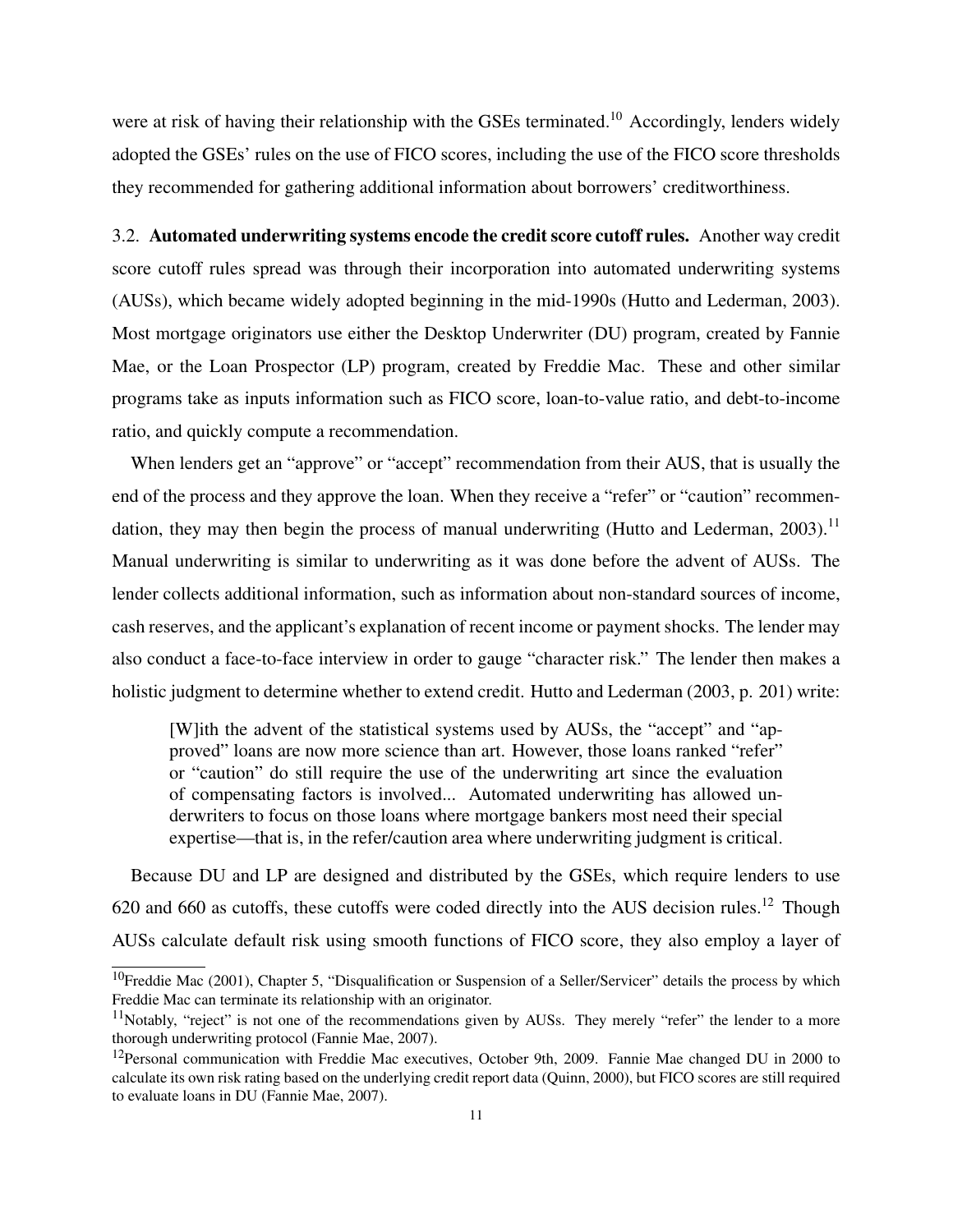were at risk of having their relationship with the GSEs terminated.<sup>10</sup> Accordingly, lenders widely adopted the GSEs' rules on the use of FICO scores, including the use of the FICO score thresholds they recommended for gathering additional information about borrowers' creditworthiness.

3.2. Automated underwriting systems encode the credit score cutoff rules. Another way credit score cutoff rules spread was through their incorporation into automated underwriting systems (AUSs), which became widely adopted beginning in the mid-1990s (Hutto and Lederman, 2003). Most mortgage originators use either the Desktop Underwriter (DU) program, created by Fannie Mae, or the Loan Prospector (LP) program, created by Freddie Mac. These and other similar programs take as inputs information such as FICO score, loan-to-value ratio, and debt-to-income ratio, and quickly compute a recommendation.

When lenders get an "approve" or "accept" recommendation from their AUS, that is usually the end of the process and they approve the loan. When they receive a "refer" or "caution" recommendation, they may then begin the process of manual underwriting (Hutto and Lederman, 2003).<sup>11</sup> Manual underwriting is similar to underwriting as it was done before the advent of AUSs. The lender collects additional information, such as information about non-standard sources of income, cash reserves, and the applicant's explanation of recent income or payment shocks. The lender may also conduct a face-to-face interview in order to gauge "character risk." The lender then makes a holistic judgment to determine whether to extend credit. Hutto and Lederman (2003, p. 201) write:

[W]ith the advent of the statistical systems used by AUSs, the "accept" and "approved" loans are now more science than art. However, those loans ranked "refer" or "caution" do still require the use of the underwriting art since the evaluation of compensating factors is involved... Automated underwriting has allowed underwriters to focus on those loans where mortgage bankers most need their special expertise—that is, in the refer/caution area where underwriting judgment is critical.

Because DU and LP are designed and distributed by the GSEs, which require lenders to use 620 and 660 as cutoffs, these cutoffs were coded directly into the AUS decision rules.<sup>12</sup> Though AUSs calculate default risk using smooth functions of FICO score, they also employ a layer of

<sup>&</sup>lt;sup>10</sup>Freddie Mac (2001), Chapter 5, "Disqualification or Suspension of a Seller/Servicer" details the process by which Freddie Mac can terminate its relationship with an originator.

 $11$ Notably, "reject" is not one of the recommendations given by AUSs. They merely "refer" the lender to a more thorough underwriting protocol (Fannie Mae, 2007).

 $12$ Personal communication with Freddie Mac executives, October 9th, 2009. Fannie Mae changed DU in 2000 to calculate its own risk rating based on the underlying credit report data (Quinn, 2000), but FICO scores are still required to evaluate loans in DU (Fannie Mae, 2007).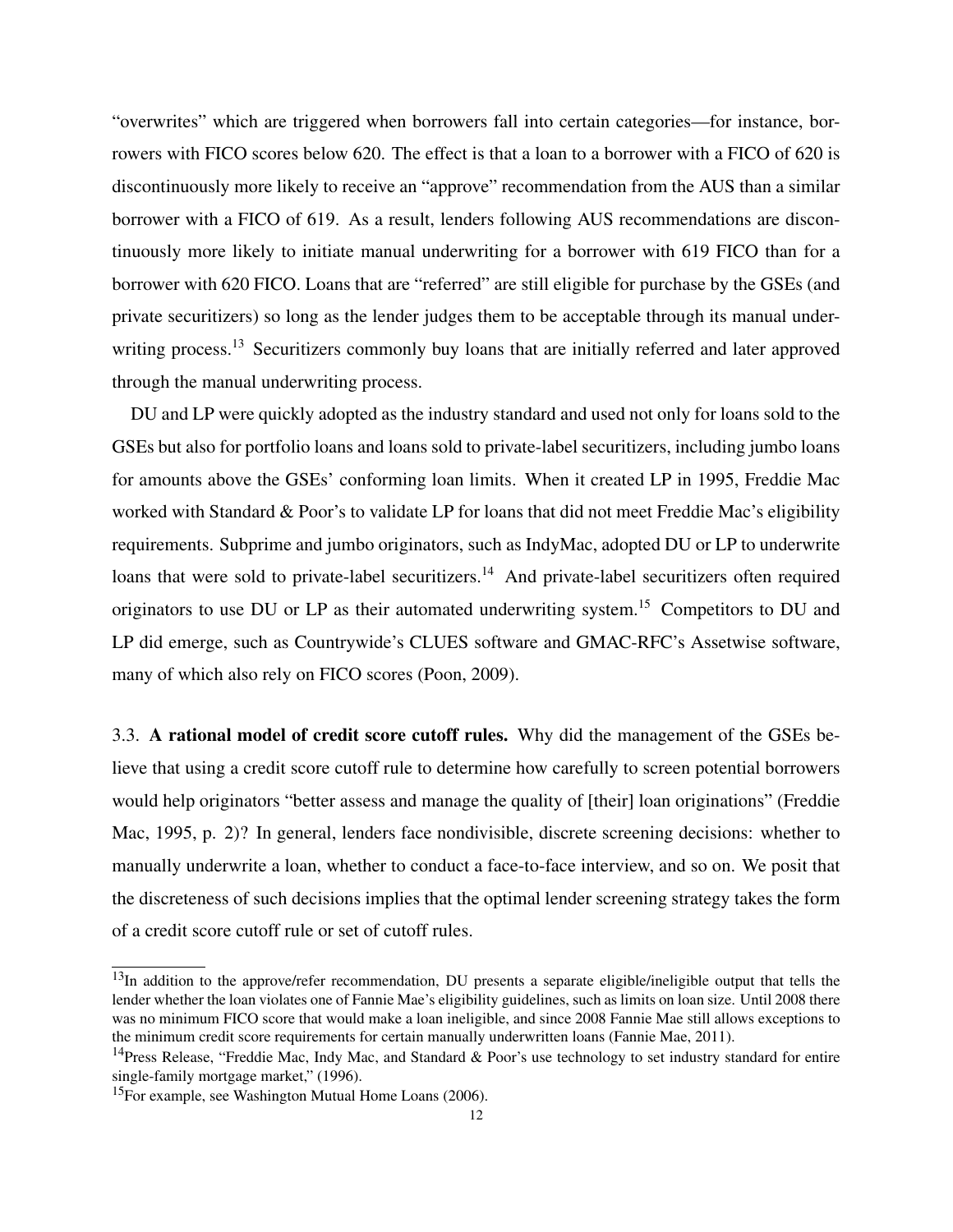"overwrites" which are triggered when borrowers fall into certain categories—for instance, borrowers with FICO scores below 620. The effect is that a loan to a borrower with a FICO of 620 is discontinuously more likely to receive an "approve" recommendation from the AUS than a similar borrower with a FICO of 619. As a result, lenders following AUS recommendations are discontinuously more likely to initiate manual underwriting for a borrower with 619 FICO than for a borrower with 620 FICO. Loans that are "referred" are still eligible for purchase by the GSEs (and private securitizers) so long as the lender judges them to be acceptable through its manual underwriting process.<sup>13</sup> Securitizers commonly buy loans that are initially referred and later approved through the manual underwriting process.

DU and LP were quickly adopted as the industry standard and used not only for loans sold to the GSEs but also for portfolio loans and loans sold to private-label securitizers, including jumbo loans for amounts above the GSEs' conforming loan limits. When it created LP in 1995, Freddie Mac worked with Standard & Poor's to validate LP for loans that did not meet Freddie Mac's eligibility requirements. Subprime and jumbo originators, such as IndyMac, adopted DU or LP to underwrite loans that were sold to private-label securitizers.<sup>14</sup> And private-label securitizers often required originators to use DU or LP as their automated underwriting system.<sup>15</sup> Competitors to DU and LP did emerge, such as Countrywide's CLUES software and GMAC-RFC's Assetwise software, many of which also rely on FICO scores (Poon, 2009).

3.3. A rational model of credit score cutoff rules. Why did the management of the GSEs believe that using a credit score cutoff rule to determine how carefully to screen potential borrowers would help originators "better assess and manage the quality of [their] loan originations" (Freddie Mac, 1995, p. 2)? In general, lenders face nondivisible, discrete screening decisions: whether to manually underwrite a loan, whether to conduct a face-to-face interview, and so on. We posit that the discreteness of such decisions implies that the optimal lender screening strategy takes the form of a credit score cutoff rule or set of cutoff rules.

<sup>&</sup>lt;sup>13</sup>In addition to the approve/refer recommendation, DU presents a separate eligible/ineligible output that tells the lender whether the loan violates one of Fannie Mae's eligibility guidelines, such as limits on loan size. Until 2008 there was no minimum FICO score that would make a loan ineligible, and since 2008 Fannie Mae still allows exceptions to the minimum credit score requirements for certain manually underwritten loans (Fannie Mae, 2011).

<sup>&</sup>lt;sup>14</sup>Press Release, "Freddie Mac, Indy Mac, and Standard & Poor's use technology to set industry standard for entire single-family mortgage market," (1996).

<sup>15</sup>For example, see Washington Mutual Home Loans (2006).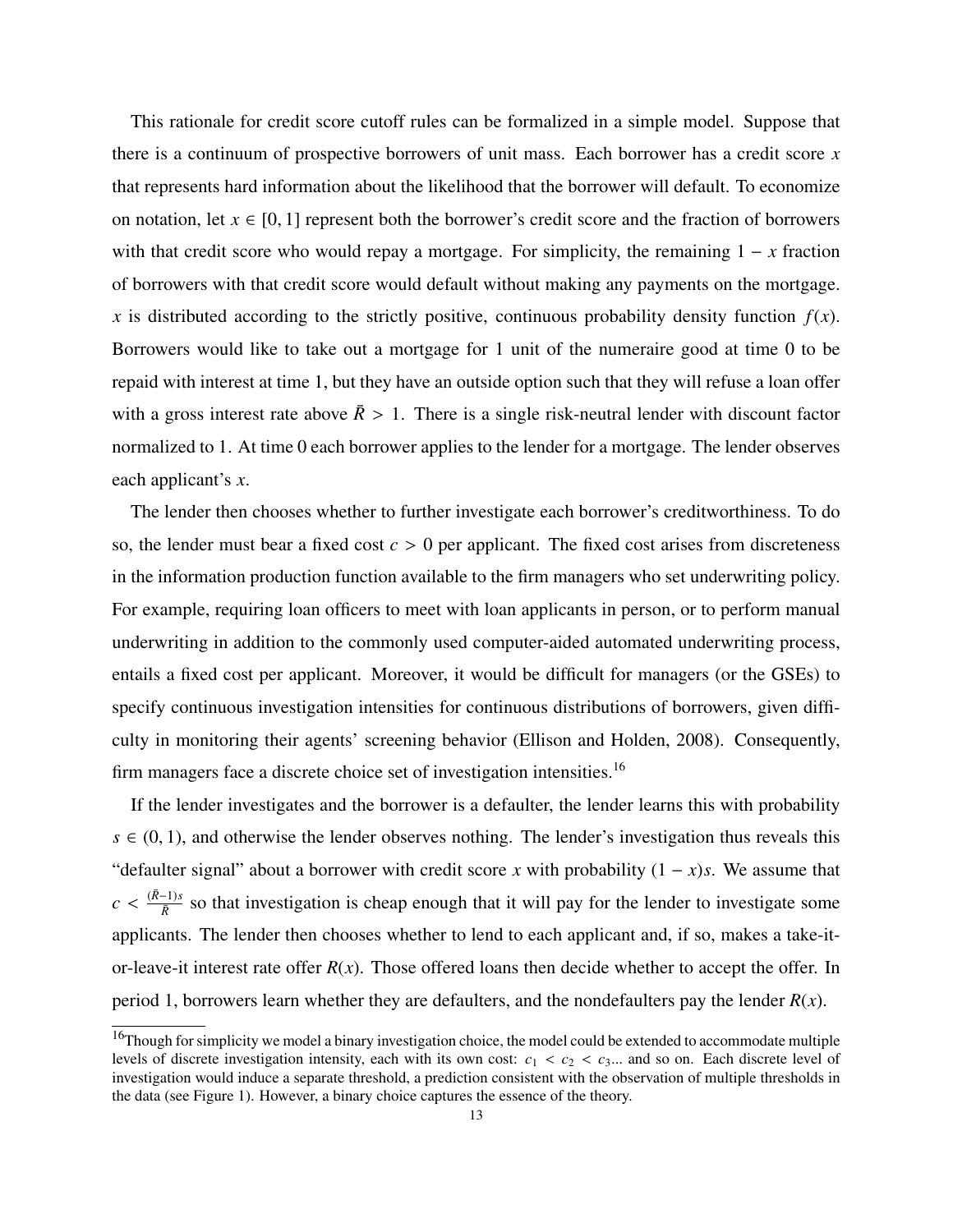This rationale for credit score cutoff rules can be formalized in a simple model. Suppose that there is a continuum of prospective borrowers of unit mass. Each borrower has a credit score *x* that represents hard information about the likelihood that the borrower will default. To economize on notation, let  $x \in [0, 1]$  represent both the borrower's credit score and the fraction of borrowers with that credit score who would repay a mortgage. For simplicity, the remaining 1 − *x* fraction of borrowers with that credit score would default without making any payments on the mortgage. *x* is distributed according to the strictly positive, continuous probability density function  $f(x)$ . Borrowers would like to take out a mortgage for 1 unit of the numeraire good at time 0 to be repaid with interest at time 1, but they have an outside option such that they will refuse a loan offer with a gross interest rate above  $\bar{R} > 1$ . There is a single risk-neutral lender with discount factor normalized to 1. At time 0 each borrower applies to the lender for a mortgage. The lender observes each applicant's *x*.

The lender then chooses whether to further investigate each borrower's creditworthiness. To do so, the lender must bear a fixed cost  $c > 0$  per applicant. The fixed cost arises from discreteness in the information production function available to the firm managers who set underwriting policy. For example, requiring loan officers to meet with loan applicants in person, or to perform manual underwriting in addition to the commonly used computer-aided automated underwriting process, entails a fixed cost per applicant. Moreover, it would be difficult for managers (or the GSEs) to specify continuous investigation intensities for continuous distributions of borrowers, given difficulty in monitoring their agents' screening behavior (Ellison and Holden, 2008). Consequently, firm managers face a discrete choice set of investigation intensities.<sup>16</sup>

If the lender investigates and the borrower is a defaulter, the lender learns this with probability  $s \in (0, 1)$ , and otherwise the lender observes nothing. The lender's investigation thus reveals this "defaulter signal" about a borrower with credit score *x* with probability  $(1 - x)s$ . We assume that  $c < \frac{(\bar{R}-1)s}{\bar{R}}$  $\frac{f(x)}{\bar{R}}$  so that investigation is cheap enough that it will pay for the lender to investigate some applicants. The lender then chooses whether to lend to each applicant and, if so, makes a take-itor-leave-it interest rate offer  $R(x)$ . Those offered loans then decide whether to accept the offer. In period 1, borrowers learn whether they are defaulters, and the nondefaulters pay the lender  $R(x)$ .

<sup>&</sup>lt;sup>16</sup>Though for simplicity we model a binary investigation choice, the model could be extended to accommodate multiple levels of discrete investigation intensity, each with its own cost:  $c_1 < c_2 < c_3$ ... and so on. Each discrete level of investigation would induce a separate threshold, a prediction consistent with the observation of multiple thresholds in the data (see Figure 1). However, a binary choice captures the essence of the theory.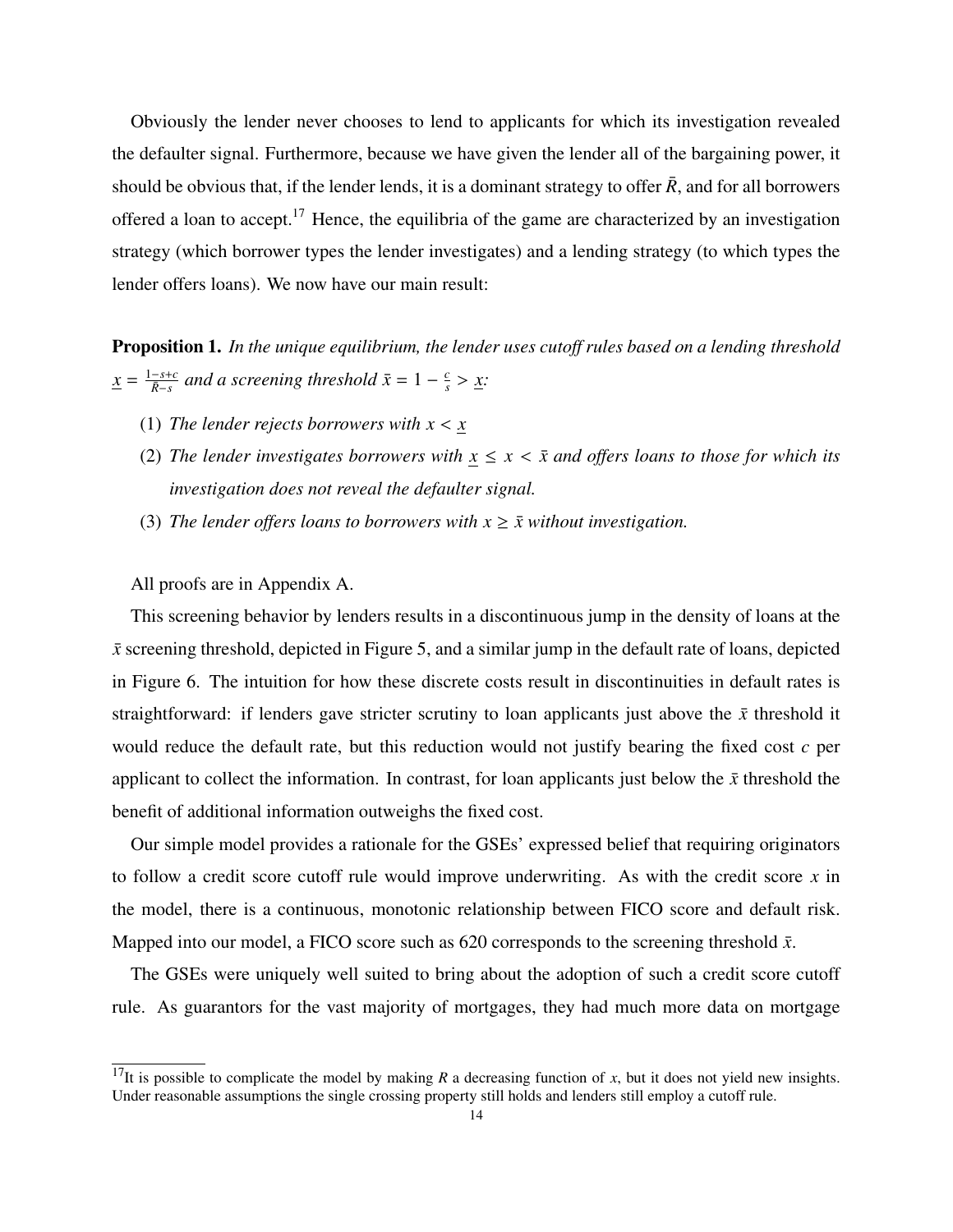Obviously the lender never chooses to lend to applicants for which its investigation revealed the defaulter signal. Furthermore, because we have given the lender all of the bargaining power, it should be obvious that, if the lender lends, it is a dominant strategy to offer  $\bar{R}$ , and for all borrowers offered a loan to accept.<sup>17</sup> Hence, the equilibria of the game are characterized by an investigation strategy (which borrower types the lender investigates) and a lending strategy (to which types the lender offers loans). We now have our main result:

Proposition 1. *In the unique equilibrium, the lender uses cutoff rules based on a lending threshold*  $\underline{x} = \frac{1-s+c}{\bar{R}-s}$  and a screening threshold  $\bar{x} = 1 - \frac{c}{s}$  $\frac{c}{s} > \underline{x}$ .

- (1) *The lender rejects borrowers with*  $x < x$
- (2) *The lender investigates borrowers with*  $x \leq x < \bar{x}$  *and offers loans to those for which its investigation does not reveal the defaulter signal.*
- (3) *The lender offers loans to borrowers with*  $x \geq \bar{x}$  *without investigation.*

All proofs are in Appendix A.

This screening behavior by lenders results in a discontinuous jump in the density of loans at the  $\bar{x}$  screening threshold, depicted in Figure 5, and a similar jump in the default rate of loans, depicted in Figure 6. The intuition for how these discrete costs result in discontinuities in default rates is straightforward: if lenders gave stricter scrutiny to loan applicants just above the  $\bar{x}$  threshold it would reduce the default rate, but this reduction would not justify bearing the fixed cost *c* per applicant to collect the information. In contrast, for loan applicants just below the  $\bar{x}$  threshold the benefit of additional information outweighs the fixed cost.

Our simple model provides a rationale for the GSEs' expressed belief that requiring originators to follow a credit score cutoff rule would improve underwriting. As with the credit score *x* in the model, there is a continuous, monotonic relationship between FICO score and default risk. Mapped into our model, a FICO score such as  $620$  corresponds to the screening threshold  $\bar{x}$ .

The GSEs were uniquely well suited to bring about the adoption of such a credit score cutoff rule. As guarantors for the vast majority of mortgages, they had much more data on mortgage

<sup>&</sup>lt;sup>17</sup>It is possible to complicate the model by making *R* a decreasing function of *x*, but it does not yield new insights. Under reasonable assumptions the single crossing property still holds and lenders still employ a cutoff rule.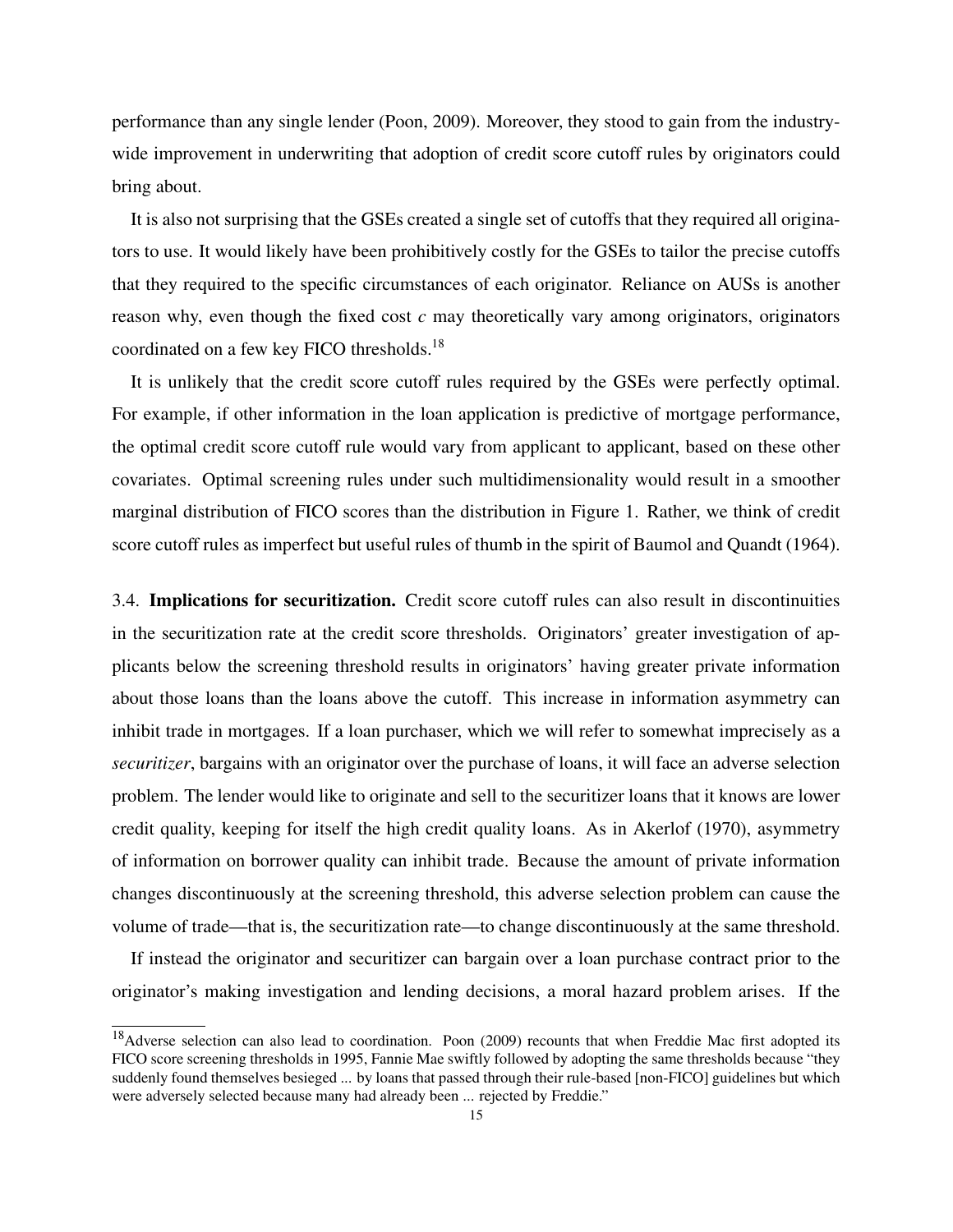performance than any single lender (Poon, 2009). Moreover, they stood to gain from the industrywide improvement in underwriting that adoption of credit score cutoff rules by originators could bring about.

It is also not surprising that the GSEs created a single set of cutoffs that they required all originators to use. It would likely have been prohibitively costly for the GSEs to tailor the precise cutoffs that they required to the specific circumstances of each originator. Reliance on AUSs is another reason why, even though the fixed cost *c* may theoretically vary among originators, originators coordinated on a few key FICO thresholds.<sup>18</sup>

It is unlikely that the credit score cutoff rules required by the GSEs were perfectly optimal. For example, if other information in the loan application is predictive of mortgage performance, the optimal credit score cutoff rule would vary from applicant to applicant, based on these other covariates. Optimal screening rules under such multidimensionality would result in a smoother marginal distribution of FICO scores than the distribution in Figure 1. Rather, we think of credit score cutoff rules as imperfect but useful rules of thumb in the spirit of Baumol and Quandt (1964).

3.4. Implications for securitization. Credit score cutoff rules can also result in discontinuities in the securitization rate at the credit score thresholds. Originators' greater investigation of applicants below the screening threshold results in originators' having greater private information about those loans than the loans above the cutoff. This increase in information asymmetry can inhibit trade in mortgages. If a loan purchaser, which we will refer to somewhat imprecisely as a *securitizer*, bargains with an originator over the purchase of loans, it will face an adverse selection problem. The lender would like to originate and sell to the securitizer loans that it knows are lower credit quality, keeping for itself the high credit quality loans. As in Akerlof (1970), asymmetry of information on borrower quality can inhibit trade. Because the amount of private information changes discontinuously at the screening threshold, this adverse selection problem can cause the volume of trade—that is, the securitization rate—to change discontinuously at the same threshold.

If instead the originator and securitizer can bargain over a loan purchase contract prior to the originator's making investigation and lending decisions, a moral hazard problem arises. If the

<sup>&</sup>lt;sup>18</sup>Adverse selection can also lead to coordination. Poon (2009) recounts that when Freddie Mac first adopted its FICO score screening thresholds in 1995, Fannie Mae swiftly followed by adopting the same thresholds because "they suddenly found themselves besieged ... by loans that passed through their rule-based [non-FICO] guidelines but which were adversely selected because many had already been ... rejected by Freddie."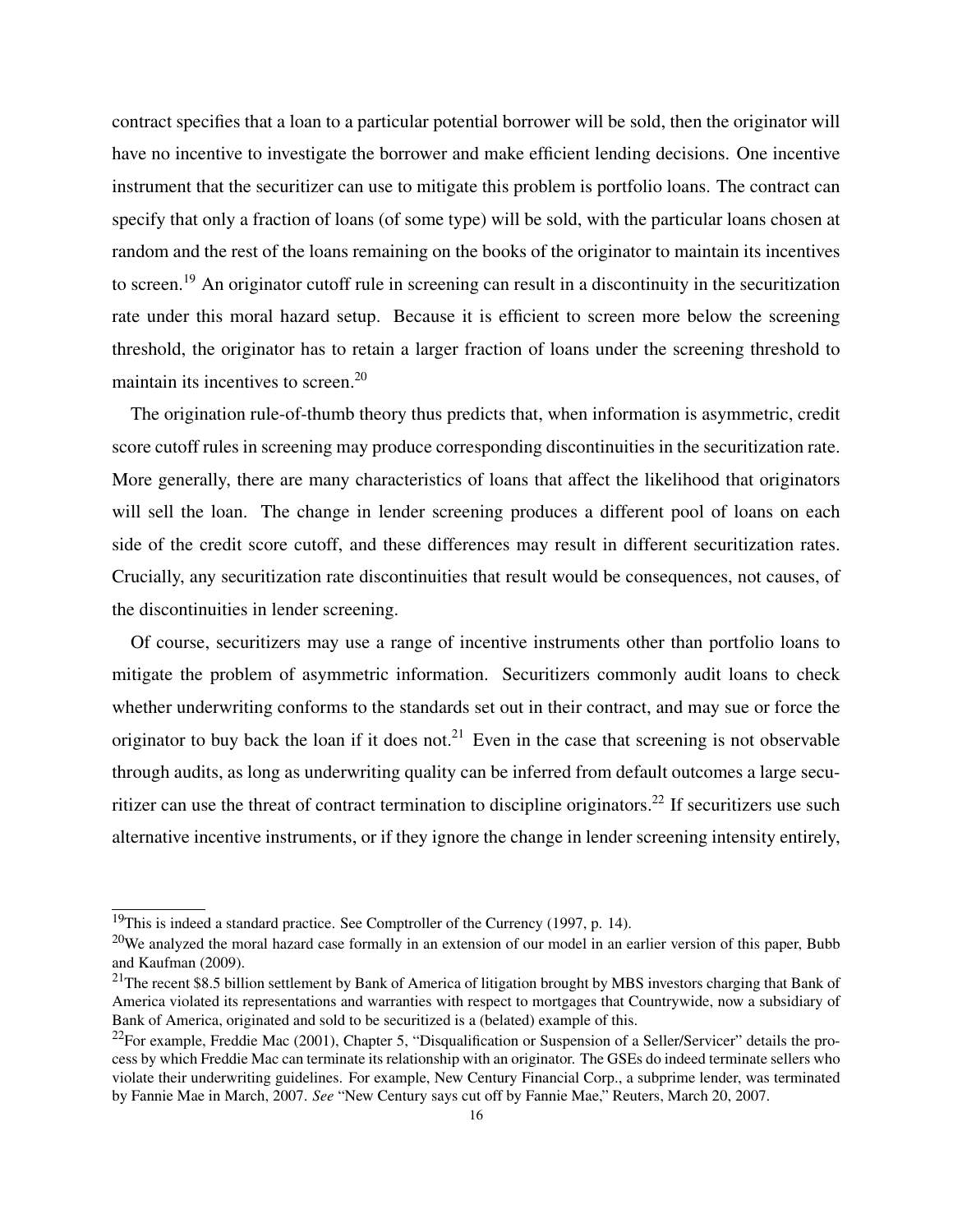contract specifies that a loan to a particular potential borrower will be sold, then the originator will have no incentive to investigate the borrower and make efficient lending decisions. One incentive instrument that the securitizer can use to mitigate this problem is portfolio loans. The contract can specify that only a fraction of loans (of some type) will be sold, with the particular loans chosen at random and the rest of the loans remaining on the books of the originator to maintain its incentives to screen.<sup>19</sup> An originator cutoff rule in screening can result in a discontinuity in the securitization rate under this moral hazard setup. Because it is efficient to screen more below the screening threshold, the originator has to retain a larger fraction of loans under the screening threshold to maintain its incentives to screen.<sup>20</sup>

The origination rule-of-thumb theory thus predicts that, when information is asymmetric, credit score cutoff rules in screening may produce corresponding discontinuities in the securitization rate. More generally, there are many characteristics of loans that affect the likelihood that originators will sell the loan. The change in lender screening produces a different pool of loans on each side of the credit score cutoff, and these differences may result in different securitization rates. Crucially, any securitization rate discontinuities that result would be consequences, not causes, of the discontinuities in lender screening.

Of course, securitizers may use a range of incentive instruments other than portfolio loans to mitigate the problem of asymmetric information. Securitizers commonly audit loans to check whether underwriting conforms to the standards set out in their contract, and may sue or force the originator to buy back the loan if it does not.<sup>21</sup> Even in the case that screening is not observable through audits, as long as underwriting quality can be inferred from default outcomes a large securitizer can use the threat of contract termination to discipline originators.<sup>22</sup> If securitizers use such alternative incentive instruments, or if they ignore the change in lender screening intensity entirely,

 $19$ This is indeed a standard practice. See Comptroller of the Currency (1997, p. 14).

 $20$ We analyzed the moral hazard case formally in an extension of our model in an earlier version of this paper, Bubb and Kaufman (2009).

 $21$ The recent \$8.5 billion settlement by Bank of America of litigation brought by MBS investors charging that Bank of America violated its representations and warranties with respect to mortgages that Countrywide, now a subsidiary of Bank of America, originated and sold to be securitized is a (belated) example of this.

<sup>&</sup>lt;sup>22</sup>For example, Freddie Mac (2001), Chapter 5, "Disqualification or Suspension of a Seller/Servicer" details the process by which Freddie Mac can terminate its relationship with an originator. The GSEs do indeed terminate sellers who violate their underwriting guidelines. For example, New Century Financial Corp., a subprime lender, was terminated by Fannie Mae in March, 2007. *See* "New Century says cut off by Fannie Mae," Reuters, March 20, 2007.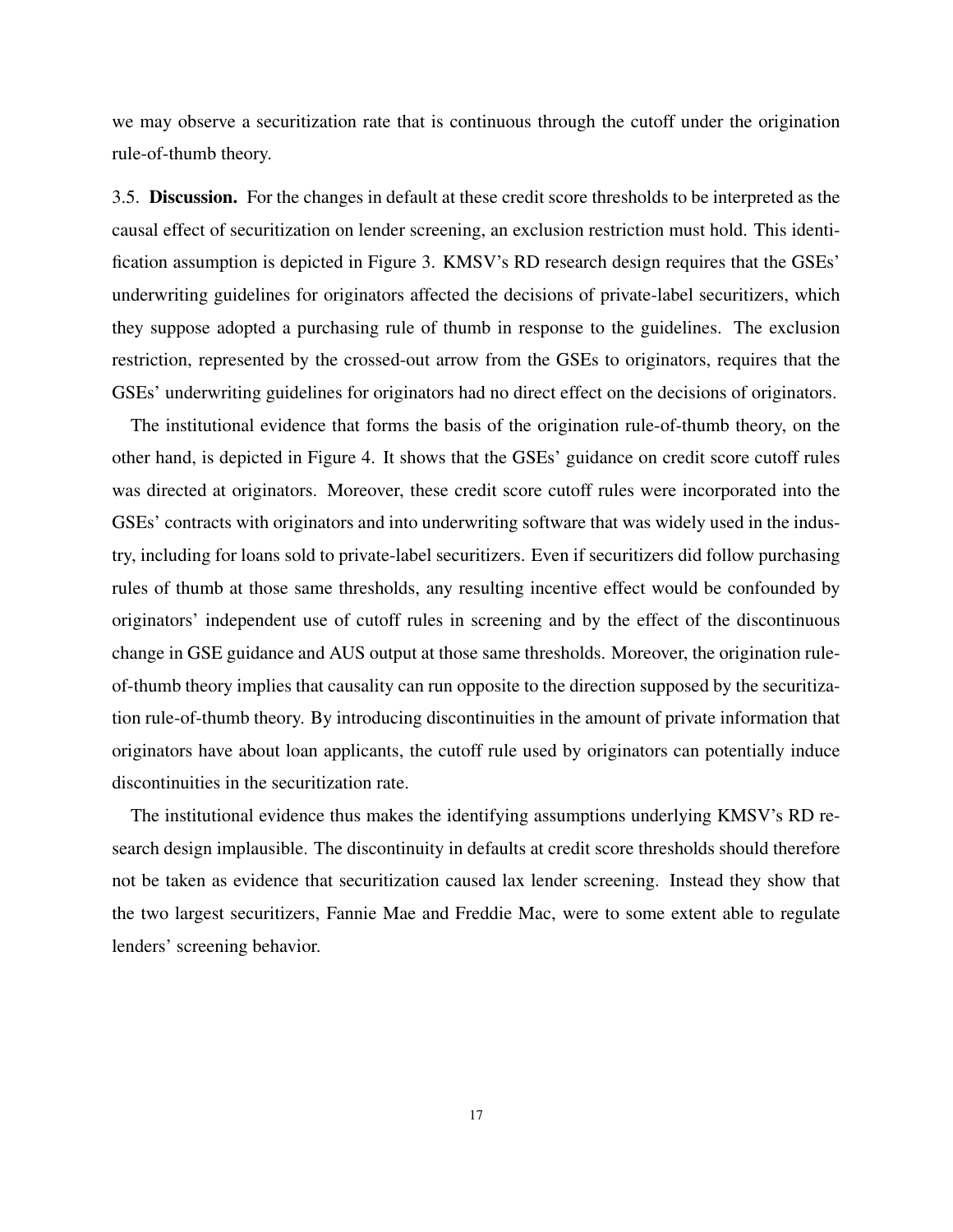we may observe a securitization rate that is continuous through the cutoff under the origination rule-of-thumb theory.

3.5. Discussion. For the changes in default at these credit score thresholds to be interpreted as the causal effect of securitization on lender screening, an exclusion restriction must hold. This identification assumption is depicted in Figure 3. KMSV's RD research design requires that the GSEs' underwriting guidelines for originators affected the decisions of private-label securitizers, which they suppose adopted a purchasing rule of thumb in response to the guidelines. The exclusion restriction, represented by the crossed-out arrow from the GSEs to originators, requires that the GSEs' underwriting guidelines for originators had no direct effect on the decisions of originators.

The institutional evidence that forms the basis of the origination rule-of-thumb theory, on the other hand, is depicted in Figure 4. It shows that the GSEs' guidance on credit score cutoff rules was directed at originators. Moreover, these credit score cutoff rules were incorporated into the GSEs' contracts with originators and into underwriting software that was widely used in the industry, including for loans sold to private-label securitizers. Even if securitizers did follow purchasing rules of thumb at those same thresholds, any resulting incentive effect would be confounded by originators' independent use of cutoff rules in screening and by the effect of the discontinuous change in GSE guidance and AUS output at those same thresholds. Moreover, the origination ruleof-thumb theory implies that causality can run opposite to the direction supposed by the securitization rule-of-thumb theory. By introducing discontinuities in the amount of private information that originators have about loan applicants, the cutoff rule used by originators can potentially induce discontinuities in the securitization rate.

The institutional evidence thus makes the identifying assumptions underlying KMSV's RD research design implausible. The discontinuity in defaults at credit score thresholds should therefore not be taken as evidence that securitization caused lax lender screening. Instead they show that the two largest securitizers, Fannie Mae and Freddie Mac, were to some extent able to regulate lenders' screening behavior.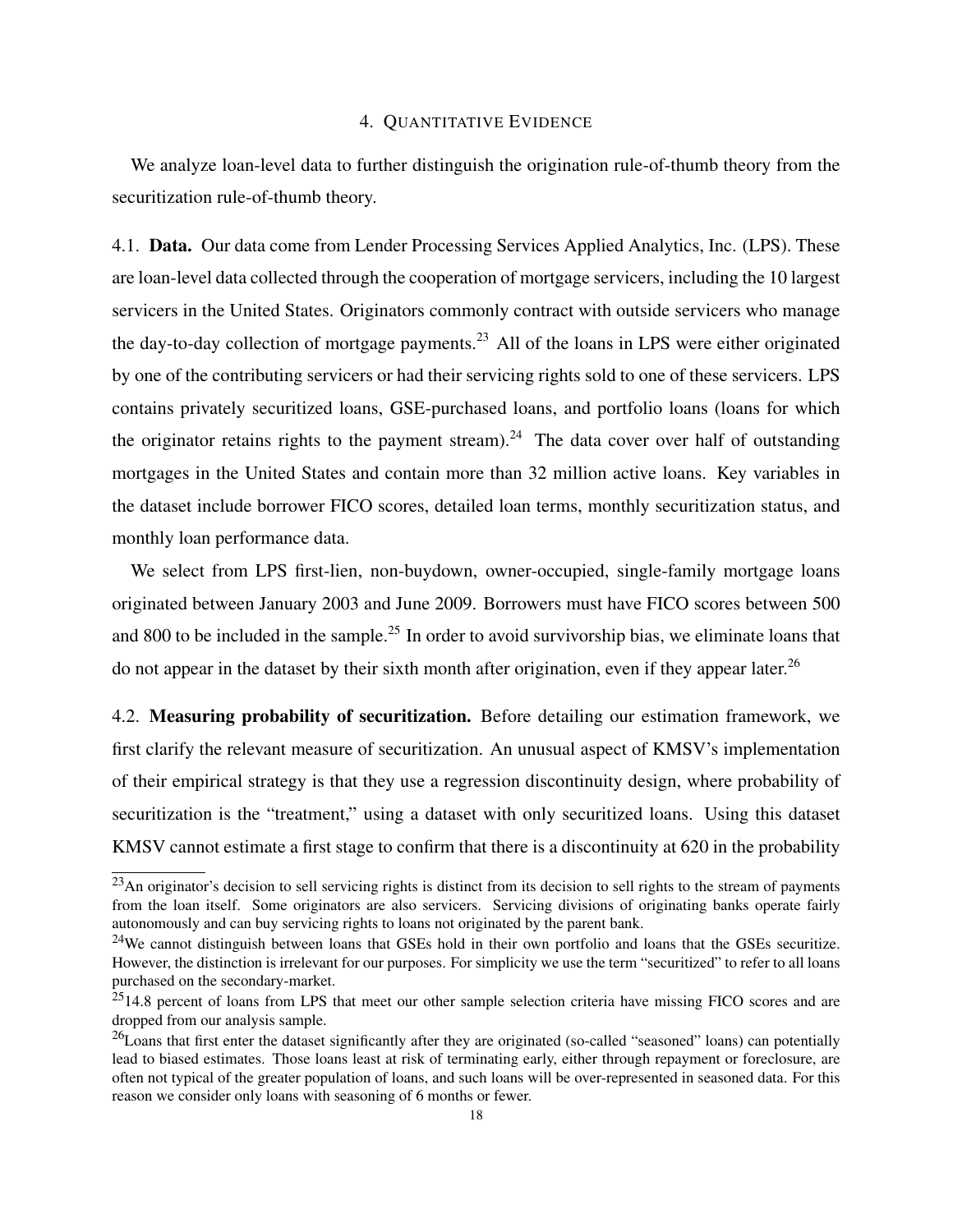## 4. QUANTITATIVE EVIDENCE

We analyze loan-level data to further distinguish the origination rule-of-thumb theory from the securitization rule-of-thumb theory.

4.1. Data. Our data come from Lender Processing Services Applied Analytics, Inc. (LPS). These are loan-level data collected through the cooperation of mortgage servicers, including the 10 largest servicers in the United States. Originators commonly contract with outside servicers who manage the day-to-day collection of mortgage payments.<sup>23</sup> All of the loans in LPS were either originated by one of the contributing servicers or had their servicing rights sold to one of these servicers. LPS contains privately securitized loans, GSE-purchased loans, and portfolio loans (loans for which the originator retains rights to the payment stream).<sup>24</sup> The data cover over half of outstanding mortgages in the United States and contain more than 32 million active loans. Key variables in the dataset include borrower FICO scores, detailed loan terms, monthly securitization status, and monthly loan performance data.

We select from LPS first-lien, non-buydown, owner-occupied, single-family mortgage loans originated between January 2003 and June 2009. Borrowers must have FICO scores between 500 and 800 to be included in the sample.<sup>25</sup> In order to avoid survivorship bias, we eliminate loans that do not appear in the dataset by their sixth month after origination, even if they appear later.<sup>26</sup>

4.2. Measuring probability of securitization. Before detailing our estimation framework, we first clarify the relevant measure of securitization. An unusual aspect of KMSV's implementation of their empirical strategy is that they use a regression discontinuity design, where probability of securitization is the "treatment," using a dataset with only securitized loans. Using this dataset KMSV cannot estimate a first stage to confirm that there is a discontinuity at 620 in the probability

 $^{23}$ An originator's decision to sell servicing rights is distinct from its decision to sell rights to the stream of payments from the loan itself. Some originators are also servicers. Servicing divisions of originating banks operate fairly autonomously and can buy servicing rights to loans not originated by the parent bank.

<sup>&</sup>lt;sup>24</sup>We cannot distinguish between loans that GSEs hold in their own portfolio and loans that the GSEs securitize. However, the distinction is irrelevant for our purposes. For simplicity we use the term "securitized" to refer to all loans purchased on the secondary-market.

<sup>&</sup>lt;sup>25</sup>14.8 percent of loans from LPS that meet our other sample selection criteria have missing FICO scores and are dropped from our analysis sample.

 $^{26}$ Loans that first enter the dataset significantly after they are originated (so-called "seasoned" loans) can potentially lead to biased estimates. Those loans least at risk of terminating early, either through repayment or foreclosure, are often not typical of the greater population of loans, and such loans will be over-represented in seasoned data. For this reason we consider only loans with seasoning of 6 months or fewer.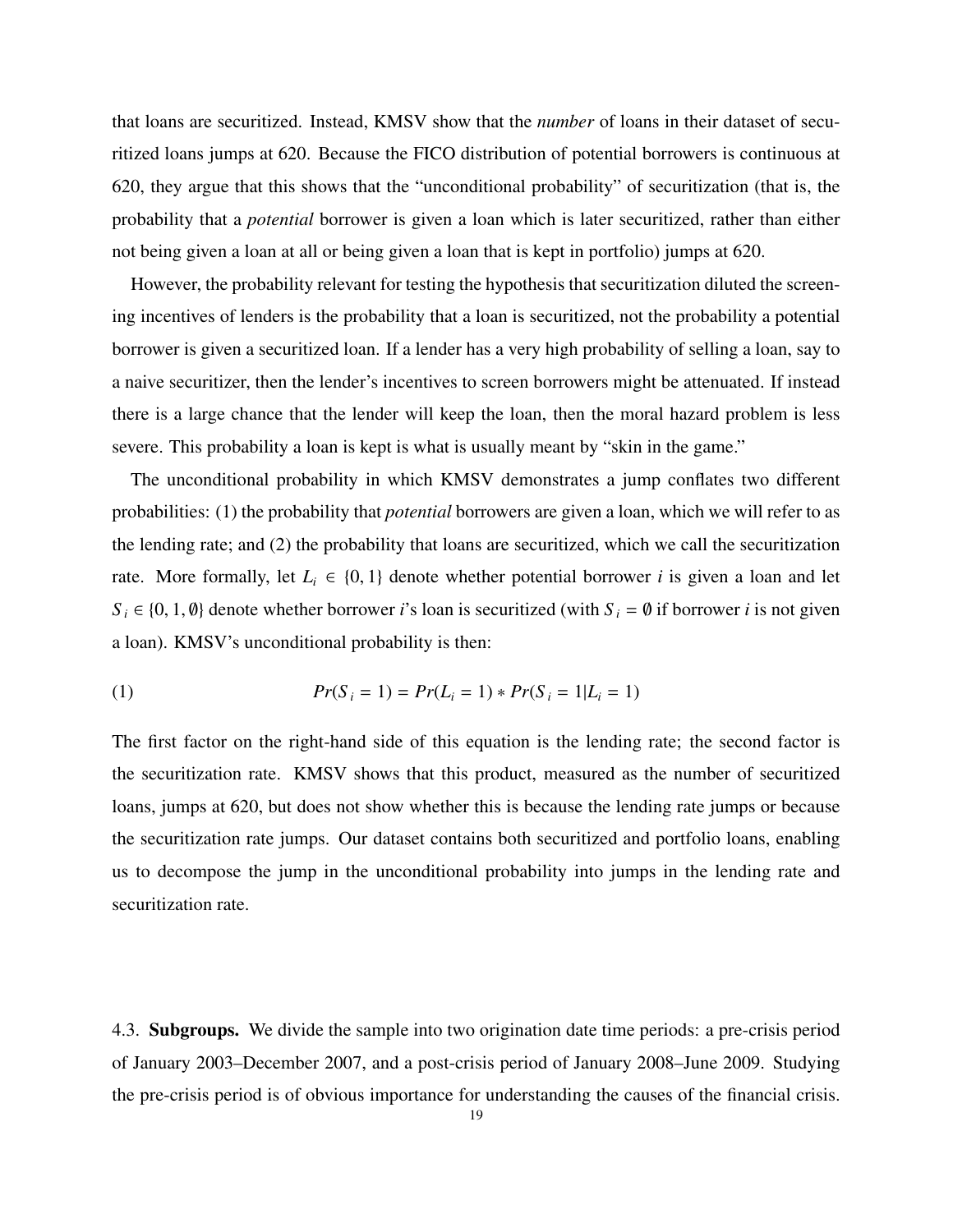that loans are securitized. Instead, KMSV show that the *number* of loans in their dataset of securitized loans jumps at 620. Because the FICO distribution of potential borrowers is continuous at 620, they argue that this shows that the "unconditional probability" of securitization (that is, the probability that a *potential* borrower is given a loan which is later securitized, rather than either not being given a loan at all or being given a loan that is kept in portfolio) jumps at 620.

However, the probability relevant for testing the hypothesis that securitization diluted the screening incentives of lenders is the probability that a loan is securitized, not the probability a potential borrower is given a securitized loan. If a lender has a very high probability of selling a loan, say to a naive securitizer, then the lender's incentives to screen borrowers might be attenuated. If instead there is a large chance that the lender will keep the loan, then the moral hazard problem is less severe. This probability a loan is kept is what is usually meant by "skin in the game."

The unconditional probability in which KMSV demonstrates a jump conflates two different probabilities: (1) the probability that *potential* borrowers are given a loan, which we will refer to as the lending rate; and (2) the probability that loans are securitized, which we call the securitization rate. More formally, let  $L_i \in \{0, 1\}$  denote whether potential borrower *i* is given a loan and let  $S_i \in \{0, 1, \emptyset\}$  denote whether borrower *i*'s loan is securitized (with  $S_i = \emptyset$  if borrower *i* is not given a loan). KMSV's unconditional probability is then:

(1) 
$$
Pr(S_i = 1) = Pr(L_i = 1) * Pr(S_i = 1 | L_i = 1)
$$

The first factor on the right-hand side of this equation is the lending rate; the second factor is the securitization rate. KMSV shows that this product, measured as the number of securitized loans, jumps at 620, but does not show whether this is because the lending rate jumps or because the securitization rate jumps. Our dataset contains both securitized and portfolio loans, enabling us to decompose the jump in the unconditional probability into jumps in the lending rate and securitization rate.

4.3. Subgroups. We divide the sample into two origination date time periods: a pre-crisis period of January 2003–December 2007, and a post-crisis period of January 2008–June 2009. Studying the pre-crisis period is of obvious importance for understanding the causes of the financial crisis.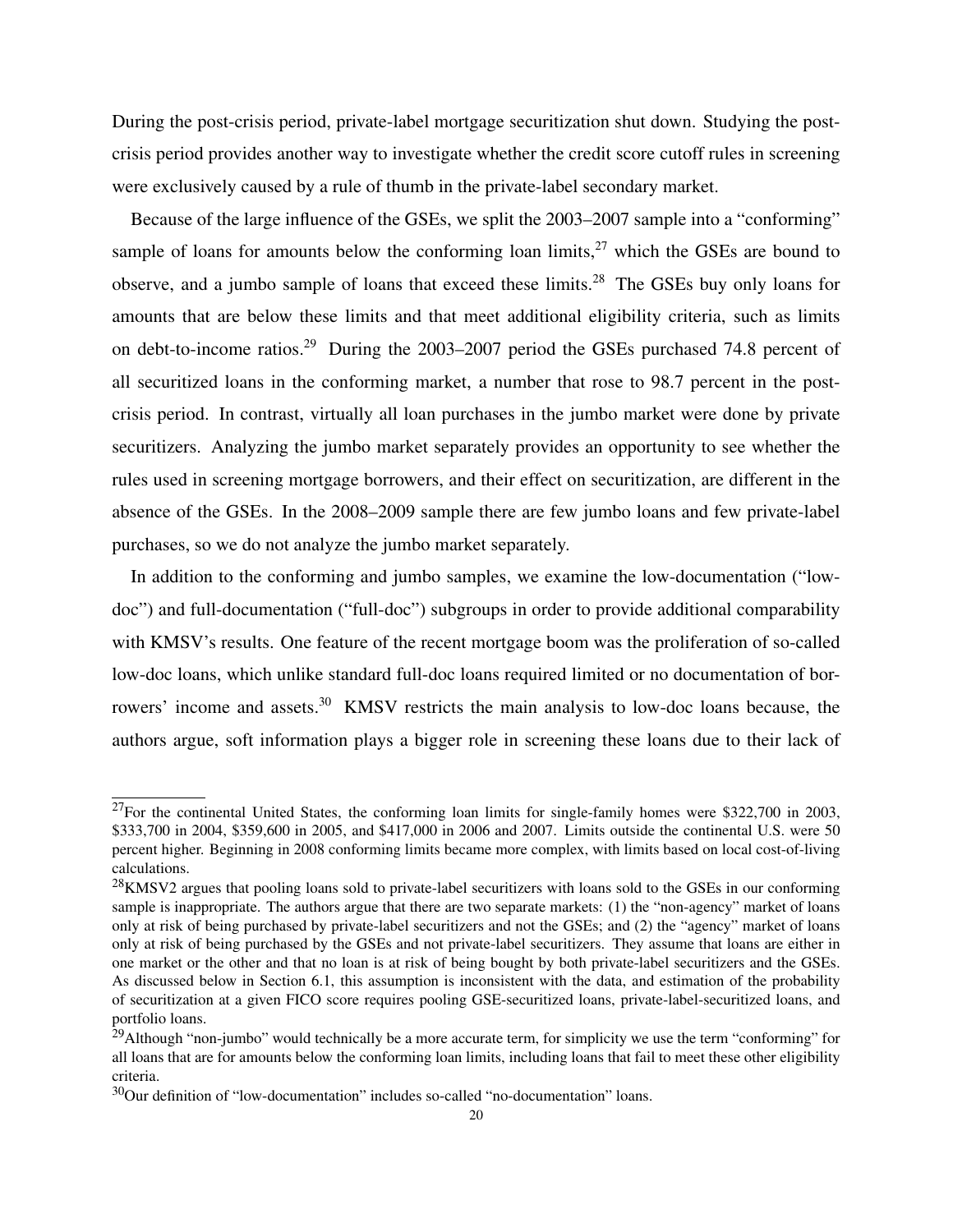During the post-crisis period, private-label mortgage securitization shut down. Studying the postcrisis period provides another way to investigate whether the credit score cutoff rules in screening were exclusively caused by a rule of thumb in the private-label secondary market.

Because of the large influence of the GSEs, we split the 2003–2007 sample into a "conforming" sample of loans for amounts below the conforming loan limits,  $27$  which the GSEs are bound to observe, and a jumbo sample of loans that exceed these limits.<sup>28</sup> The GSEs buy only loans for amounts that are below these limits and that meet additional eligibility criteria, such as limits on debt-to-income ratios.<sup>29</sup> During the 2003–2007 period the GSEs purchased 74.8 percent of all securitized loans in the conforming market, a number that rose to 98.7 percent in the postcrisis period. In contrast, virtually all loan purchases in the jumbo market were done by private securitizers. Analyzing the jumbo market separately provides an opportunity to see whether the rules used in screening mortgage borrowers, and their effect on securitization, are different in the absence of the GSEs. In the 2008–2009 sample there are few jumbo loans and few private-label purchases, so we do not analyze the jumbo market separately.

In addition to the conforming and jumbo samples, we examine the low-documentation ("lowdoc") and full-documentation ("full-doc") subgroups in order to provide additional comparability with KMSV's results. One feature of the recent mortgage boom was the proliferation of so-called low-doc loans, which unlike standard full-doc loans required limited or no documentation of borrowers' income and assets.<sup>30</sup> KMSV restricts the main analysis to low-doc loans because, the authors argue, soft information plays a bigger role in screening these loans due to their lack of

 $27$ For the continental United States, the conforming loan limits for single-family homes were \$322,700 in 2003, \$333,700 in 2004, \$359,600 in 2005, and \$417,000 in 2006 and 2007. Limits outside the continental U.S. were 50 percent higher. Beginning in 2008 conforming limits became more complex, with limits based on local cost-of-living calculations.

 $^{28}$ KMSV2 argues that pooling loans sold to private-label securitizers with loans sold to the GSEs in our conforming sample is inappropriate. The authors argue that there are two separate markets: (1) the "non-agency" market of loans only at risk of being purchased by private-label securitizers and not the GSEs; and (2) the "agency" market of loans only at risk of being purchased by the GSEs and not private-label securitizers. They assume that loans are either in one market or the other and that no loan is at risk of being bought by both private-label securitizers and the GSEs. As discussed below in Section 6.1, this assumption is inconsistent with the data, and estimation of the probability of securitization at a given FICO score requires pooling GSE-securitized loans, private-label-securitized loans, and portfolio loans.

 $^{29}$ Although "non-jumbo" would technically be a more accurate term, for simplicity we use the term "conforming" for all loans that are for amounts below the conforming loan limits, including loans that fail to meet these other eligibility criteria.

<sup>&</sup>lt;sup>30</sup>Our definition of "low-documentation" includes so-called "no-documentation" loans.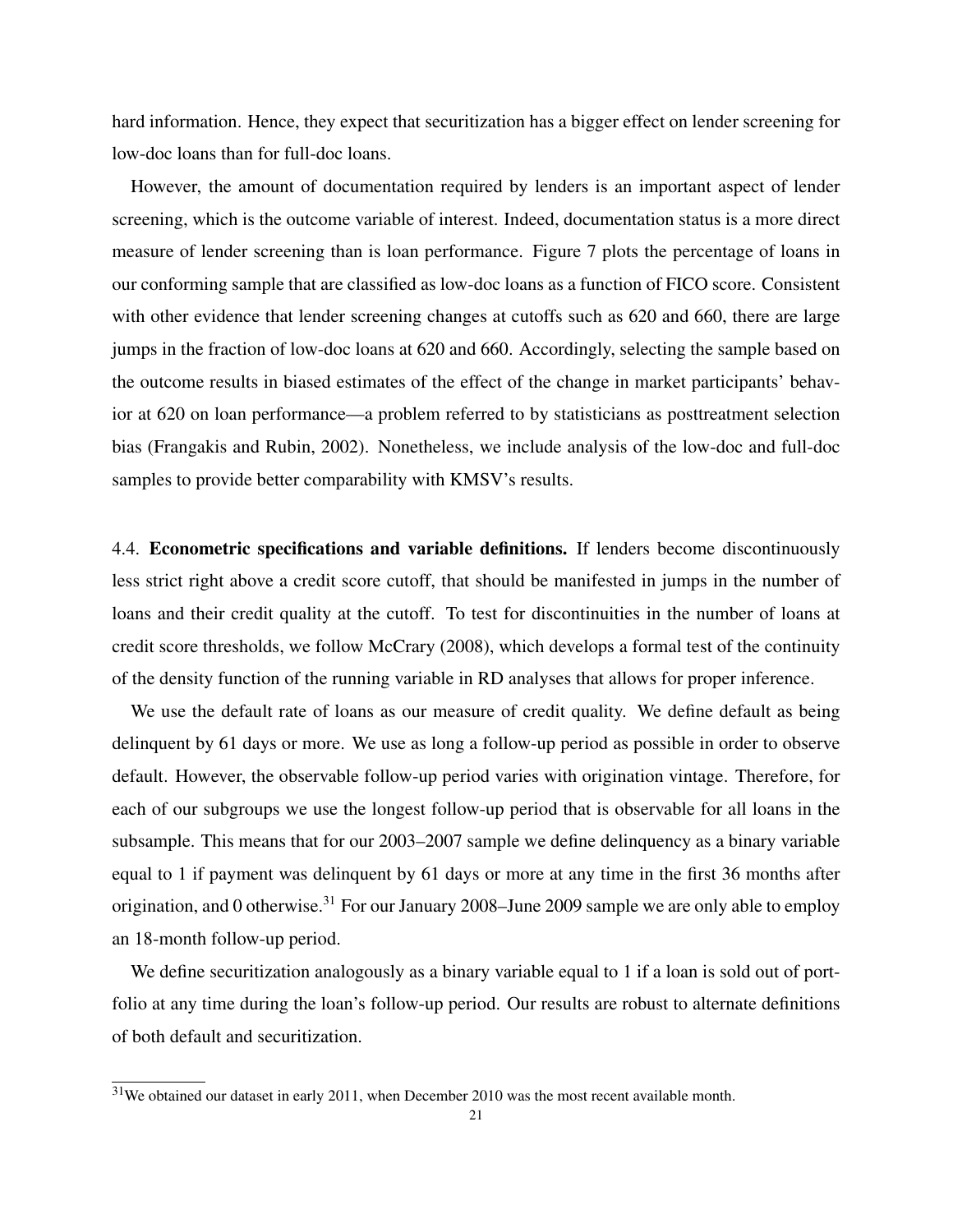hard information. Hence, they expect that securitization has a bigger effect on lender screening for low-doc loans than for full-doc loans.

However, the amount of documentation required by lenders is an important aspect of lender screening, which is the outcome variable of interest. Indeed, documentation status is a more direct measure of lender screening than is loan performance. Figure 7 plots the percentage of loans in our conforming sample that are classified as low-doc loans as a function of FICO score. Consistent with other evidence that lender screening changes at cutoffs such as 620 and 660, there are large jumps in the fraction of low-doc loans at 620 and 660. Accordingly, selecting the sample based on the outcome results in biased estimates of the effect of the change in market participants' behavior at 620 on loan performance—a problem referred to by statisticians as posttreatment selection bias (Frangakis and Rubin, 2002). Nonetheless, we include analysis of the low-doc and full-doc samples to provide better comparability with KMSV's results.

4.4. Econometric specifications and variable definitions. If lenders become discontinuously less strict right above a credit score cutoff, that should be manifested in jumps in the number of loans and their credit quality at the cutoff. To test for discontinuities in the number of loans at credit score thresholds, we follow McCrary (2008), which develops a formal test of the continuity of the density function of the running variable in RD analyses that allows for proper inference.

We use the default rate of loans as our measure of credit quality. We define default as being delinquent by 61 days or more. We use as long a follow-up period as possible in order to observe default. However, the observable follow-up period varies with origination vintage. Therefore, for each of our subgroups we use the longest follow-up period that is observable for all loans in the subsample. This means that for our 2003–2007 sample we define delinquency as a binary variable equal to 1 if payment was delinquent by 61 days or more at any time in the first 36 months after origination, and 0 otherwise.<sup>31</sup> For our January 2008–June 2009 sample we are only able to employ an 18-month follow-up period.

We define securitization analogously as a binary variable equal to 1 if a loan is sold out of portfolio at any time during the loan's follow-up period. Our results are robust to alternate definitions of both default and securitization.

<sup>&</sup>lt;sup>31</sup>We obtained our dataset in early 2011, when December 2010 was the most recent available month.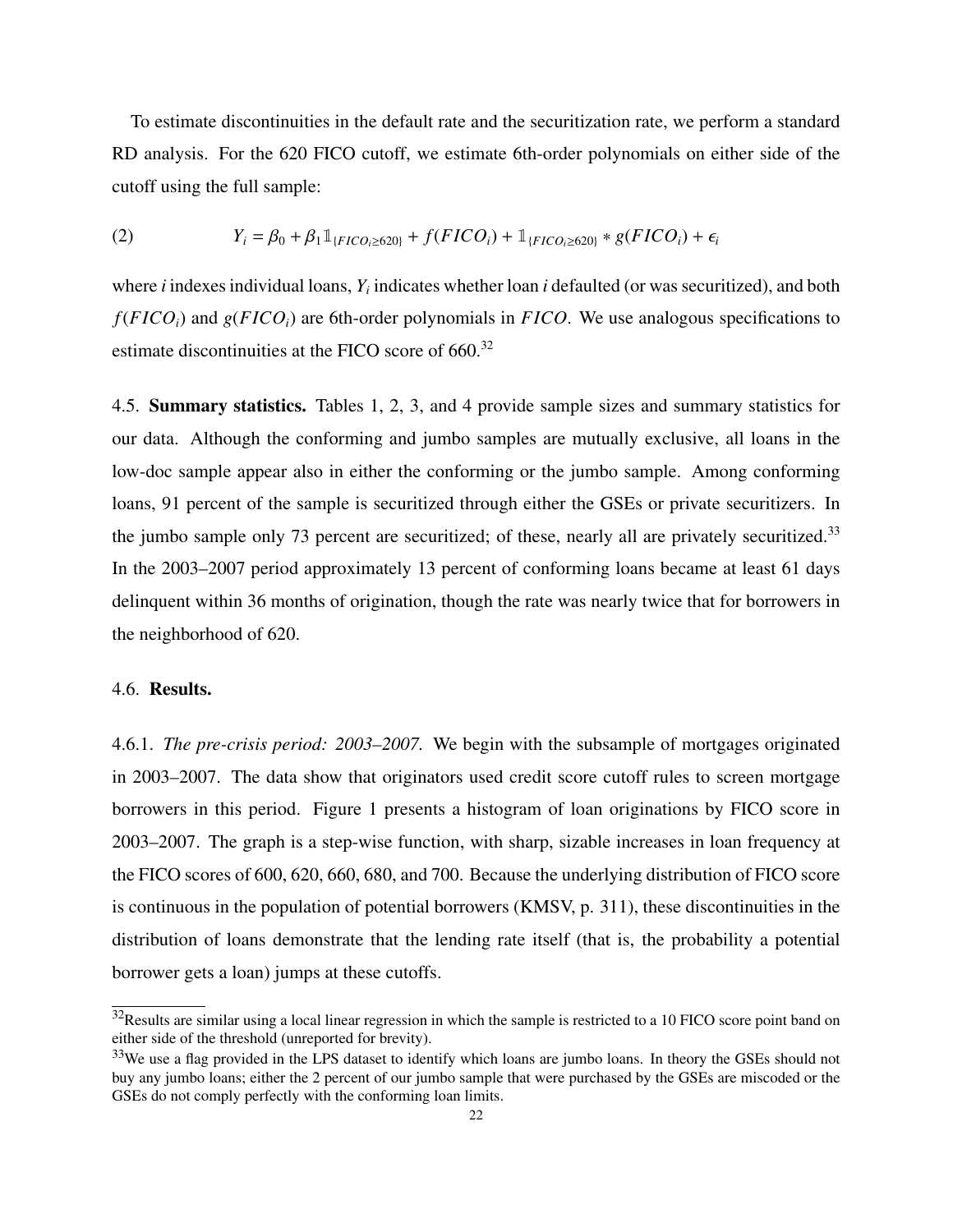To estimate discontinuities in the default rate and the securitization rate, we perform a standard RD analysis. For the 620 FICO cutoff, we estimate 6th-order polynomials on either side of the cutoff using the full sample:

(2) 
$$
Y_i = \beta_0 + \beta_1 \mathbb{1}_{\{FICO_i \ge 620\}} + f(FICO_i) + \mathbb{1}_{\{FICO_i \ge 620\}} * g(FICO_i) + \epsilon_i
$$

where *i* indexes individual loans,  $Y_i$  indicates whether loan *i* defaulted (or was securitized), and both *f*(*F ICOi*) and *g*(*F ICOi*) are 6th-order polynomials in *F ICO*. We use analogous specifications to estimate discontinuities at the FICO score of 660.<sup>32</sup>

4.5. Summary statistics. Tables 1, 2, 3, and 4 provide sample sizes and summary statistics for our data. Although the conforming and jumbo samples are mutually exclusive, all loans in the low-doc sample appear also in either the conforming or the jumbo sample. Among conforming loans, 91 percent of the sample is securitized through either the GSEs or private securitizers. In the jumbo sample only 73 percent are securitized; of these, nearly all are privately securitized.<sup>33</sup> In the 2003–2007 period approximately 13 percent of conforming loans became at least 61 days delinquent within 36 months of origination, though the rate was nearly twice that for borrowers in the neighborhood of 620.

#### 4.6. Results.

4.6.1. *The pre-crisis period: 2003–2007.* We begin with the subsample of mortgages originated in 2003–2007. The data show that originators used credit score cutoff rules to screen mortgage borrowers in this period. Figure 1 presents a histogram of loan originations by FICO score in 2003–2007. The graph is a step-wise function, with sharp, sizable increases in loan frequency at the FICO scores of 600, 620, 660, 680, and 700. Because the underlying distribution of FICO score is continuous in the population of potential borrowers (KMSV, p. 311), these discontinuities in the distribution of loans demonstrate that the lending rate itself (that is, the probability a potential borrower gets a loan) jumps at these cutoffs.

 $32$ Results are similar using a local linear regression in which the sample is restricted to a 10 FICO score point band on either side of the threshold (unreported for brevity).

<sup>&</sup>lt;sup>33</sup>We use a flag provided in the LPS dataset to identify which loans are jumbo loans. In theory the GSEs should not buy any jumbo loans; either the 2 percent of our jumbo sample that were purchased by the GSEs are miscoded or the GSEs do not comply perfectly with the conforming loan limits.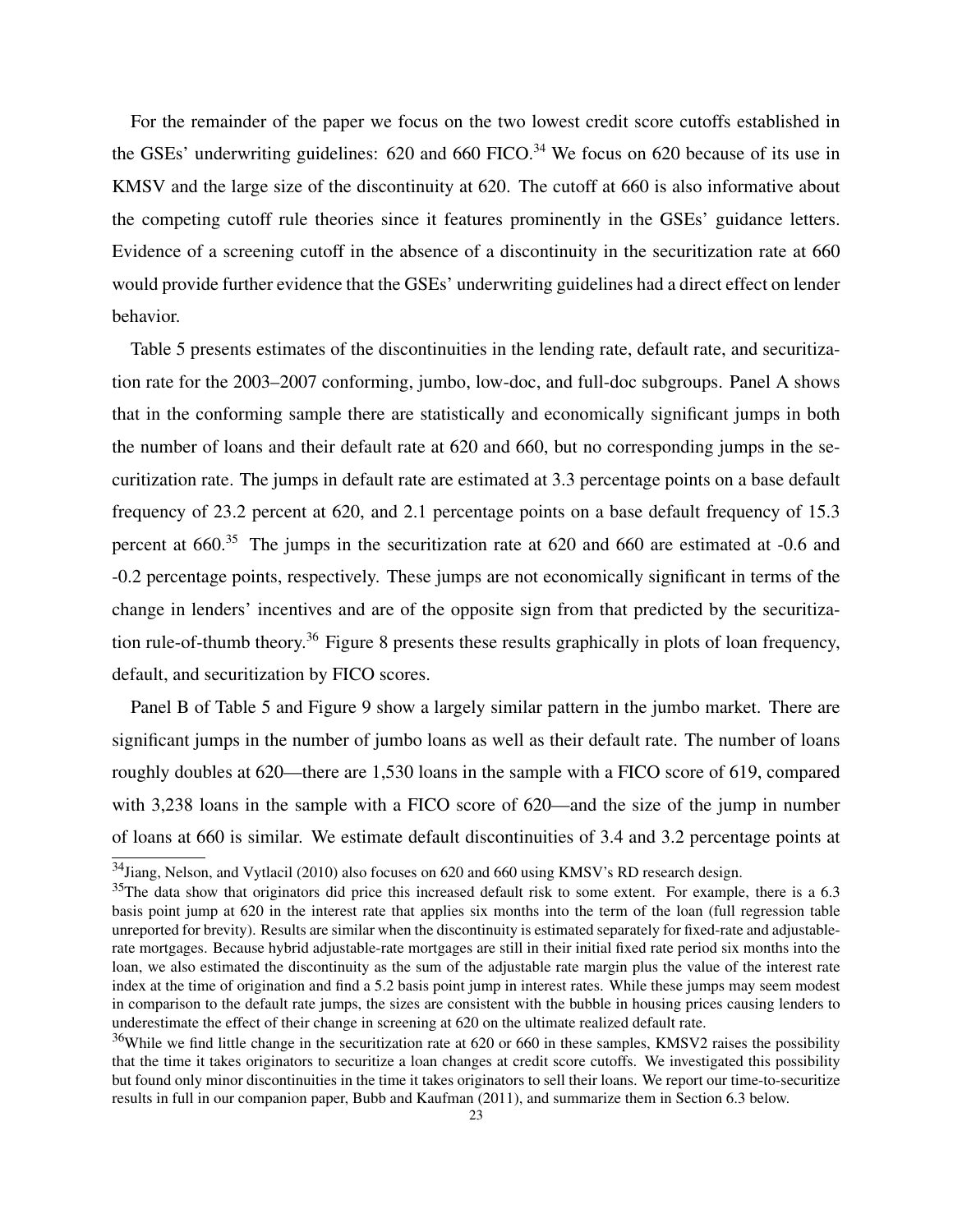For the remainder of the paper we focus on the two lowest credit score cutoffs established in the GSEs' underwriting guidelines:  $620$  and  $660$  FICO.<sup>34</sup> We focus on  $620$  because of its use in KMSV and the large size of the discontinuity at 620. The cutoff at 660 is also informative about the competing cutoff rule theories since it features prominently in the GSEs' guidance letters. Evidence of a screening cutoff in the absence of a discontinuity in the securitization rate at 660 would provide further evidence that the GSEs' underwriting guidelines had a direct effect on lender behavior.

Table 5 presents estimates of the discontinuities in the lending rate, default rate, and securitization rate for the 2003–2007 conforming, jumbo, low-doc, and full-doc subgroups. Panel A shows that in the conforming sample there are statistically and economically significant jumps in both the number of loans and their default rate at 620 and 660, but no corresponding jumps in the securitization rate. The jumps in default rate are estimated at 3.3 percentage points on a base default frequency of 23.2 percent at 620, and 2.1 percentage points on a base default frequency of 15.3 percent at 660.<sup>35</sup> The jumps in the securitization rate at 620 and 660 are estimated at -0.6 and -0.2 percentage points, respectively. These jumps are not economically significant in terms of the change in lenders' incentives and are of the opposite sign from that predicted by the securitization rule-of-thumb theory.<sup>36</sup> Figure 8 presents these results graphically in plots of loan frequency, default, and securitization by FICO scores.

Panel B of Table 5 and Figure 9 show a largely similar pattern in the jumbo market. There are significant jumps in the number of jumbo loans as well as their default rate. The number of loans roughly doubles at 620—there are 1,530 loans in the sample with a FICO score of 619, compared with 3,238 loans in the sample with a FICO score of 620—and the size of the jump in number of loans at 660 is similar. We estimate default discontinuities of 3.4 and 3.2 percentage points at

<sup>34</sup>Jiang, Nelson, and Vytlacil (2010) also focuses on 620 and 660 using KMSV's RD research design.

 $35$ The data show that originators did price this increased default risk to some extent. For example, there is a 6.3 basis point jump at 620 in the interest rate that applies six months into the term of the loan (full regression table unreported for brevity). Results are similar when the discontinuity is estimated separately for fixed-rate and adjustablerate mortgages. Because hybrid adjustable-rate mortgages are still in their initial fixed rate period six months into the loan, we also estimated the discontinuity as the sum of the adjustable rate margin plus the value of the interest rate index at the time of origination and find a 5.2 basis point jump in interest rates. While these jumps may seem modest in comparison to the default rate jumps, the sizes are consistent with the bubble in housing prices causing lenders to underestimate the effect of their change in screening at 620 on the ultimate realized default rate.

 $36$ While we find little change in the securitization rate at 620 or 660 in these samples, KMSV2 raises the possibility that the time it takes originators to securitize a loan changes at credit score cutoffs. We investigated this possibility but found only minor discontinuities in the time it takes originators to sell their loans. We report our time-to-securitize results in full in our companion paper, Bubb and Kaufman (2011), and summarize them in Section 6.3 below.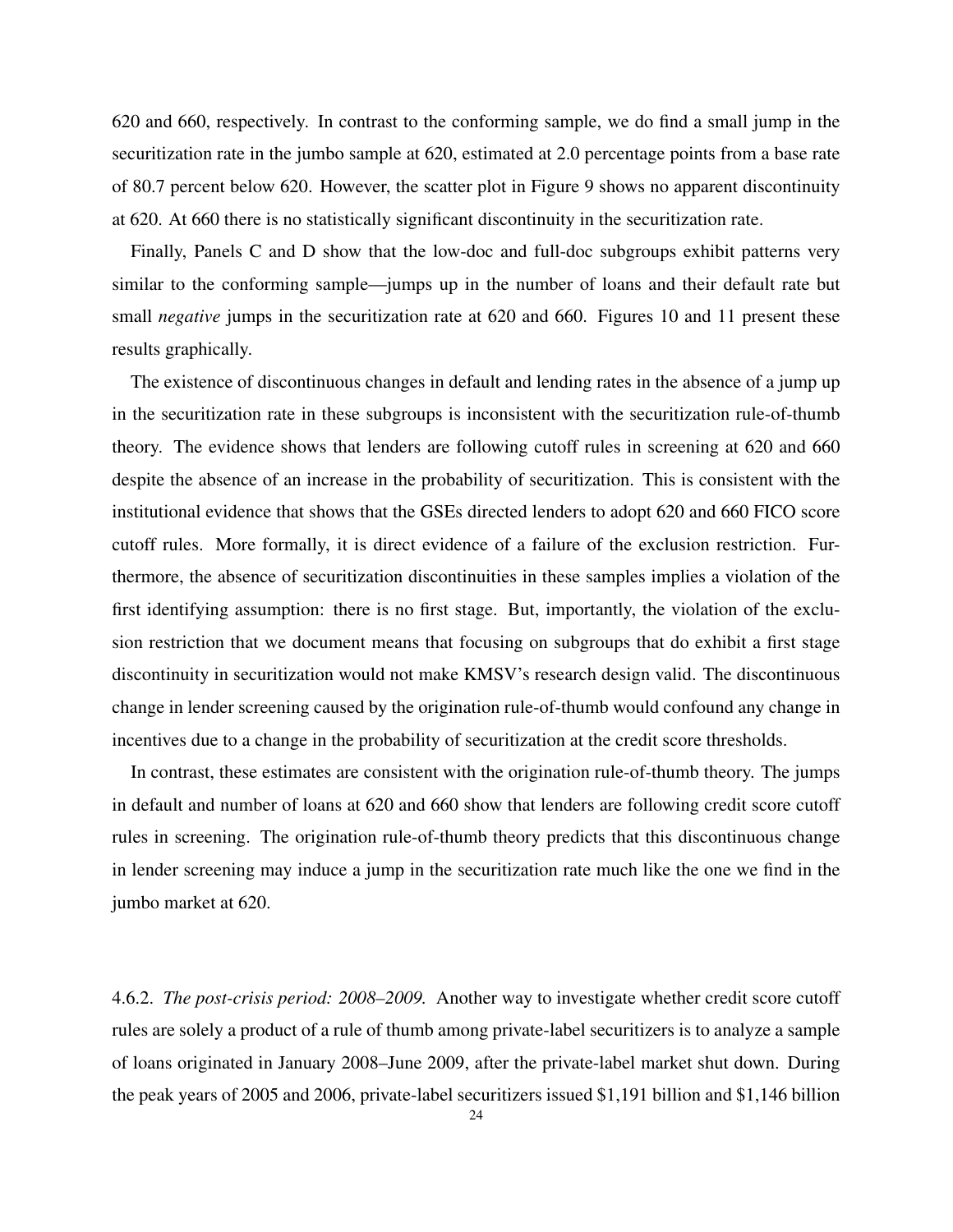620 and 660, respectively. In contrast to the conforming sample, we do find a small jump in the securitization rate in the jumbo sample at 620, estimated at 2.0 percentage points from a base rate of 80.7 percent below 620. However, the scatter plot in Figure 9 shows no apparent discontinuity at 620. At 660 there is no statistically significant discontinuity in the securitization rate.

Finally, Panels C and D show that the low-doc and full-doc subgroups exhibit patterns very similar to the conforming sample—jumps up in the number of loans and their default rate but small *negative* jumps in the securitization rate at 620 and 660. Figures 10 and 11 present these results graphically.

The existence of discontinuous changes in default and lending rates in the absence of a jump up in the securitization rate in these subgroups is inconsistent with the securitization rule-of-thumb theory. The evidence shows that lenders are following cutoff rules in screening at 620 and 660 despite the absence of an increase in the probability of securitization. This is consistent with the institutional evidence that shows that the GSEs directed lenders to adopt 620 and 660 FICO score cutoff rules. More formally, it is direct evidence of a failure of the exclusion restriction. Furthermore, the absence of securitization discontinuities in these samples implies a violation of the first identifying assumption: there is no first stage. But, importantly, the violation of the exclusion restriction that we document means that focusing on subgroups that do exhibit a first stage discontinuity in securitization would not make KMSV's research design valid. The discontinuous change in lender screening caused by the origination rule-of-thumb would confound any change in incentives due to a change in the probability of securitization at the credit score thresholds.

In contrast, these estimates are consistent with the origination rule-of-thumb theory. The jumps in default and number of loans at 620 and 660 show that lenders are following credit score cutoff rules in screening. The origination rule-of-thumb theory predicts that this discontinuous change in lender screening may induce a jump in the securitization rate much like the one we find in the jumbo market at 620.

4.6.2. *The post-crisis period: 2008–2009.* Another way to investigate whether credit score cutoff rules are solely a product of a rule of thumb among private-label securitizers is to analyze a sample of loans originated in January 2008–June 2009, after the private-label market shut down. During the peak years of 2005 and 2006, private-label securitizers issued \$1,191 billion and \$1,146 billion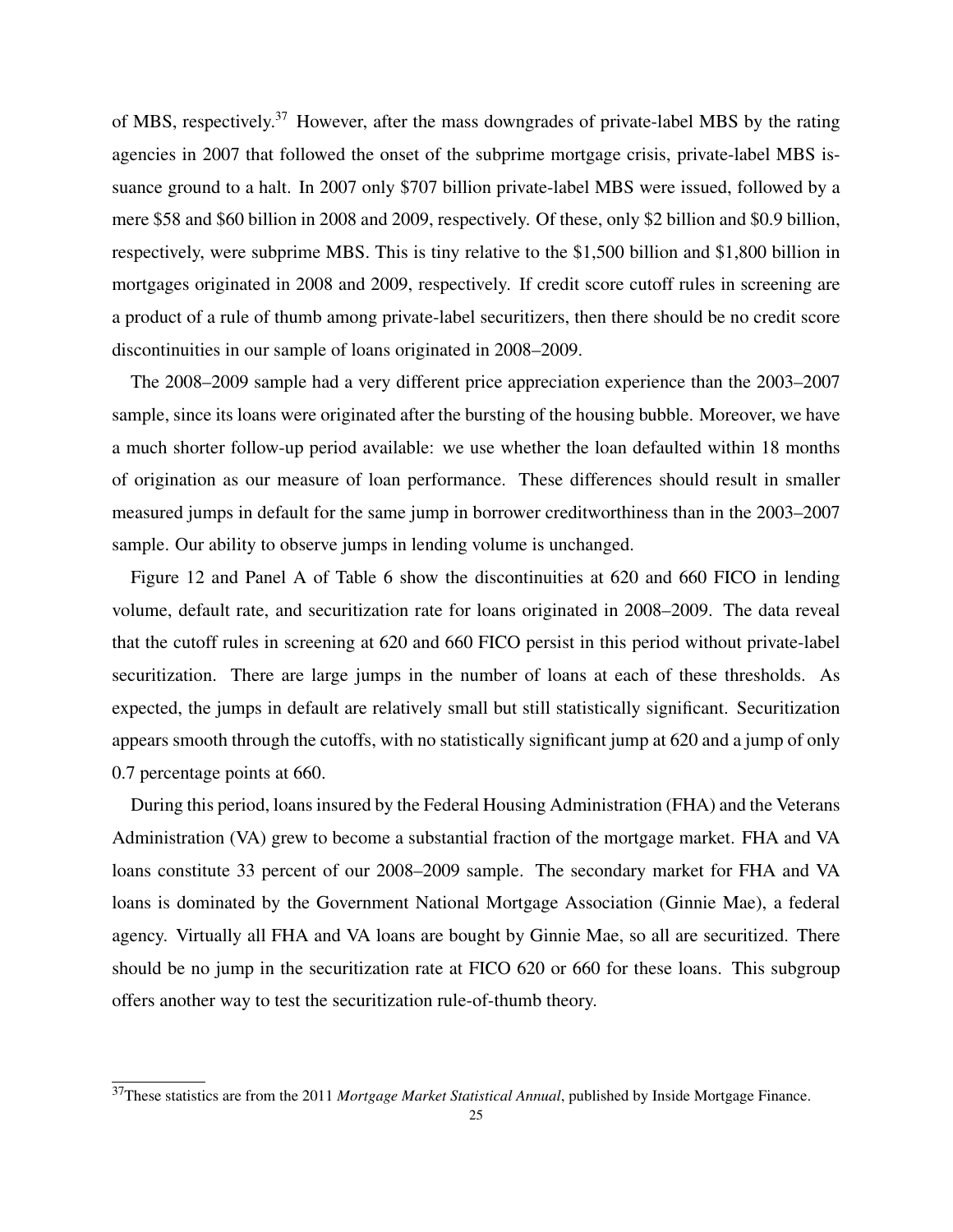of MBS, respectively.<sup>37</sup> However, after the mass downgrades of private-label MBS by the rating agencies in 2007 that followed the onset of the subprime mortgage crisis, private-label MBS issuance ground to a halt. In 2007 only \$707 billion private-label MBS were issued, followed by a mere \$58 and \$60 billion in 2008 and 2009, respectively. Of these, only \$2 billion and \$0.9 billion, respectively, were subprime MBS. This is tiny relative to the \$1,500 billion and \$1,800 billion in mortgages originated in 2008 and 2009, respectively. If credit score cutoff rules in screening are a product of a rule of thumb among private-label securitizers, then there should be no credit score discontinuities in our sample of loans originated in 2008–2009.

The 2008–2009 sample had a very different price appreciation experience than the 2003–2007 sample, since its loans were originated after the bursting of the housing bubble. Moreover, we have a much shorter follow-up period available: we use whether the loan defaulted within 18 months of origination as our measure of loan performance. These differences should result in smaller measured jumps in default for the same jump in borrower creditworthiness than in the 2003–2007 sample. Our ability to observe jumps in lending volume is unchanged.

Figure 12 and Panel A of Table 6 show the discontinuities at 620 and 660 FICO in lending volume, default rate, and securitization rate for loans originated in 2008–2009. The data reveal that the cutoff rules in screening at 620 and 660 FICO persist in this period without private-label securitization. There are large jumps in the number of loans at each of these thresholds. As expected, the jumps in default are relatively small but still statistically significant. Securitization appears smooth through the cutoffs, with no statistically significant jump at 620 and a jump of only 0.7 percentage points at 660.

During this period, loans insured by the Federal Housing Administration (FHA) and the Veterans Administration (VA) grew to become a substantial fraction of the mortgage market. FHA and VA loans constitute 33 percent of our 2008–2009 sample. The secondary market for FHA and VA loans is dominated by the Government National Mortgage Association (Ginnie Mae), a federal agency. Virtually all FHA and VA loans are bought by Ginnie Mae, so all are securitized. There should be no jump in the securitization rate at FICO 620 or 660 for these loans. This subgroup offers another way to test the securitization rule-of-thumb theory.

<sup>37</sup>These statistics are from the 2011 *Mortgage Market Statistical Annual*, published by Inside Mortgage Finance.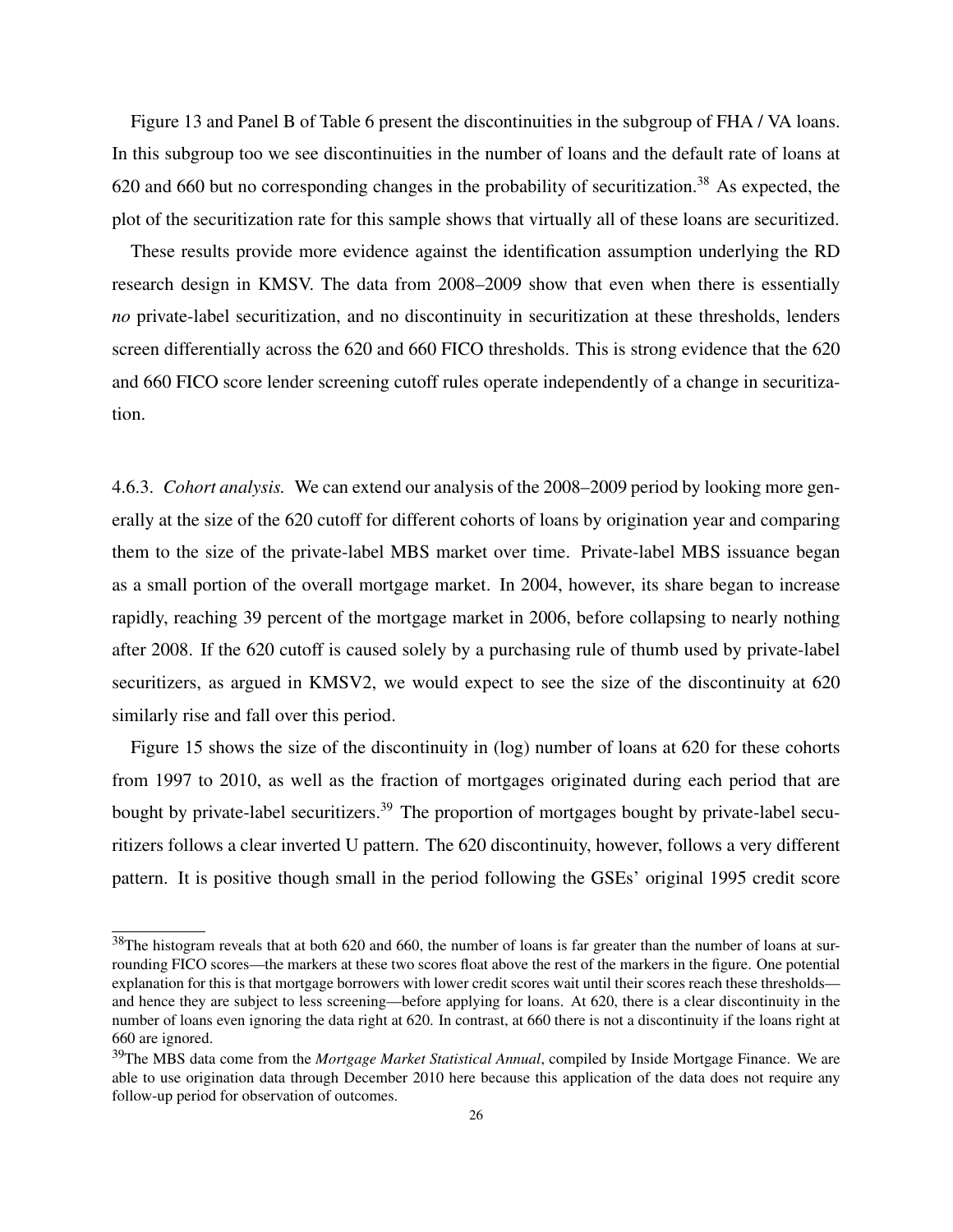Figure 13 and Panel B of Table 6 present the discontinuities in the subgroup of FHA / VA loans. In this subgroup too we see discontinuities in the number of loans and the default rate of loans at 620 and 660 but no corresponding changes in the probability of securitization.<sup>38</sup> As expected, the plot of the securitization rate for this sample shows that virtually all of these loans are securitized.

These results provide more evidence against the identification assumption underlying the RD research design in KMSV. The data from 2008–2009 show that even when there is essentially *no* private-label securitization, and no discontinuity in securitization at these thresholds, lenders screen differentially across the 620 and 660 FICO thresholds. This is strong evidence that the 620 and 660 FICO score lender screening cutoff rules operate independently of a change in securitization.

4.6.3. *Cohort analysis.* We can extend our analysis of the 2008–2009 period by looking more generally at the size of the 620 cutoff for different cohorts of loans by origination year and comparing them to the size of the private-label MBS market over time. Private-label MBS issuance began as a small portion of the overall mortgage market. In 2004, however, its share began to increase rapidly, reaching 39 percent of the mortgage market in 2006, before collapsing to nearly nothing after 2008. If the 620 cutoff is caused solely by a purchasing rule of thumb used by private-label securitizers, as argued in KMSV2, we would expect to see the size of the discontinuity at 620 similarly rise and fall over this period.

Figure 15 shows the size of the discontinuity in (log) number of loans at 620 for these cohorts from 1997 to 2010, as well as the fraction of mortgages originated during each period that are bought by private-label securitizers.<sup>39</sup> The proportion of mortgages bought by private-label securitizers follows a clear inverted U pattern. The 620 discontinuity, however, follows a very different pattern. It is positive though small in the period following the GSEs' original 1995 credit score

 $38$ The histogram reveals that at both 620 and 660, the number of loans is far greater than the number of loans at surrounding FICO scores—the markers at these two scores float above the rest of the markers in the figure. One potential explanation for this is that mortgage borrowers with lower credit scores wait until their scores reach these thresholds and hence they are subject to less screening—before applying for loans. At 620, there is a clear discontinuity in the number of loans even ignoring the data right at 620. In contrast, at 660 there is not a discontinuity if the loans right at 660 are ignored.

<sup>39</sup>The MBS data come from the *Mortgage Market Statistical Annual*, compiled by Inside Mortgage Finance. We are able to use origination data through December 2010 here because this application of the data does not require any follow-up period for observation of outcomes.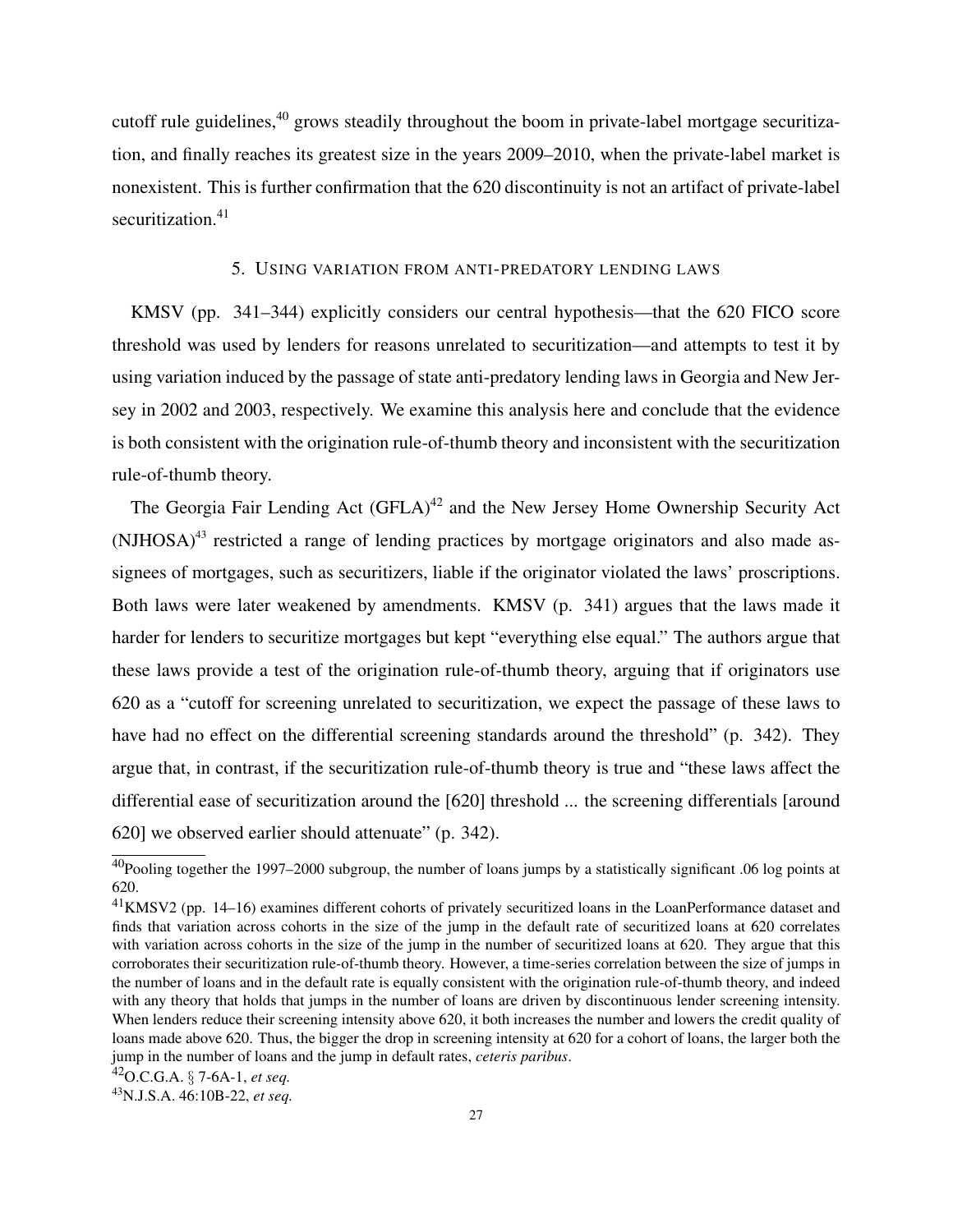cutoff rule guidelines,<sup>40</sup> grows steadily throughout the boom in private-label mortgage securitization, and finally reaches its greatest size in the years 2009–2010, when the private-label market is nonexistent. This is further confirmation that the 620 discontinuity is not an artifact of private-label securitization.<sup>41</sup>

## 5. USING VARIATION FROM ANTI-PREDATORY LENDING LAWS

KMSV (pp. 341–344) explicitly considers our central hypothesis—that the 620 FICO score threshold was used by lenders for reasons unrelated to securitization—and attempts to test it by using variation induced by the passage of state anti-predatory lending laws in Georgia and New Jersey in 2002 and 2003, respectively. We examine this analysis here and conclude that the evidence is both consistent with the origination rule-of-thumb theory and inconsistent with the securitization rule-of-thumb theory.

The Georgia Fair Lending Act  $(GFLA)^{42}$  and the New Jersey Home Ownership Security Act  $(NJHOSA)^{43}$  restricted a range of lending practices by mortgage originators and also made assignees of mortgages, such as securitizers, liable if the originator violated the laws' proscriptions. Both laws were later weakened by amendments. KMSV (p. 341) argues that the laws made it harder for lenders to securitize mortgages but kept "everything else equal." The authors argue that these laws provide a test of the origination rule-of-thumb theory, arguing that if originators use 620 as a "cutoff for screening unrelated to securitization, we expect the passage of these laws to have had no effect on the differential screening standards around the threshold" (p. 342). They argue that, in contrast, if the securitization rule-of-thumb theory is true and "these laws affect the differential ease of securitization around the [620] threshold ... the screening differentials [around 620] we observed earlier should attenuate" (p. 342).

<sup>&</sup>lt;sup>40</sup>Pooling together the 1997–2000 subgroup, the number of loans jumps by a statistically significant .06 log points at 620.

<sup>41</sup>KMSV2 (pp. 14–16) examines different cohorts of privately securitized loans in the LoanPerformance dataset and finds that variation across cohorts in the size of the jump in the default rate of securitized loans at 620 correlates with variation across cohorts in the size of the jump in the number of securitized loans at 620. They argue that this corroborates their securitization rule-of-thumb theory. However, a time-series correlation between the size of jumps in the number of loans and in the default rate is equally consistent with the origination rule-of-thumb theory, and indeed with any theory that holds that jumps in the number of loans are driven by discontinuous lender screening intensity. When lenders reduce their screening intensity above 620, it both increases the number and lowers the credit quality of loans made above 620. Thus, the bigger the drop in screening intensity at 620 for a cohort of loans, the larger both the jump in the number of loans and the jump in default rates, *ceteris paribus*.

<sup>42</sup>O.C.G.A. § 7-6A-1, *et seq.*

<sup>43</sup>N.J.S.A. 46:10B-22, *et seq.*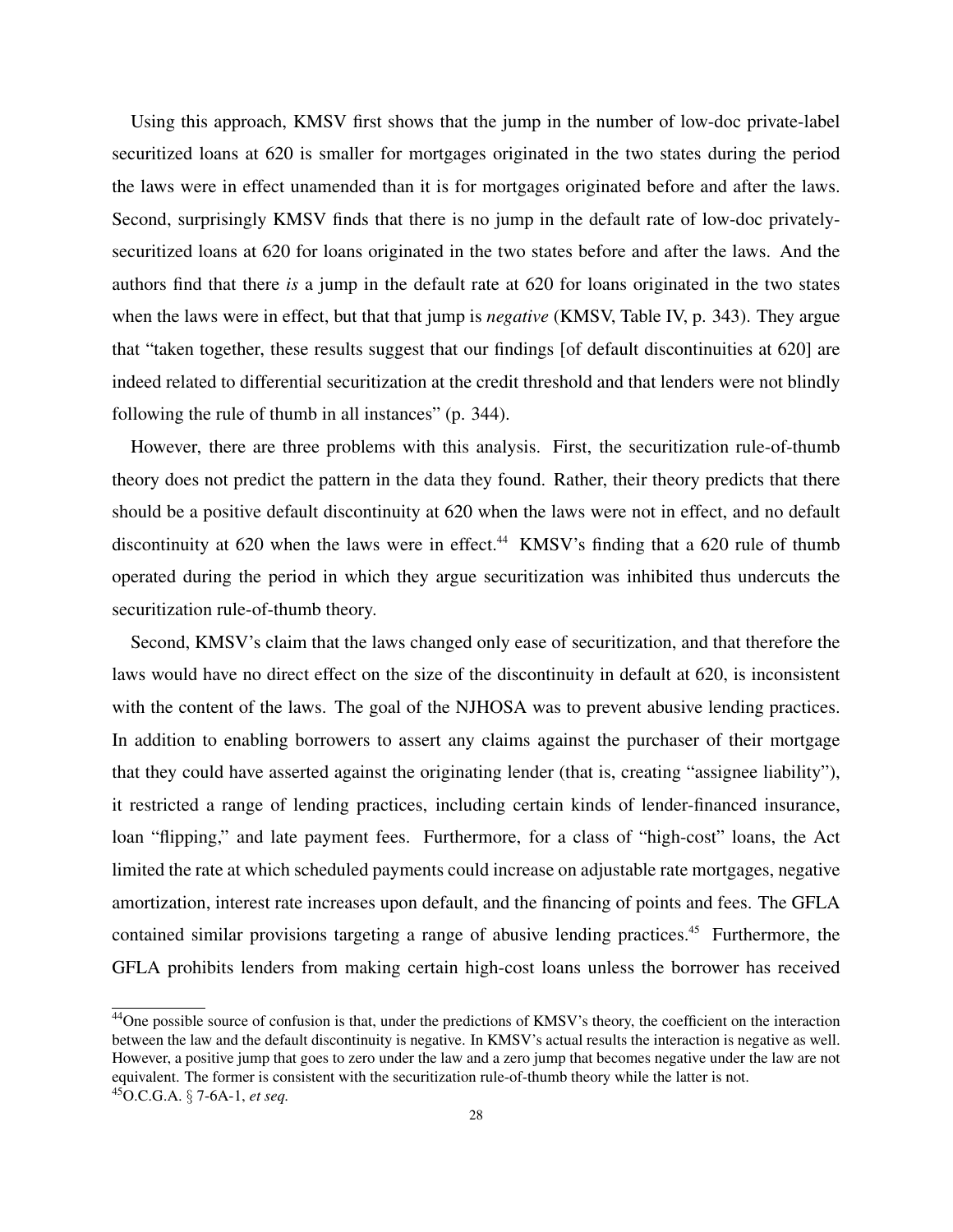Using this approach, KMSV first shows that the jump in the number of low-doc private-label securitized loans at 620 is smaller for mortgages originated in the two states during the period the laws were in effect unamended than it is for mortgages originated before and after the laws. Second, surprisingly KMSV finds that there is no jump in the default rate of low-doc privatelysecuritized loans at 620 for loans originated in the two states before and after the laws. And the authors find that there *is* a jump in the default rate at 620 for loans originated in the two states when the laws were in effect, but that that jump is *negative* (KMSV, Table IV, p. 343). They argue that "taken together, these results suggest that our findings [of default discontinuities at 620] are indeed related to differential securitization at the credit threshold and that lenders were not blindly following the rule of thumb in all instances" (p. 344).

However, there are three problems with this analysis. First, the securitization rule-of-thumb theory does not predict the pattern in the data they found. Rather, their theory predicts that there should be a positive default discontinuity at 620 when the laws were not in effect, and no default discontinuity at 620 when the laws were in effect.<sup>44</sup> KMSV's finding that a 620 rule of thumb operated during the period in which they argue securitization was inhibited thus undercuts the securitization rule-of-thumb theory.

Second, KMSV's claim that the laws changed only ease of securitization, and that therefore the laws would have no direct effect on the size of the discontinuity in default at 620, is inconsistent with the content of the laws. The goal of the NJHOSA was to prevent abusive lending practices. In addition to enabling borrowers to assert any claims against the purchaser of their mortgage that they could have asserted against the originating lender (that is, creating "assignee liability"), it restricted a range of lending practices, including certain kinds of lender-financed insurance, loan "flipping," and late payment fees. Furthermore, for a class of "high-cost" loans, the Act limited the rate at which scheduled payments could increase on adjustable rate mortgages, negative amortization, interest rate increases upon default, and the financing of points and fees. The GFLA contained similar provisions targeting a range of abusive lending practices.<sup>45</sup> Furthermore, the GFLA prohibits lenders from making certain high-cost loans unless the borrower has received

<sup>&</sup>lt;sup>44</sup>One possible source of confusion is that, under the predictions of KMSV's theory, the coefficient on the interaction between the law and the default discontinuity is negative. In KMSV's actual results the interaction is negative as well. However, a positive jump that goes to zero under the law and a zero jump that becomes negative under the law are not equivalent. The former is consistent with the securitization rule-of-thumb theory while the latter is not. <sup>45</sup>O.C.G.A. § 7-6A-1, *et seq.*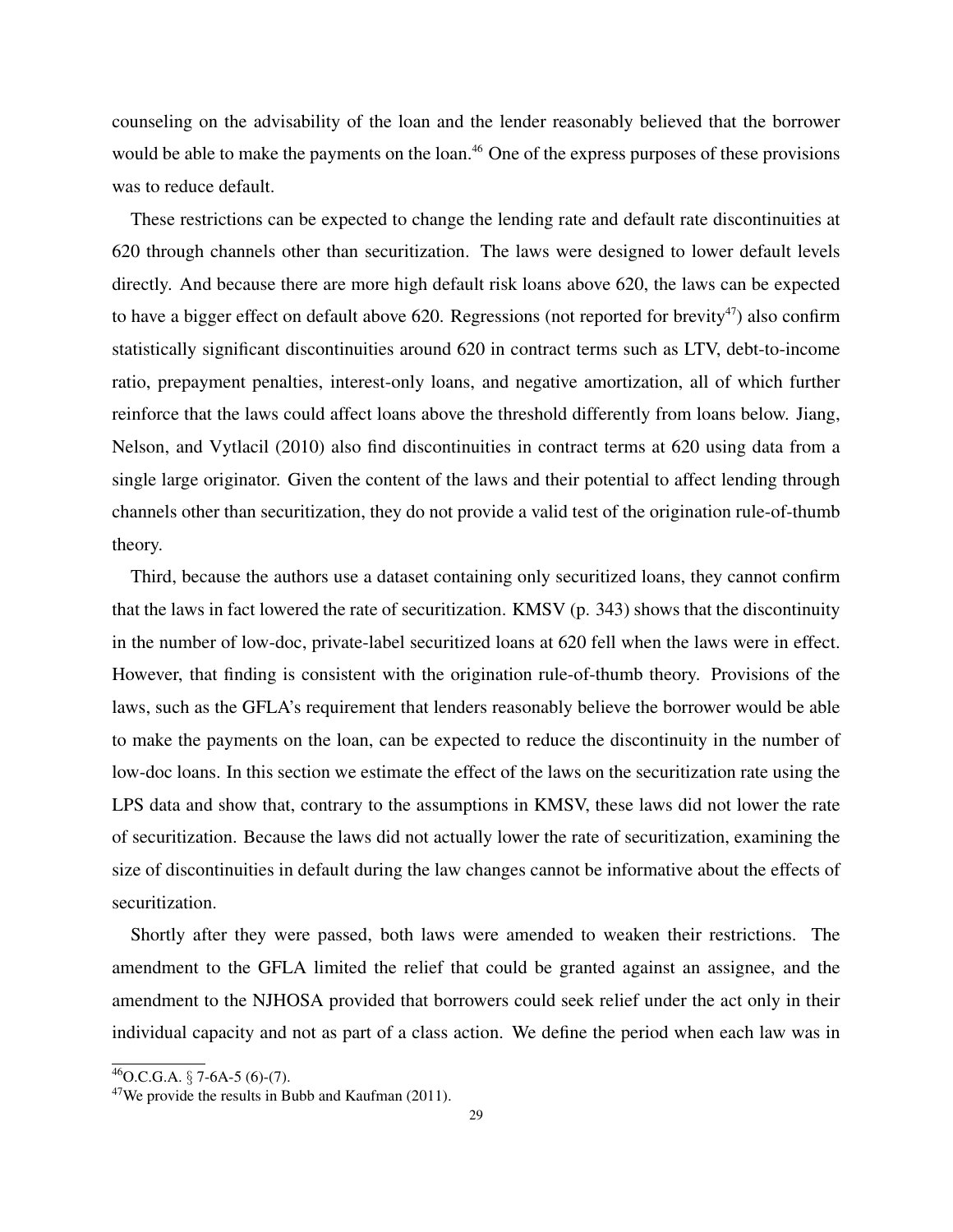counseling on the advisability of the loan and the lender reasonably believed that the borrower would be able to make the payments on the loan.<sup>46</sup> One of the express purposes of these provisions was to reduce default.

These restrictions can be expected to change the lending rate and default rate discontinuities at 620 through channels other than securitization. The laws were designed to lower default levels directly. And because there are more high default risk loans above 620, the laws can be expected to have a bigger effect on default above 620. Regressions (not reported for brevity<sup>47</sup>) also confirm statistically significant discontinuities around 620 in contract terms such as LTV, debt-to-income ratio, prepayment penalties, interest-only loans, and negative amortization, all of which further reinforce that the laws could affect loans above the threshold differently from loans below. Jiang, Nelson, and Vytlacil (2010) also find discontinuities in contract terms at 620 using data from a single large originator. Given the content of the laws and their potential to affect lending through channels other than securitization, they do not provide a valid test of the origination rule-of-thumb theory.

Third, because the authors use a dataset containing only securitized loans, they cannot confirm that the laws in fact lowered the rate of securitization. KMSV (p. 343) shows that the discontinuity in the number of low-doc, private-label securitized loans at 620 fell when the laws were in effect. However, that finding is consistent with the origination rule-of-thumb theory. Provisions of the laws, such as the GFLA's requirement that lenders reasonably believe the borrower would be able to make the payments on the loan, can be expected to reduce the discontinuity in the number of low-doc loans. In this section we estimate the effect of the laws on the securitization rate using the LPS data and show that, contrary to the assumptions in KMSV, these laws did not lower the rate of securitization. Because the laws did not actually lower the rate of securitization, examining the size of discontinuities in default during the law changes cannot be informative about the effects of securitization.

Shortly after they were passed, both laws were amended to weaken their restrictions. The amendment to the GFLA limited the relief that could be granted against an assignee, and the amendment to the NJHOSA provided that borrowers could seek relief under the act only in their individual capacity and not as part of a class action. We define the period when each law was in

 $^{46}$ O.C.G.A. § 7-6A-5 (6)-(7).

 $47$ We provide the results in Bubb and Kaufman (2011).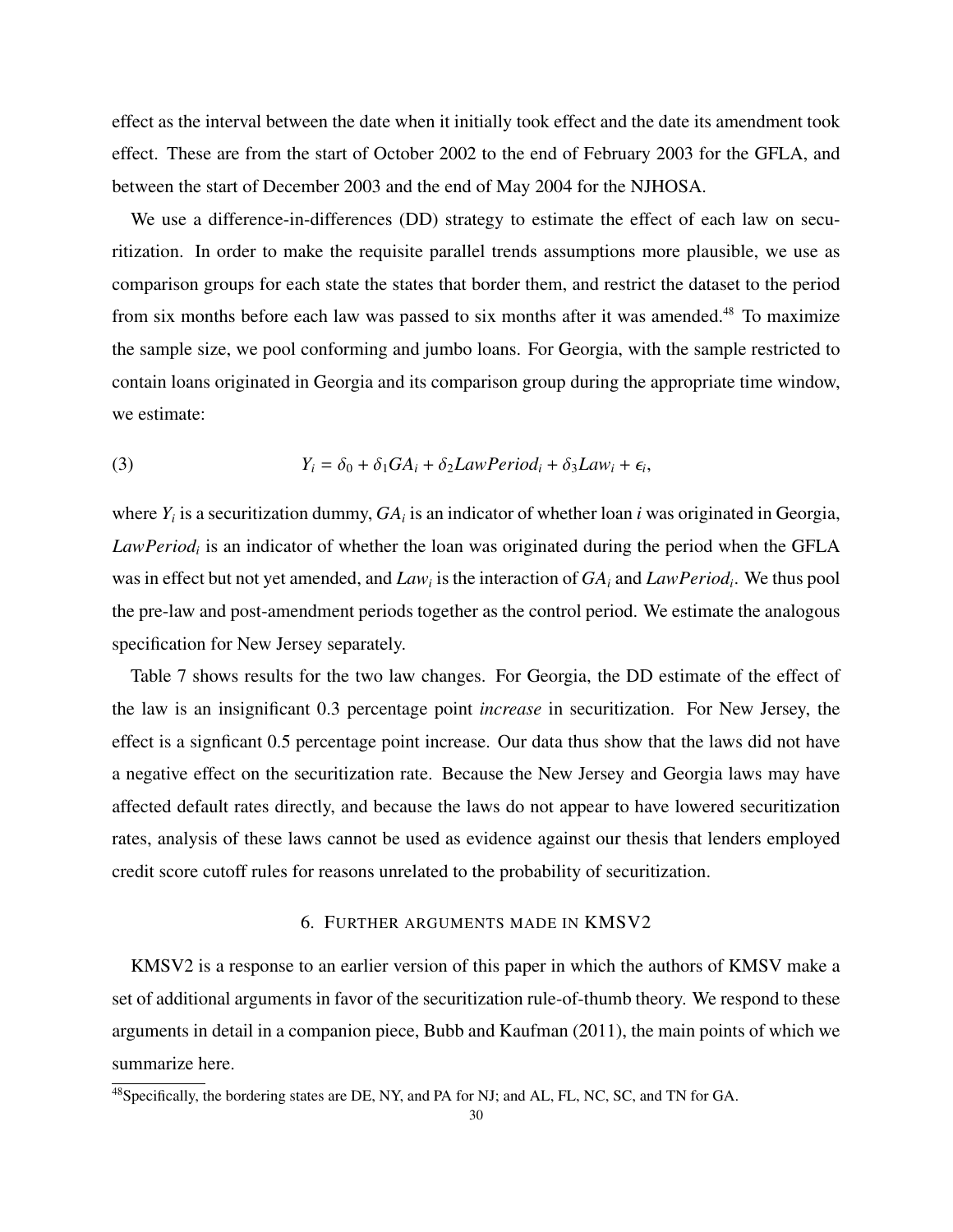effect as the interval between the date when it initially took effect and the date its amendment took effect. These are from the start of October 2002 to the end of February 2003 for the GFLA, and between the start of December 2003 and the end of May 2004 for the NJHOSA.

We use a difference-in-differences (DD) strategy to estimate the effect of each law on securitization. In order to make the requisite parallel trends assumptions more plausible, we use as comparison groups for each state the states that border them, and restrict the dataset to the period from six months before each law was passed to six months after it was amended.<sup>48</sup> To maximize the sample size, we pool conforming and jumbo loans. For Georgia, with the sample restricted to contain loans originated in Georgia and its comparison group during the appropriate time window, we estimate:

(3) 
$$
Y_i = \delta_0 + \delta_1 GA_i + \delta_2 LawPeriod_i + \delta_3 Law_i + \epsilon_i,
$$

where  $Y_i$  is a securitization dummy,  $GA_i$  is an indicator of whether loan *i* was originated in Georgia, *LawPeriod<sup>i</sup>* is an indicator of whether the loan was originated during the period when the GFLA was in effect but not yet amended, and *Law<sup>i</sup>* is the interaction of *GA<sup>i</sup>* and *LawPeriod<sup>i</sup>* . We thus pool the pre-law and post-amendment periods together as the control period. We estimate the analogous specification for New Jersey separately.

Table 7 shows results for the two law changes. For Georgia, the DD estimate of the effect of the law is an insignificant 0.3 percentage point *increase* in securitization. For New Jersey, the effect is a signficant 0.5 percentage point increase. Our data thus show that the laws did not have a negative effect on the securitization rate. Because the New Jersey and Georgia laws may have affected default rates directly, and because the laws do not appear to have lowered securitization rates, analysis of these laws cannot be used as evidence against our thesis that lenders employed credit score cutoff rules for reasons unrelated to the probability of securitization.

# 6. FURTHER ARGUMENTS MADE IN KMSV2

KMSV2 is a response to an earlier version of this paper in which the authors of KMSV make a set of additional arguments in favor of the securitization rule-of-thumb theory. We respond to these arguments in detail in a companion piece, Bubb and Kaufman (2011), the main points of which we summarize here.

<sup>&</sup>lt;sup>48</sup>Specifically, the bordering states are DE, NY, and PA for NJ; and AL, FL, NC, SC, and TN for GA.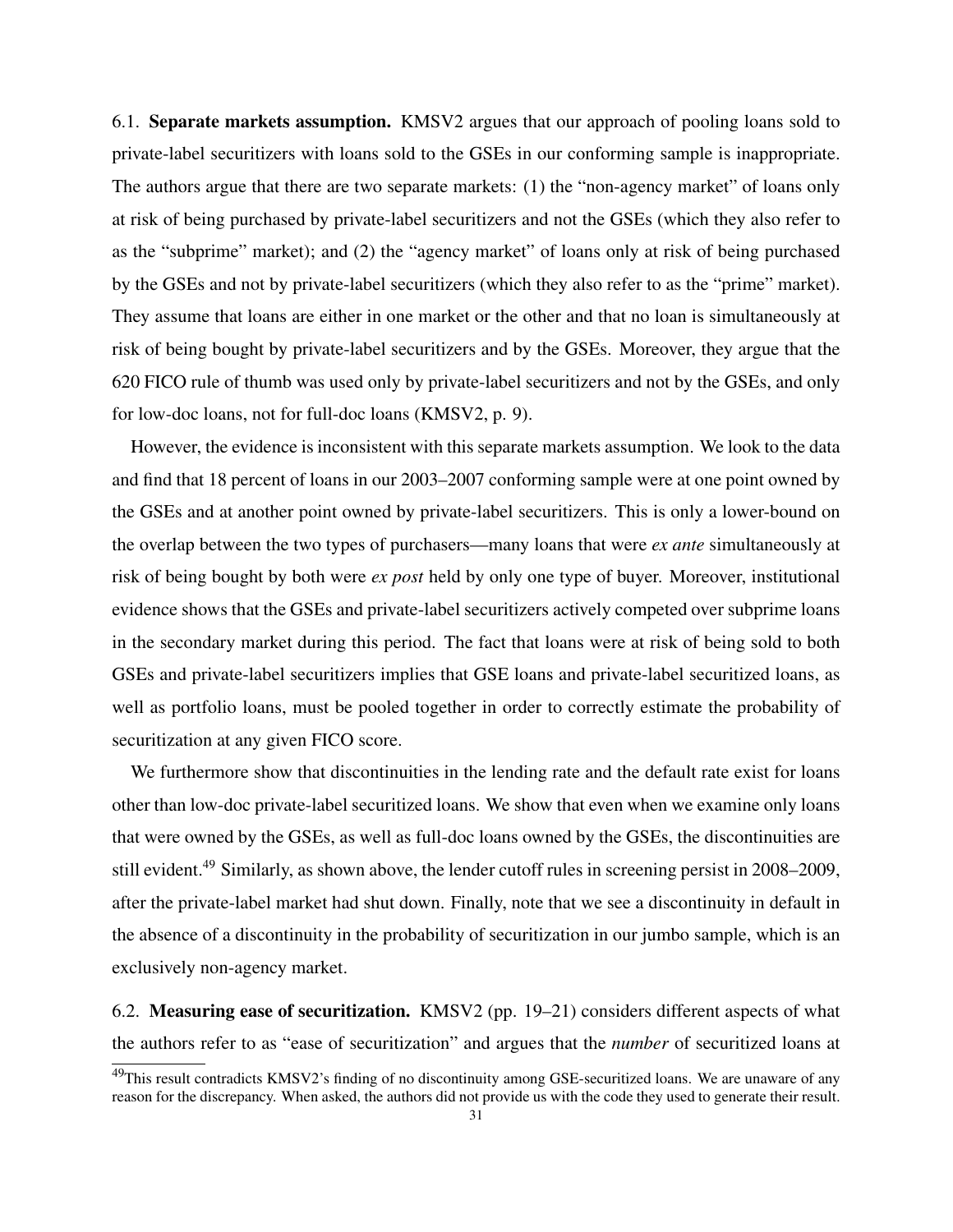6.1. Separate markets assumption. KMSV2 argues that our approach of pooling loans sold to private-label securitizers with loans sold to the GSEs in our conforming sample is inappropriate. The authors argue that there are two separate markets: (1) the "non-agency market" of loans only at risk of being purchased by private-label securitizers and not the GSEs (which they also refer to as the "subprime" market); and (2) the "agency market" of loans only at risk of being purchased by the GSEs and not by private-label securitizers (which they also refer to as the "prime" market). They assume that loans are either in one market or the other and that no loan is simultaneously at risk of being bought by private-label securitizers and by the GSEs. Moreover, they argue that the 620 FICO rule of thumb was used only by private-label securitizers and not by the GSEs, and only for low-doc loans, not for full-doc loans (KMSV2, p. 9).

However, the evidence is inconsistent with this separate markets assumption. We look to the data and find that 18 percent of loans in our 2003–2007 conforming sample were at one point owned by the GSEs and at another point owned by private-label securitizers. This is only a lower-bound on the overlap between the two types of purchasers—many loans that were *ex ante* simultaneously at risk of being bought by both were *ex post* held by only one type of buyer. Moreover, institutional evidence shows that the GSEs and private-label securitizers actively competed over subprime loans in the secondary market during this period. The fact that loans were at risk of being sold to both GSEs and private-label securitizers implies that GSE loans and private-label securitized loans, as well as portfolio loans, must be pooled together in order to correctly estimate the probability of securitization at any given FICO score.

We furthermore show that discontinuities in the lending rate and the default rate exist for loans other than low-doc private-label securitized loans. We show that even when we examine only loans that were owned by the GSEs, as well as full-doc loans owned by the GSEs, the discontinuities are still evident.<sup>49</sup> Similarly, as shown above, the lender cutoff rules in screening persist in 2008–2009, after the private-label market had shut down. Finally, note that we see a discontinuity in default in the absence of a discontinuity in the probability of securitization in our jumbo sample, which is an exclusively non-agency market.

6.2. Measuring ease of securitization. KMSV2 (pp. 19–21) considers different aspects of what the authors refer to as "ease of securitization" and argues that the *number* of securitized loans at

 $49$ This result contradicts KMSV2's finding of no discontinuity among GSE-securitized loans. We are unaware of any reason for the discrepancy. When asked, the authors did not provide us with the code they used to generate their result.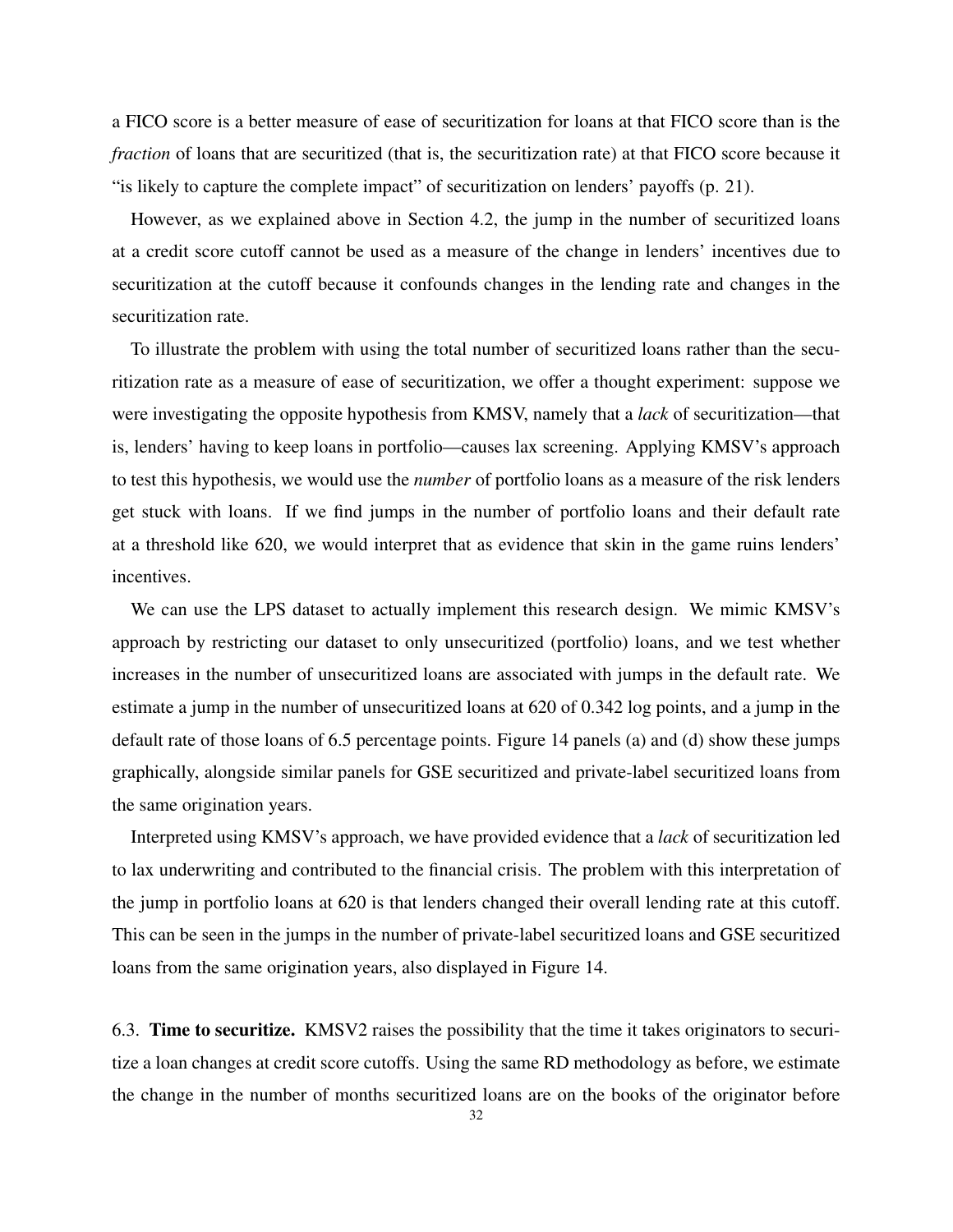a FICO score is a better measure of ease of securitization for loans at that FICO score than is the *fraction* of loans that are securitized (that is, the securitization rate) at that FICO score because it "is likely to capture the complete impact" of securitization on lenders' payoffs (p. 21).

However, as we explained above in Section 4.2, the jump in the number of securitized loans at a credit score cutoff cannot be used as a measure of the change in lenders' incentives due to securitization at the cutoff because it confounds changes in the lending rate and changes in the securitization rate.

To illustrate the problem with using the total number of securitized loans rather than the securitization rate as a measure of ease of securitization, we offer a thought experiment: suppose we were investigating the opposite hypothesis from KMSV, namely that a *lack* of securitization—that is, lenders' having to keep loans in portfolio—causes lax screening. Applying KMSV's approach to test this hypothesis, we would use the *number* of portfolio loans as a measure of the risk lenders get stuck with loans. If we find jumps in the number of portfolio loans and their default rate at a threshold like 620, we would interpret that as evidence that skin in the game ruins lenders' incentives.

We can use the LPS dataset to actually implement this research design. We mimic KMSV's approach by restricting our dataset to only unsecuritized (portfolio) loans, and we test whether increases in the number of unsecuritized loans are associated with jumps in the default rate. We estimate a jump in the number of unsecuritized loans at 620 of 0.342 log points, and a jump in the default rate of those loans of 6.5 percentage points. Figure 14 panels (a) and (d) show these jumps graphically, alongside similar panels for GSE securitized and private-label securitized loans from the same origination years.

Interpreted using KMSV's approach, we have provided evidence that a *lack* of securitization led to lax underwriting and contributed to the financial crisis. The problem with this interpretation of the jump in portfolio loans at 620 is that lenders changed their overall lending rate at this cutoff. This can be seen in the jumps in the number of private-label securitized loans and GSE securitized loans from the same origination years, also displayed in Figure 14.

6.3. Time to securitize. KMSV2 raises the possibility that the time it takes originators to securitize a loan changes at credit score cutoffs. Using the same RD methodology as before, we estimate the change in the number of months securitized loans are on the books of the originator before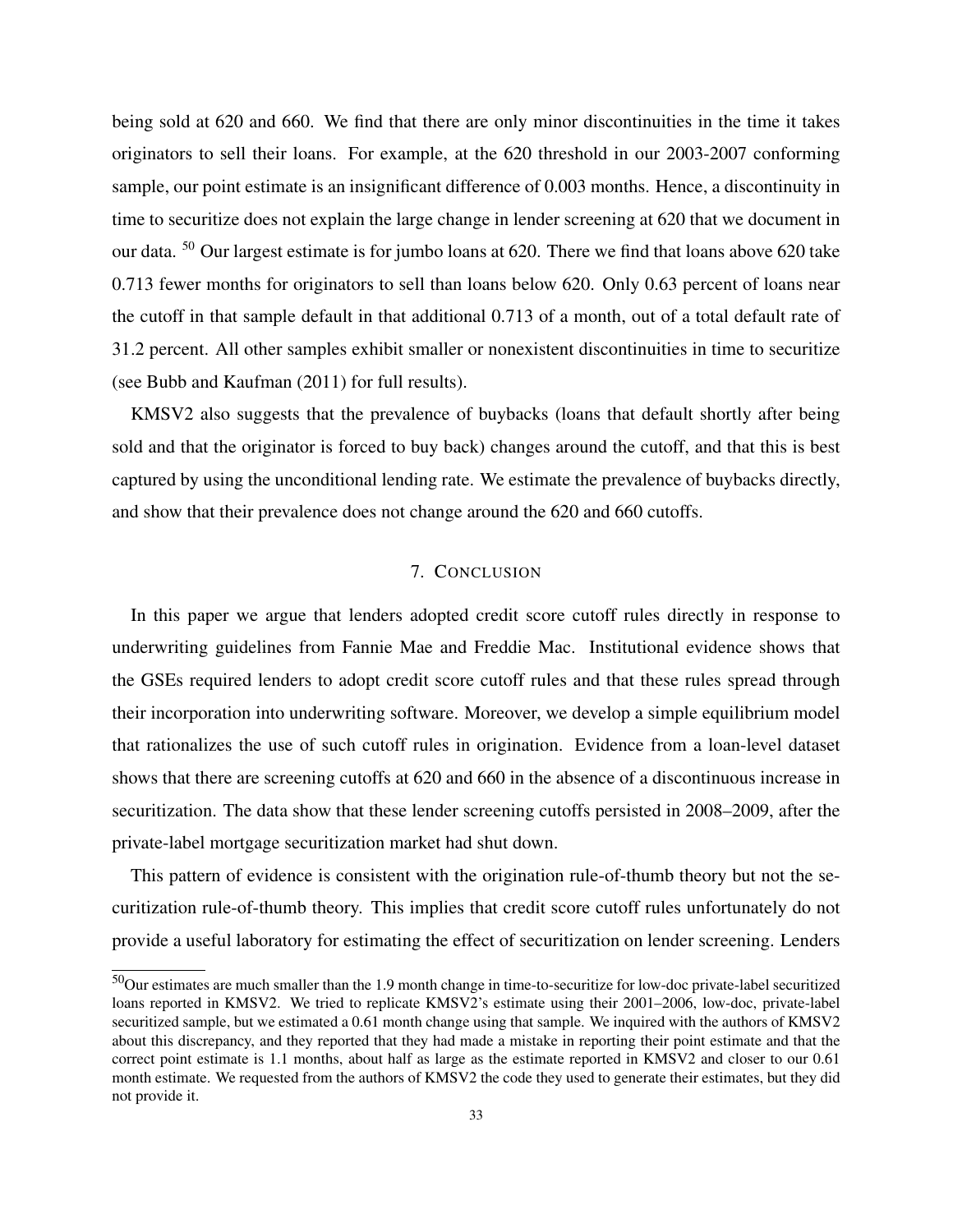being sold at 620 and 660. We find that there are only minor discontinuities in the time it takes originators to sell their loans. For example, at the 620 threshold in our 2003-2007 conforming sample, our point estimate is an insignificant difference of 0.003 months. Hence, a discontinuity in time to securitize does not explain the large change in lender screening at 620 that we document in our data. <sup>50</sup> Our largest estimate is for jumbo loans at 620. There we find that loans above 620 take 0.713 fewer months for originators to sell than loans below 620. Only 0.63 percent of loans near the cutoff in that sample default in that additional 0.713 of a month, out of a total default rate of 31.2 percent. All other samples exhibit smaller or nonexistent discontinuities in time to securitize (see Bubb and Kaufman (2011) for full results).

KMSV2 also suggests that the prevalence of buybacks (loans that default shortly after being sold and that the originator is forced to buy back) changes around the cutoff, and that this is best captured by using the unconditional lending rate. We estimate the prevalence of buybacks directly, and show that their prevalence does not change around the 620 and 660 cutoffs.

#### 7. CONCLUSION

In this paper we argue that lenders adopted credit score cutoff rules directly in response to underwriting guidelines from Fannie Mae and Freddie Mac. Institutional evidence shows that the GSEs required lenders to adopt credit score cutoff rules and that these rules spread through their incorporation into underwriting software. Moreover, we develop a simple equilibrium model that rationalizes the use of such cutoff rules in origination. Evidence from a loan-level dataset shows that there are screening cutoffs at 620 and 660 in the absence of a discontinuous increase in securitization. The data show that these lender screening cutoffs persisted in 2008–2009, after the private-label mortgage securitization market had shut down.

This pattern of evidence is consistent with the origination rule-of-thumb theory but not the securitization rule-of-thumb theory. This implies that credit score cutoff rules unfortunately do not provide a useful laboratory for estimating the effect of securitization on lender screening. Lenders

<sup>50</sup>Our estimates are much smaller than the 1.9 month change in time-to-securitize for low-doc private-label securitized loans reported in KMSV2. We tried to replicate KMSV2's estimate using their 2001–2006, low-doc, private-label securitized sample, but we estimated a 0.61 month change using that sample. We inquired with the authors of KMSV2 about this discrepancy, and they reported that they had made a mistake in reporting their point estimate and that the correct point estimate is 1.1 months, about half as large as the estimate reported in KMSV2 and closer to our 0.61 month estimate. We requested from the authors of KMSV2 the code they used to generate their estimates, but they did not provide it.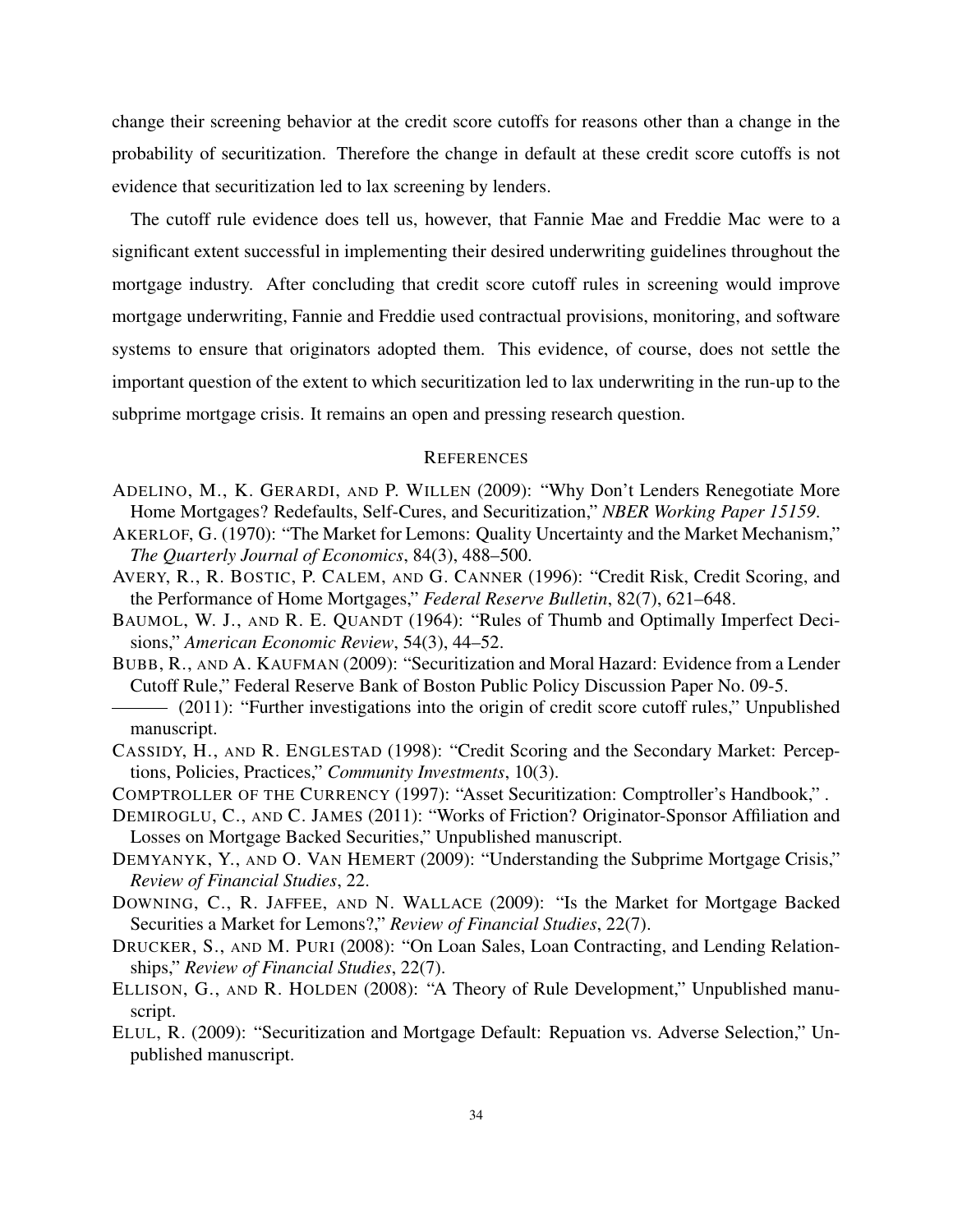change their screening behavior at the credit score cutoffs for reasons other than a change in the probability of securitization. Therefore the change in default at these credit score cutoffs is not evidence that securitization led to lax screening by lenders.

The cutoff rule evidence does tell us, however, that Fannie Mae and Freddie Mac were to a significant extent successful in implementing their desired underwriting guidelines throughout the mortgage industry. After concluding that credit score cutoff rules in screening would improve mortgage underwriting, Fannie and Freddie used contractual provisions, monitoring, and software systems to ensure that originators adopted them. This evidence, of course, does not settle the important question of the extent to which securitization led to lax underwriting in the run-up to the subprime mortgage crisis. It remains an open and pressing research question.

#### **REFERENCES**

- ADELINO, M., K. GERARDI, AND P. WILLEN (2009): "Why Don't Lenders Renegotiate More Home Mortgages? Redefaults, Self-Cures, and Securitization," *NBER Working Paper 15159*.
- AKERLOF, G. (1970): "The Market for Lemons: Quality Uncertainty and the Market Mechanism," *The Quarterly Journal of Economics*, 84(3), 488–500.
- AVERY, R., R. BOSTIC, P. CALEM, AND G. CANNER (1996): "Credit Risk, Credit Scoring, and the Performance of Home Mortgages," *Federal Reserve Bulletin*, 82(7), 621–648.
- BAUMOL, W. J., AND R. E. QUANDT (1964): "Rules of Thumb and Optimally Imperfect Decisions," *American Economic Review*, 54(3), 44–52.
- BUBB, R., AND A. KAUFMAN (2009): "Securitization and Moral Hazard: Evidence from a Lender Cutoff Rule," Federal Reserve Bank of Boston Public Policy Discussion Paper No. 09-5.
- (2011): "Further investigations into the origin of credit score cutoff rules," Unpublished manuscript.
- CASSIDY, H., AND R. ENGLESTAD (1998): "Credit Scoring and the Secondary Market: Perceptions, Policies, Practices," *Community Investments*, 10(3).
- COMPTROLLER OF THE CURRENCY (1997): "Asset Securitization: Comptroller's Handbook," .
- DEMIROGLU, C., AND C. JAMES (2011): "Works of Friction? Originator-Sponsor Affiliation and Losses on Mortgage Backed Securities," Unpublished manuscript.
- DEMYANYK, Y., AND O. VAN HEMERT (2009): "Understanding the Subprime Mortgage Crisis," *Review of Financial Studies*, 22.
- DOWNING, C., R. JAFFEE, AND N. WALLACE (2009): "Is the Market for Mortgage Backed Securities a Market for Lemons?," *Review of Financial Studies*, 22(7).
- DRUCKER, S., AND M. PURI (2008): "On Loan Sales, Loan Contracting, and Lending Relationships," *Review of Financial Studies*, 22(7).
- ELLISON, G., AND R. HOLDEN (2008): "A Theory of Rule Development," Unpublished manuscript.
- ELUL, R. (2009): "Securitization and Mortgage Default: Repuation vs. Adverse Selection," Unpublished manuscript.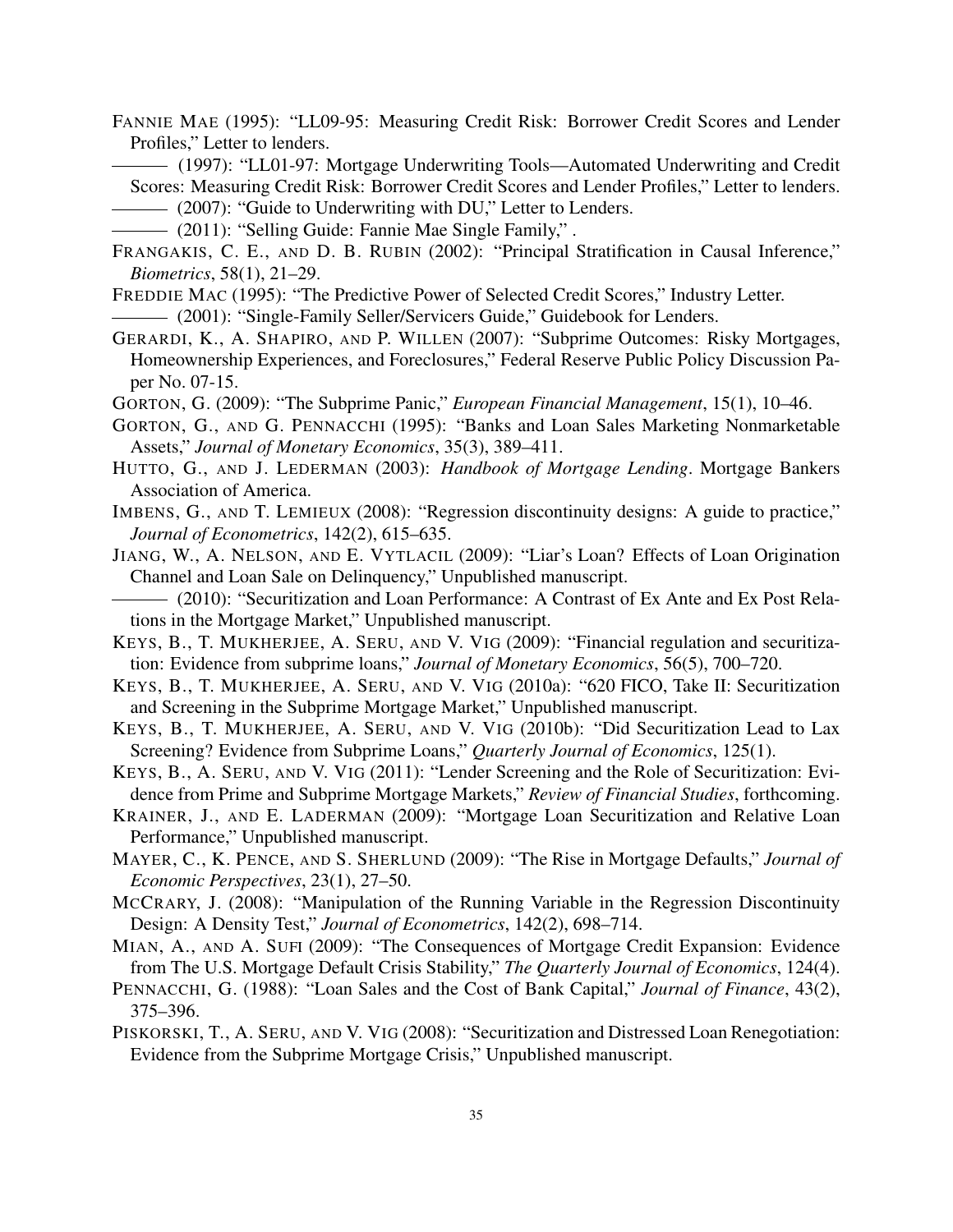FANNIE MAE (1995): "LL09-95: Measuring Credit Risk: Borrower Credit Scores and Lender Profiles," Letter to lenders.

(1997): "LL01-97: Mortgage Underwriting Tools—Automated Underwriting and Credit Scores: Measuring Credit Risk: Borrower Credit Scores and Lender Profiles," Letter to lenders.

(2007): "Guide to Underwriting with DU," Letter to Lenders.

(2011): "Selling Guide: Fannie Mae Single Family," .

- FRANGAKIS, C. E., AND D. B. RUBIN (2002): "Principal Stratification in Causal Inference," *Biometrics*, 58(1), 21–29.
- FREDDIE MAC (1995): "The Predictive Power of Selected Credit Scores," Industry Letter.

(2001): "Single-Family Seller/Servicers Guide," Guidebook for Lenders.

- GERARDI, K., A. SHAPIRO, AND P. WILLEN (2007): "Subprime Outcomes: Risky Mortgages, Homeownership Experiences, and Foreclosures," Federal Reserve Public Policy Discussion Paper No. 07-15.
- GORTON, G. (2009): "The Subprime Panic," *European Financial Management*, 15(1), 10–46.
- GORTON, G., AND G. PENNACCHI (1995): "Banks and Loan Sales Marketing Nonmarketable Assets," *Journal of Monetary Economics*, 35(3), 389–411.
- HUTTO, G., AND J. LEDERMAN (2003): *Handbook of Mortgage Lending*. Mortgage Bankers Association of America.
- IMBENS, G., AND T. LEMIEUX (2008): "Regression discontinuity designs: A guide to practice," *Journal of Econometrics*, 142(2), 615–635.
- JIANG, W., A. NELSON, AND E. VYTLACIL (2009): "Liar's Loan? Effects of Loan Origination Channel and Loan Sale on Delinquency," Unpublished manuscript.

(2010): "Securitization and Loan Performance: A Contrast of Ex Ante and Ex Post Relations in the Mortgage Market," Unpublished manuscript.

- KEYS, B., T. MUKHERJEE, A. SERU, AND V. VIG (2009): "Financial regulation and securitization: Evidence from subprime loans," *Journal of Monetary Economics*, 56(5), 700–720.
- KEYS, B., T. MUKHERJEE, A. SERU, AND V. VIG (2010a): "620 FICO, Take II: Securitization and Screening in the Subprime Mortgage Market," Unpublished manuscript.
- KEYS, B., T. MUKHERJEE, A. SERU, AND V. VIG (2010b): "Did Securitization Lead to Lax Screening? Evidence from Subprime Loans," *Quarterly Journal of Economics*, 125(1).
- KEYS, B., A. SERU, AND V. VIG (2011): "Lender Screening and the Role of Securitization: Evidence from Prime and Subprime Mortgage Markets," *Review of Financial Studies*, forthcoming.
- KRAINER, J., AND E. LADERMAN (2009): "Mortgage Loan Securitization and Relative Loan Performance," Unpublished manuscript.
- MAYER, C., K. PENCE, AND S. SHERLUND (2009): "The Rise in Mortgage Defaults," *Journal of Economic Perspectives*, 23(1), 27–50.
- MCCRARY, J. (2008): "Manipulation of the Running Variable in the Regression Discontinuity Design: A Density Test," *Journal of Econometrics*, 142(2), 698–714.
- MIAN, A., AND A. SUFI (2009): "The Consequences of Mortgage Credit Expansion: Evidence from The U.S. Mortgage Default Crisis Stability," *The Quarterly Journal of Economics*, 124(4).
- PENNACCHI, G. (1988): "Loan Sales and the Cost of Bank Capital," *Journal of Finance*, 43(2), 375–396.
- PISKORSKI, T., A. SERU, AND V. VIG (2008): "Securitization and Distressed Loan Renegotiation: Evidence from the Subprime Mortgage Crisis," Unpublished manuscript.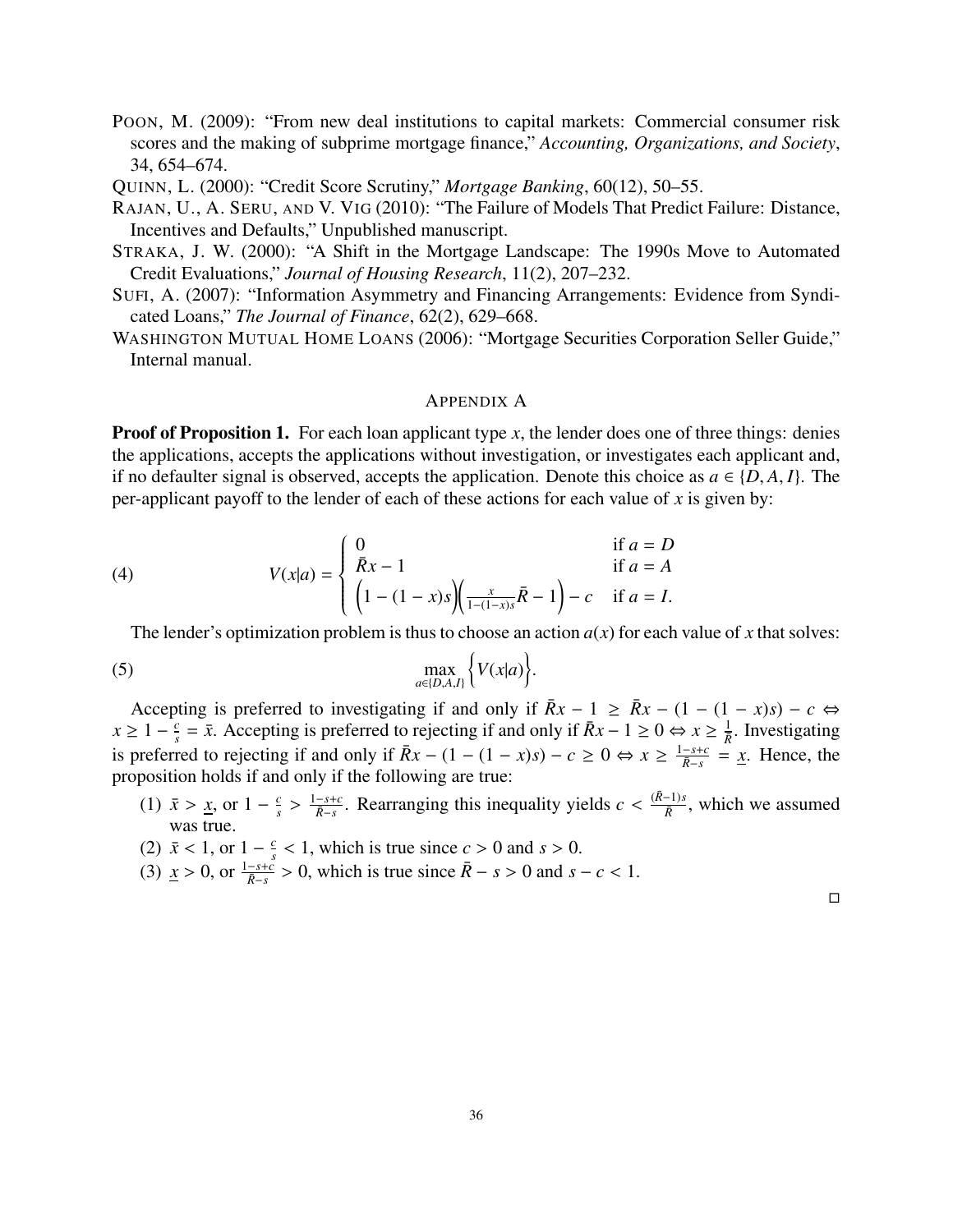- POON, M. (2009): "From new deal institutions to capital markets: Commercial consumer risk scores and the making of subprime mortgage finance," *Accounting, Organizations, and Society*, 34, 654–674.
- QUINN, L. (2000): "Credit Score Scrutiny," *Mortgage Banking*, 60(12), 50–55.
- RAJAN, U., A. SERU, AND V. VIG (2010): "The Failure of Models That Predict Failure: Distance, Incentives and Defaults," Unpublished manuscript.
- STRAKA, J. W. (2000): "A Shift in the Mortgage Landscape: The 1990s Move to Automated Credit Evaluations," *Journal of Housing Research*, 11(2), 207–232.
- SUFI, A. (2007): "Information Asymmetry and Financing Arrangements: Evidence from Syndicated Loans," *The Journal of Finance*, 62(2), 629–668.
- WASHINGTON MUTUAL HOME LOANS (2006): "Mortgage Securities Corporation Seller Guide," Internal manual.

#### APPENDIX A

**Proof of Proposition 1.** For each loan applicant type x, the lender does one of three things: denies the applications, accepts the applications without investigation, or investigates each applicant and, if no defaulter signal is observed, accepts the application. Denote this choice as  $a \in \{D, A, I\}$ . The per-applicant payoff to the lender of each of these actions for each value of  $x$  is given by:

(4) 
$$
V(x|a) = \begin{cases} 0 & \text{if } a = D \\ \bar{R}x - 1 & \text{if } a = A \\ \left(1 - (1 - x)s\right) \left(\frac{x}{1 - (1 - x)s}\bar{R} - 1\right) - c & \text{if } a = I. \end{cases}
$$

The lender's optimization problem is thus to choose an action  $a(x)$  for each value of x that solves:

(5) 
$$
\max_{a\in\{D,A,I\}}\Big\{V(x|a)\Big\}.
$$

Accepting is preferred to investigating if and only if  $\bar{R}x - 1 \geq \bar{R}x - (1 - (1 - x)s) - c \Leftrightarrow$  $x \geq 1 - \frac{c}{s}$  $\frac{c}{s} = \bar{x}$ . Accepting is preferred to rejecting if and only if  $\bar{R}x - 1 \ge 0 \Leftrightarrow x \ge \frac{1}{\bar{R}}$ . Investigating is preferred to rejecting if and only if  $\bar{R}x - (1 - (1 - x)s) - c \ge 0 \Leftrightarrow x \ge \frac{1 - s + c}{\bar{R} - s} = \underline{x}$ . Hence, the proposition holds if and only if the following are true:

- (1)  $\bar{x} > \underline{x}$ , or  $1 \frac{c}{s}$ <br>was true *s* >  $\frac{1-s+c}{\bar{R}-s}$ . Rearranging this inequality yields  $c < \frac{(\bar{R}-1)s}{\bar{R}}$  $\frac{(-1)S}{\bar{R}}$ , which we assumed was true.
- (2)  $\bar{x} < 1$ , or  $1 \frac{c}{s}$ <br>(3)  $x > 0$  or  $1 s + c$  $\frac{c}{s}$  < 1, which is true since *c* > 0 and *s* > 0.
- (3)  $\underline{x} > 0$ , or  $\frac{1-s+\bar{c}}{\bar{R}-s} > 0$ , which is true since  $\bar{R}-s > 0$  and  $s-c < 1$ .

 $\Box$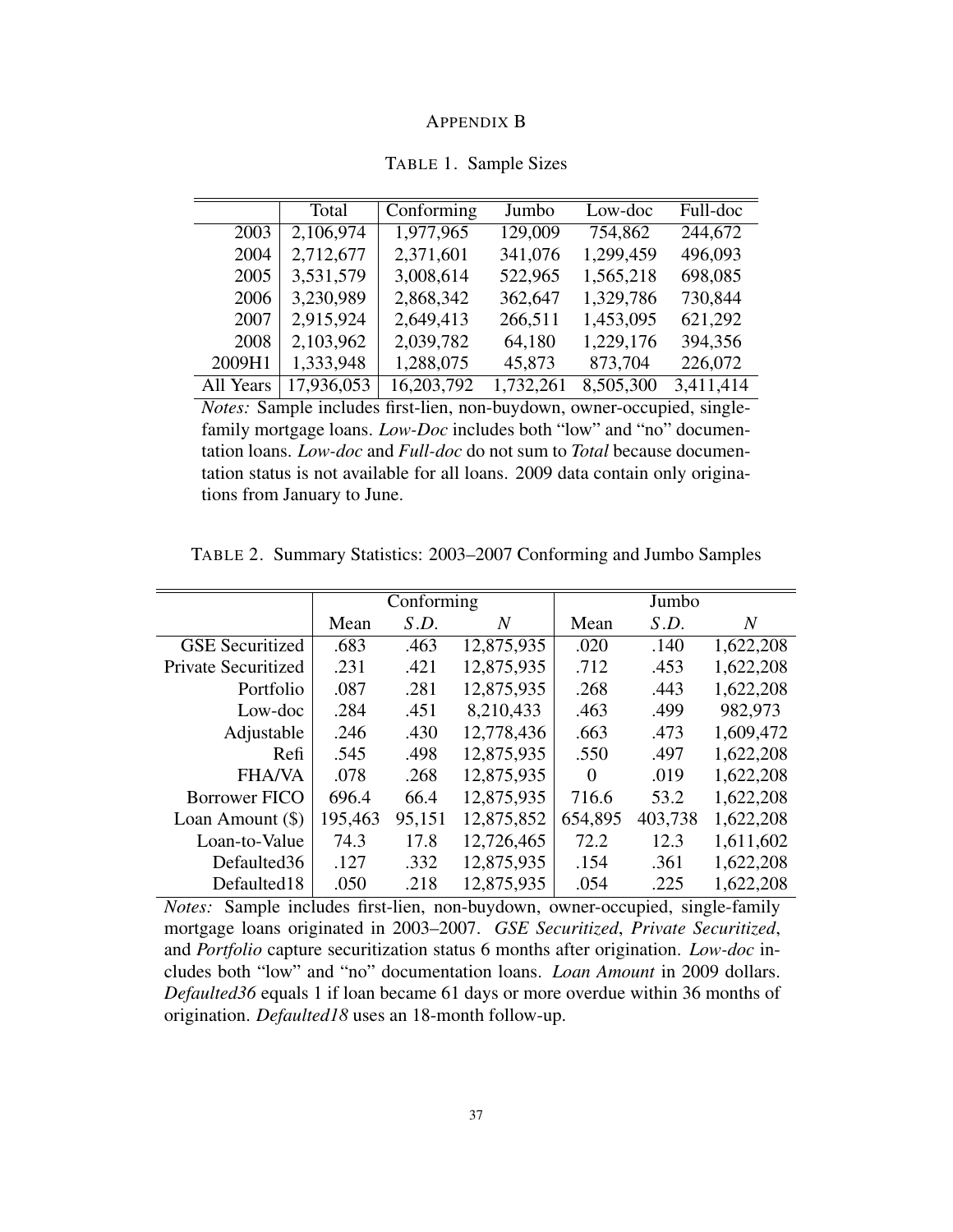| <b>APPENDIX B</b> |  |
|-------------------|--|
|-------------------|--|

|           | Total      | Conforming | Jumbo     | Low-doc   | Full-doc  |
|-----------|------------|------------|-----------|-----------|-----------|
| 2003      | 2,106,974  | 1,977,965  | 129,009   | 754,862   | 244,672   |
| 2004      | 2,712,677  | 2,371,601  | 341,076   | 1,299,459 | 496,093   |
| 2005      | 3,531,579  | 3,008,614  | 522,965   | 1,565,218 | 698,085   |
| 2006      | 3,230,989  | 2,868,342  | 362,647   | 1,329,786 | 730,844   |
| 2007      | 2,915,924  | 2,649,413  | 266,511   | 1,453,095 | 621,292   |
| 2008      | 2,103,962  | 2,039,782  | 64,180    | 1,229,176 | 394,356   |
| 2009H1    | 1,333,948  | 1,288,075  | 45,873    | 873,704   | 226,072   |
| All Years | 17,936,053 | 16,203,792 | 1,732,261 | 8,505,300 | 3,411,414 |

TABLE 1. Sample Sizes

*Notes:* Sample includes first-lien, non-buydown, owner-occupied, singlefamily mortgage loans. *Low-Doc* includes both "low" and "no" documentation loans. *Low-doc* and *Full-doc* do not sum to *Total* because documentation status is not available for all loans. 2009 data contain only originations from January to June.

TABLE 2. Summary Statistics: 2003–2007 Conforming and Jumbo Samples

|                            |         | Conforming |            |          | Jumbo   |                |
|----------------------------|---------|------------|------------|----------|---------|----------------|
|                            | Mean    | S.D.       | N          | Mean     | S.D.    | $\overline{N}$ |
| <b>GSE</b> Securitized     | .683    | .463       | 12,875,935 | .020     | .140    | 1,622,208      |
| <b>Private Securitized</b> | .231    | .421       | 12,875,935 | .712     | .453    | 1,622,208      |
| Portfolio                  | .087    | .281       | 12,875,935 | .268     | .443    | 1,622,208      |
| Low-doc                    | .284    | .451       | 8,210,433  | .463     | .499    | 982,973        |
| Adjustable                 | .246    | .430       | 12,778,436 | .663     | .473    | 1,609,472      |
| Refi                       | .545    | .498       | 12,875,935 | .550     | .497    | 1,622,208      |
| <b>FHA/VA</b>              | .078    | .268       | 12,875,935 | $\Omega$ | .019    | 1,622,208      |
| <b>Borrower FICO</b>       | 696.4   | 66.4       | 12,875,935 | 716.6    | 53.2    | 1,622,208      |
| Loan Amount $(\$)$         | 195,463 | 95,151     | 12,875,852 | 654,895  | 403,738 | 1,622,208      |
| Loan-to-Value              | 74.3    | 17.8       | 12,726,465 | 72.2     | 12.3    | 1,611,602      |
| Defaulted36                | .127    | .332       | 12,875,935 | .154     | .361    | 1,622,208      |
| Defaulted18                | .050    | .218       | 12,875,935 | .054     | .225    | 1,622,208      |

*Notes:* Sample includes first-lien, non-buydown, owner-occupied, single-family mortgage loans originated in 2003–2007. *GSE Securitized*, *Private Securitized*, and *Portfolio* capture securitization status 6 months after origination. *Low-doc* includes both "low" and "no" documentation loans. *Loan Amount* in 2009 dollars. *Defaulted36* equals 1 if loan became 61 days or more overdue within 36 months of origination. *Defaulted18* uses an 18-month follow-up.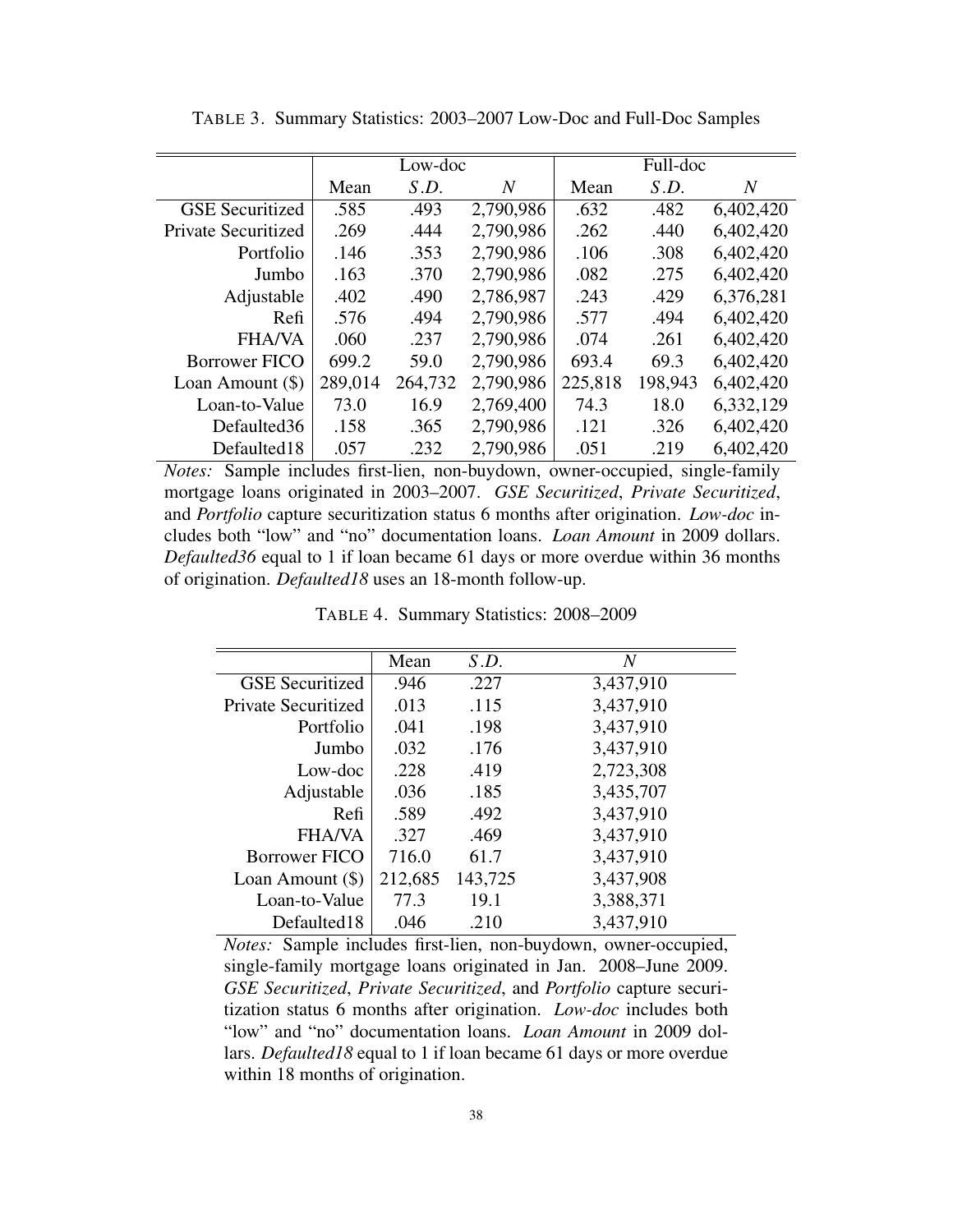|                            |         | Low-doc |           |         | Full-doc |                |
|----------------------------|---------|---------|-----------|---------|----------|----------------|
|                            | Mean    | S.D.    | N         | Mean    | S.D.     | $\overline{N}$ |
| <b>GSE</b> Securitized     | .585    | .493    | 2,790,986 | .632    | .482     | 6,402,420      |
| <b>Private Securitized</b> | .269    | .444    | 2,790,986 | .262    | .440     | 6,402,420      |
| Portfolio                  | .146    | .353    | 2,790,986 | .106    | .308     | 6,402,420      |
| Jumbo                      | .163    | .370    | 2,790,986 | .082    | .275     | 6,402,420      |
| Adjustable                 | .402    | .490    | 2,786,987 | .243    | .429     | 6,376,281      |
| Refi                       | .576    | .494    | 2,790,986 | .577    | .494     | 6,402,420      |
| <b>FHA/VA</b>              | .060    | .237    | 2,790,986 | .074    | .261     | 6,402,420      |
| <b>Borrower FICO</b>       | 699.2   | 59.0    | 2,790,986 | 693.4   | 69.3     | 6,402,420      |
| Loan Amount $(\$)$         | 289,014 | 264,732 | 2,790,986 | 225,818 | 198,943  | 6,402,420      |
| Loan-to-Value              | 73.0    | 16.9    | 2,769,400 | 74.3    | 18.0     | 6,332,129      |
| Defaulted36                | .158    | .365    | 2,790,986 | .121    | .326     | 6,402,420      |
| Defaulted18                | .057    | .232    | 2,790,986 | .051    | .219     | 6,402,420      |

TABLE 3. Summary Statistics: 2003–2007 Low-Doc and Full-Doc Samples

*Notes:* Sample includes first-lien, non-buydown, owner-occupied, single-family mortgage loans originated in 2003–2007. *GSE Securitized*, *Private Securitized*, and *Portfolio* capture securitization status 6 months after origination. *Low-doc* includes both "low" and "no" documentation loans. *Loan Amount* in 2009 dollars. *Defaulted36* equal to 1 if loan became 61 days or more overdue within 36 months of origination. *Defaulted18* uses an 18-month follow-up.

TABLE 4. Summary Statistics: 2008–2009

|                        | Mean    | S.D.    | $\overline{N}$ |
|------------------------|---------|---------|----------------|
| <b>GSE</b> Securitized | .946    | .227    | 3,437,910      |
| Private Securitized    | .013    | .115    | 3,437,910      |
| Portfolio              | .041    | .198    | 3,437,910      |
| Jumbo                  | .032    | .176    | 3,437,910      |
| Low-doc                | .228    | .419    | 2,723,308      |
| Adjustable             | .036    | .185    | 3,435,707      |
| Refi                   | .589    | .492    | 3,437,910      |
| <b>FHA/VA</b>          | .327    | .469    | 3,437,910      |
| <b>Borrower FICO</b>   | 716.0   | 61.7    | 3,437,910      |
| Loan Amount $(\$)$     | 212,685 | 143,725 | 3,437,908      |
| Loan-to-Value          | 77.3    | 19.1    | 3,388,371      |
| Defaulted18            | .046    | .210    | 3,437,910      |

*Notes:* Sample includes first-lien, non-buydown, owner-occupied, single-family mortgage loans originated in Jan. 2008–June 2009. *GSE Securitized*, *Private Securitized*, and *Portfolio* capture securitization status 6 months after origination. *Low-doc* includes both "low" and "no" documentation loans. *Loan Amount* in 2009 dollars. *Defaulted18* equal to 1 if loan became 61 days or more overdue within 18 months of origination.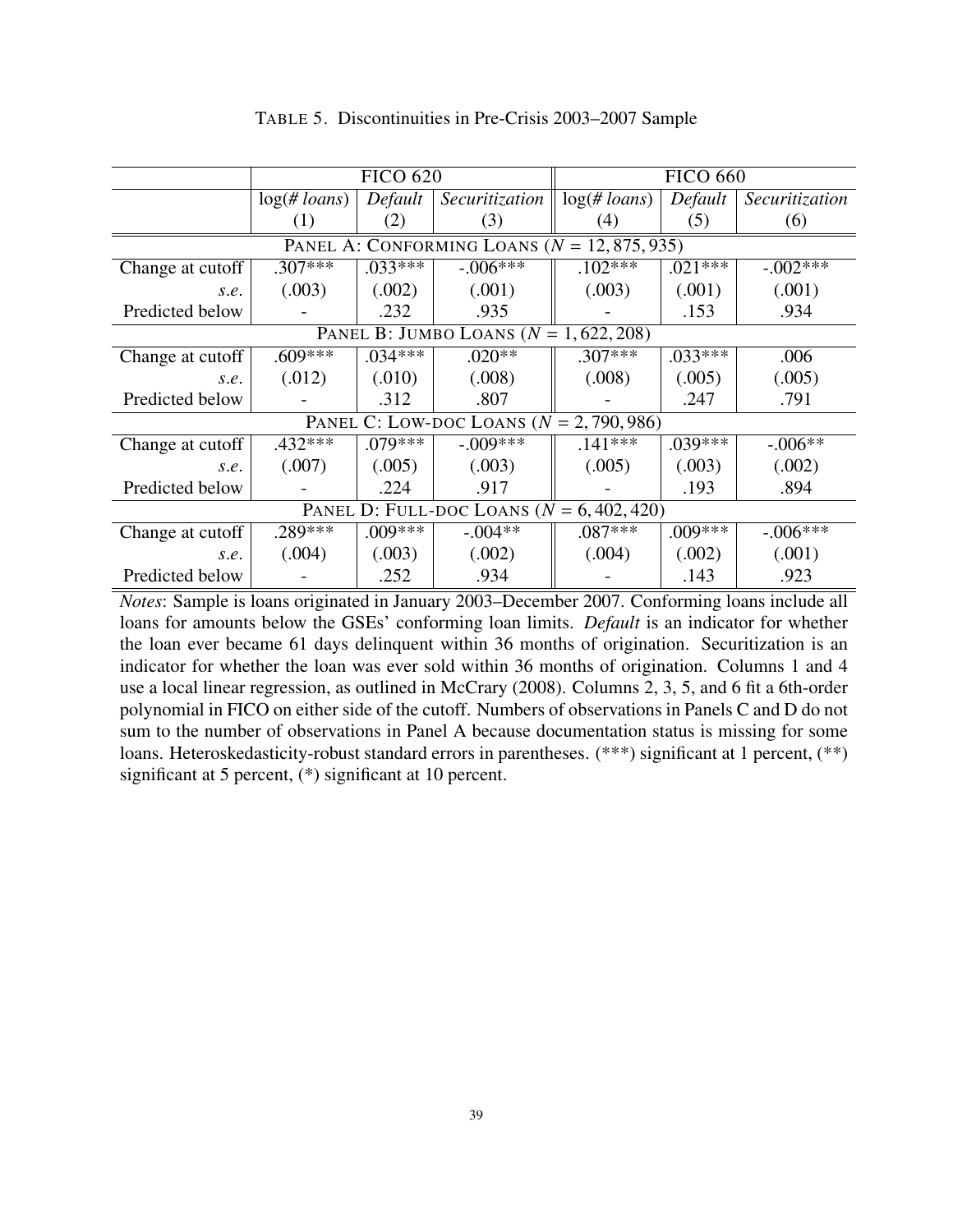|                                                |                             | <b>FICO 620</b> |                                             |                 | <b>FICO 660</b> |                |
|------------------------------------------------|-----------------------------|-----------------|---------------------------------------------|-----------------|-----------------|----------------|
|                                                | $log(H \cdot \text{loans})$ | Default         | Securitization                              | $log(\# loans)$ | Default         | Securitization |
|                                                | (1)                         | (2)             | (3)                                         | (4)             | (5)             | (6)            |
| PANEL A: CONFORMING LOANS $(N = 12, 875, 935)$ |                             |                 |                                             |                 |                 |                |
| Change at cutoff                               | $.307***$                   | $.033***$       | $-.006***$                                  | $.102***$       | $.021***$       | $-.002***$     |
| S.e.                                           | (.003)                      | (.002)          | (.001)                                      | (.003)          | (.001)          | (.001)         |
| Predicted below                                |                             | .232            | .935                                        |                 | .153            | .934           |
|                                                |                             |                 | PANEL B: JUMBO LOANS ( $N = 1,622,208$ )    |                 |                 |                |
| Change at cutoff                               | $.609***$                   | $.034***$       | $.020**$                                    | $.307***$       | $.033***$       | .006           |
| S.e.                                           | (.012)                      | (.010)          | (.008)                                      | (.008)          | (.005)          | (.005)         |
| Predicted below                                |                             | .312            | .807                                        |                 | .247            | .791           |
|                                                |                             |                 | PANEL C: LOW-DOC LOANS ( $N = 2,790,986$ )  |                 |                 |                |
| Change at cutoff                               | $.432***$                   | $.079***$       | $-.009***$                                  | $.141***$       | $.039***$       | $-.006**$      |
| S.e.                                           | (.007)                      | (.005)          | (.003)                                      | (.005)          | (.003)          | (.002)         |
| Predicted below                                |                             | .224            | .917                                        |                 | .193            | .894           |
|                                                |                             |                 | PANEL D: FULL-DOC LOANS $(N = 6, 402, 420)$ |                 |                 |                |
| Change at cutoff                               | .289***                     | $.009***$       | $-.004**$                                   | $.087***$       | $.009***$       | $-.006**$      |
| S.e.                                           | (.004)                      | (.003)          | (.002)                                      | (.004)          | (.002)          | (.001)         |
| Predicted below                                |                             | .252            | .934                                        |                 | .143            | .923           |

TABLE 5. Discontinuities in Pre-Crisis 2003–2007 Sample

*Notes*: Sample is loans originated in January 2003–December 2007. Conforming loans include all loans for amounts below the GSEs' conforming loan limits. *Default* is an indicator for whether the loan ever became 61 days delinquent within 36 months of origination. Securitization is an indicator for whether the loan was ever sold within 36 months of origination. Columns 1 and 4 use a local linear regression, as outlined in McCrary (2008). Columns 2, 3, 5, and 6 fit a 6th-order polynomial in FICO on either side of the cutoff. Numbers of observations in Panels C and D do not sum to the number of observations in Panel A because documentation status is missing for some loans. Heteroskedasticity-robust standard errors in parentheses. (\*\*\*) significant at 1 percent, (\*\*) significant at 5 percent, (\*) significant at 10 percent.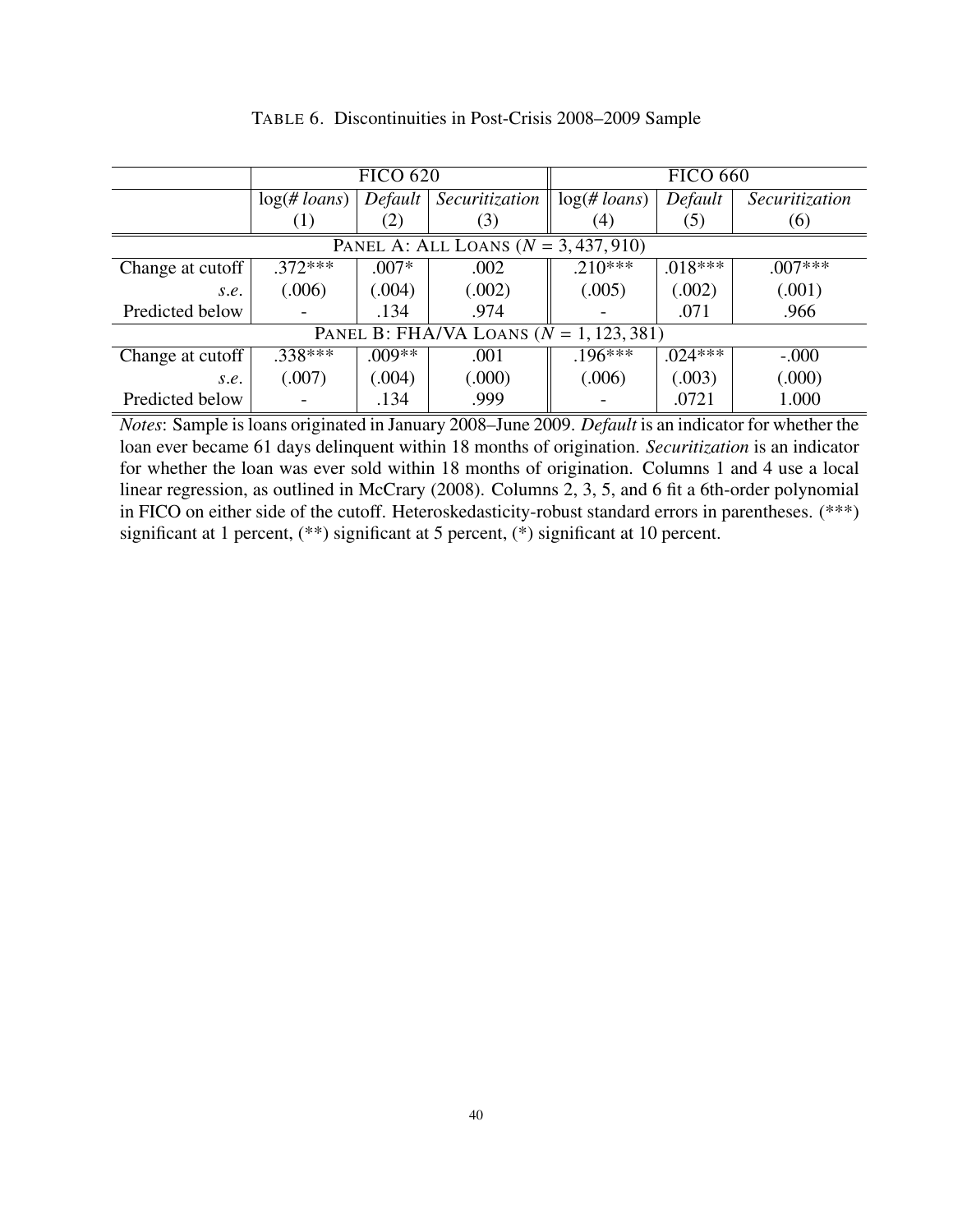|                                             |                 | <b>FICO 620</b> |                                        |                | <b>FICO 660</b> |                |
|---------------------------------------------|-----------------|-----------------|----------------------------------------|----------------|-----------------|----------------|
|                                             | $log(\# loans)$ | Default         | Securitization                         | $log(H$ loans) | Default         | Securitization |
|                                             | (1)             | (2)             | (3)                                    | (4)            | (5)             | (6)            |
|                                             |                 |                 | PANEL A: ALL LOANS ( $N = 3,437,910$ ) |                |                 |                |
| Change at cutoff $ $                        | $.372***$       | $.007*$         | .002                                   | $.210***$      | $.018***$       | $.007***$      |
| S.e.                                        | (.006)          | (.004)          | (.002)                                 | (.005)         | (.002)          | (.001)         |
| Predicted below                             |                 | .134            | .974                                   |                | .071            | .966           |
| PANEL B: FHA/VA LOANS ( $N = 1, 123, 381$ ) |                 |                 |                                        |                |                 |                |
| Change at cutoff                            | $.338***$       | $.009**$        | .001                                   | $.196***$      | $.024***$       | $-.000$        |
| S.e.                                        | (.007)          | (.004)          | (000)                                  | (.006)         | (.003)          | (.000)         |
| Predicted below                             |                 | .134            | .999                                   |                | .0721           | 1.000          |

TABLE 6. Discontinuities in Post-Crisis 2008–2009 Sample

*Notes*: Sample is loans originated in January 2008–June 2009. *Default* is an indicator for whether the loan ever became 61 days delinquent within 18 months of origination. *Securitization* is an indicator for whether the loan was ever sold within 18 months of origination. Columns 1 and 4 use a local linear regression, as outlined in McCrary (2008). Columns 2, 3, 5, and 6 fit a 6th-order polynomial in FICO on either side of the cutoff. Heteroskedasticity-robust standard errors in parentheses. (\*\*\*) significant at 1 percent, (\*\*) significant at 5 percent, (\*) significant at 10 percent.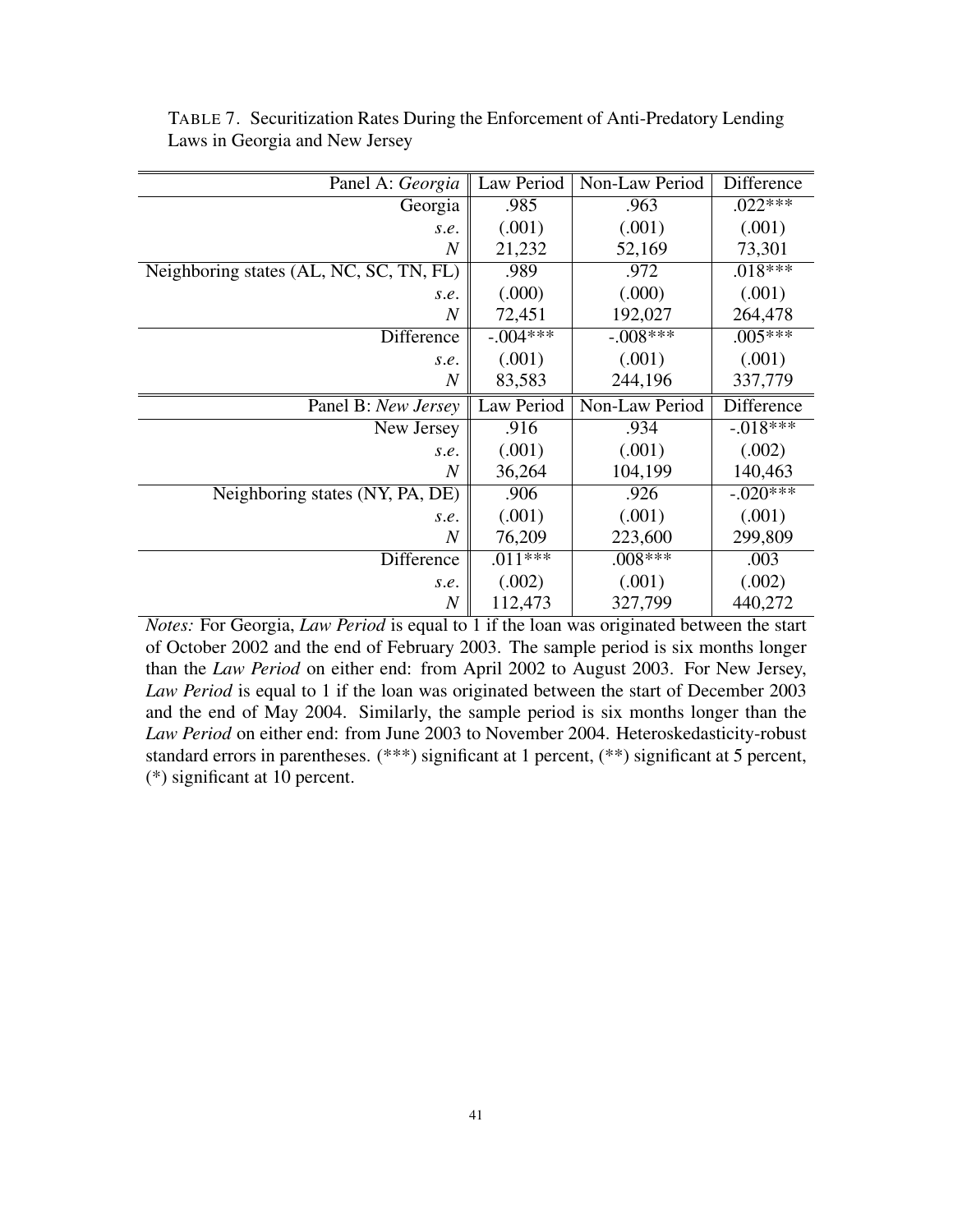| Panel A: Georgia                        | Law Period | Non-Law Period | Difference |
|-----------------------------------------|------------|----------------|------------|
| Georgia                                 | .985       | .963           | $.022***$  |
| s.e.                                    | (.001)     | (.001)         | (.001)     |
| $\overline{N}$                          | 21,232     | 52,169         | 73,301     |
| Neighboring states (AL, NC, SC, TN, FL) | .989       | .972           | $.018***$  |
| s.e.                                    | (.000)     | (.000)         | (.001)     |
| $\overline{N}$                          | 72,451     | 192,027        | 264,478    |
| <b>Difference</b>                       | $-.004***$ | $-.008***$     | $.005***$  |
| s.e.                                    | (.001)     | (.001)         | (.001)     |
| $\overline{N}$                          | 83,583     | 244,196        | 337,779    |
|                                         |            |                |            |
| Panel B: New Jersey                     | Law Period | Non-Law Period | Difference |
| New Jersey                              | .916       | .934           | $-.018***$ |
| s.e.                                    | (.001)     | (.001)         | (.002)     |
| $\boldsymbol{N}$                        | 36,264     | 104,199        | 140,463    |
| Neighboring states (NY, PA, DE)         | .906       | .926           | $-.020***$ |
| s.e.                                    | (.001)     | (.001)         | (.001)     |
| $\overline{N}$                          | 76,209     | 223,600        | 299,809    |
| Difference                              | $.011***$  | $.008***$      | .003       |
| s.e.                                    | (.002)     | (.001)         | (.002)     |

TABLE 7. Securitization Rates During the Enforcement of Anti-Predatory Lending Laws in Georgia and New Jersey

*Notes:* For Georgia, *Law Period* is equal to 1 if the loan was originated between the start of October 2002 and the end of February 2003. The sample period is six months longer than the *Law Period* on either end: from April 2002 to August 2003. For New Jersey, *Law Period* is equal to 1 if the loan was originated between the start of December 2003 and the end of May 2004. Similarly, the sample period is six months longer than the *Law Period* on either end: from June 2003 to November 2004. Heteroskedasticity-robust standard errors in parentheses. (\*\*\*) significant at 1 percent, (\*\*) significant at 5 percent, (\*) significant at 10 percent.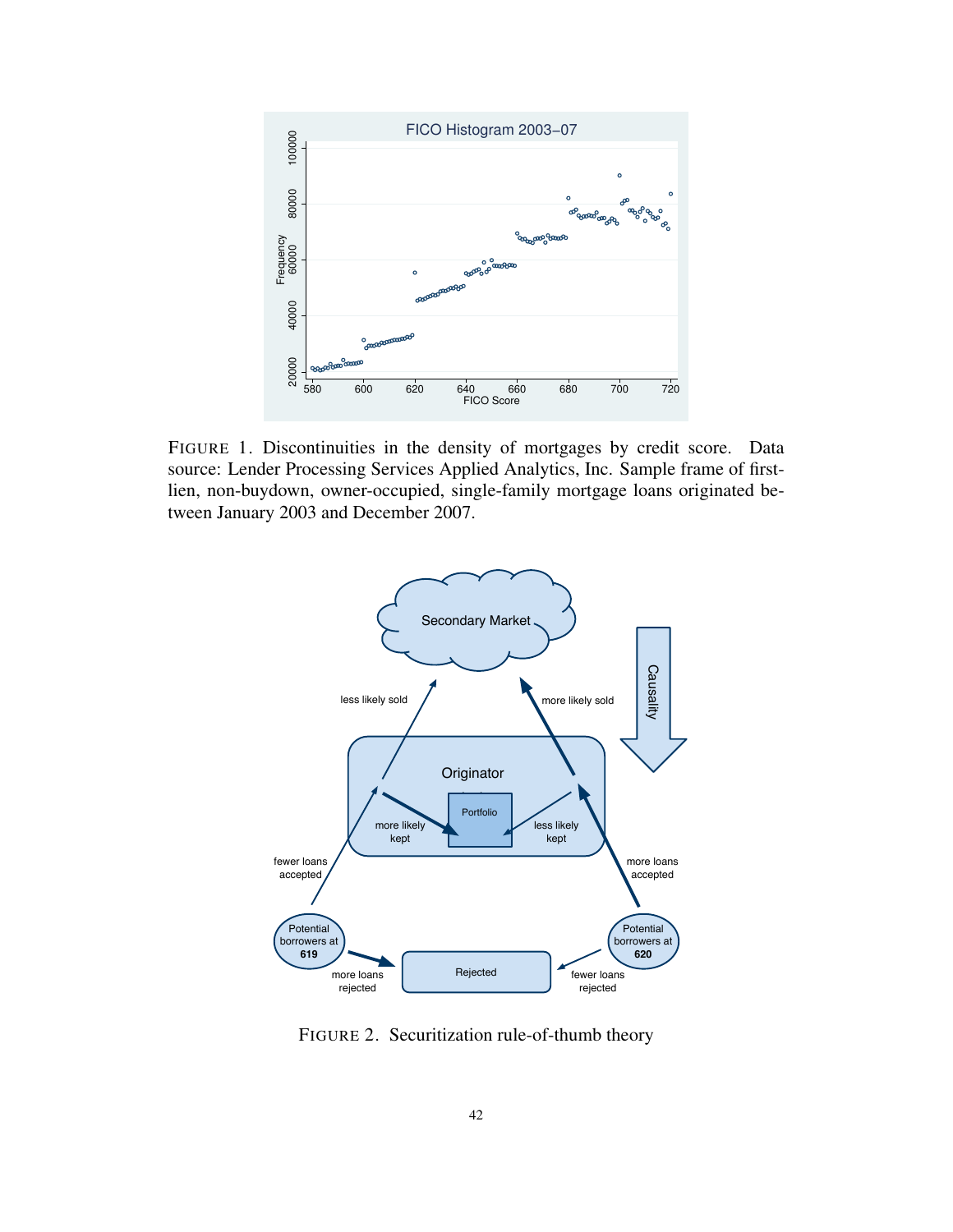

FIGURE 1. Discontinuities in the density of mortgages by credit score. Data source: Lender Processing Services Applied Analytics, Inc. Sample frame of firstlien, non-buydown, owner-occupied, single-family mortgage loans originated between January 2003 and December 2007.



FIGURE 2. Securitization rule-of-thumb theory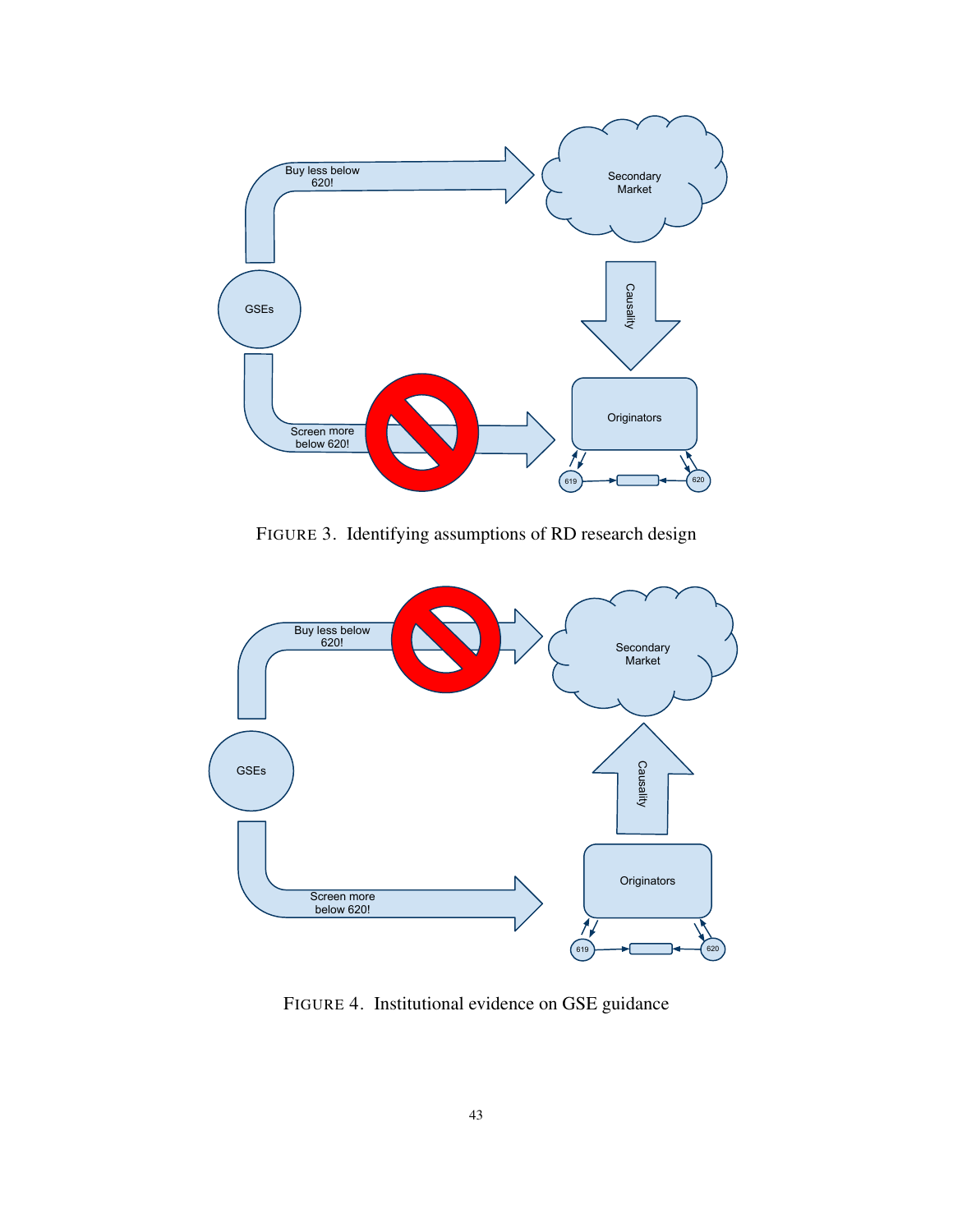

FIGURE 3. Identifying assumptions of RD research design



FIGURE 4. Institutional evidence on GSE guidance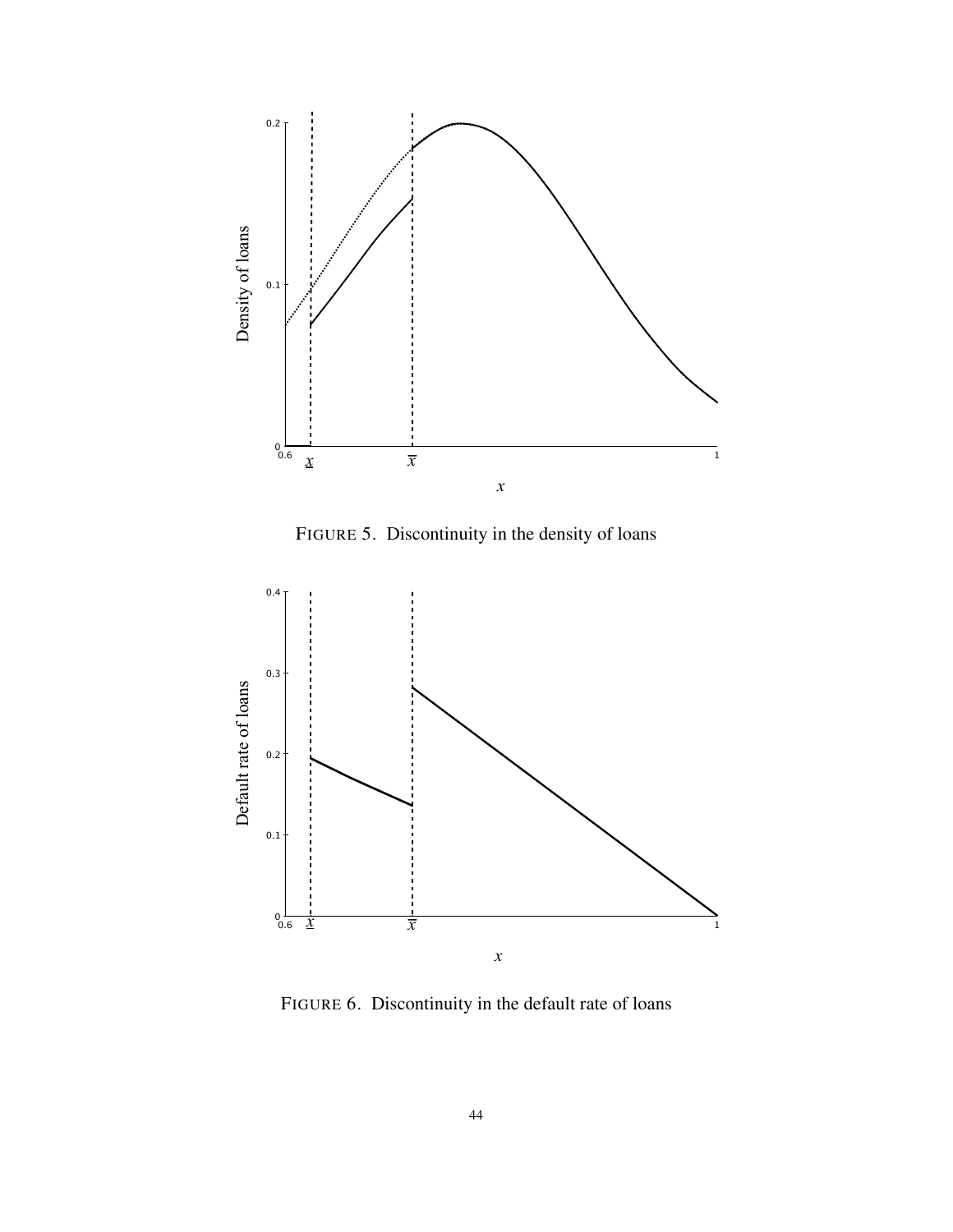

FIGURE 5. Discontinuity in the density of loans



FIGURE 6. Discontinuity in the default rate of loans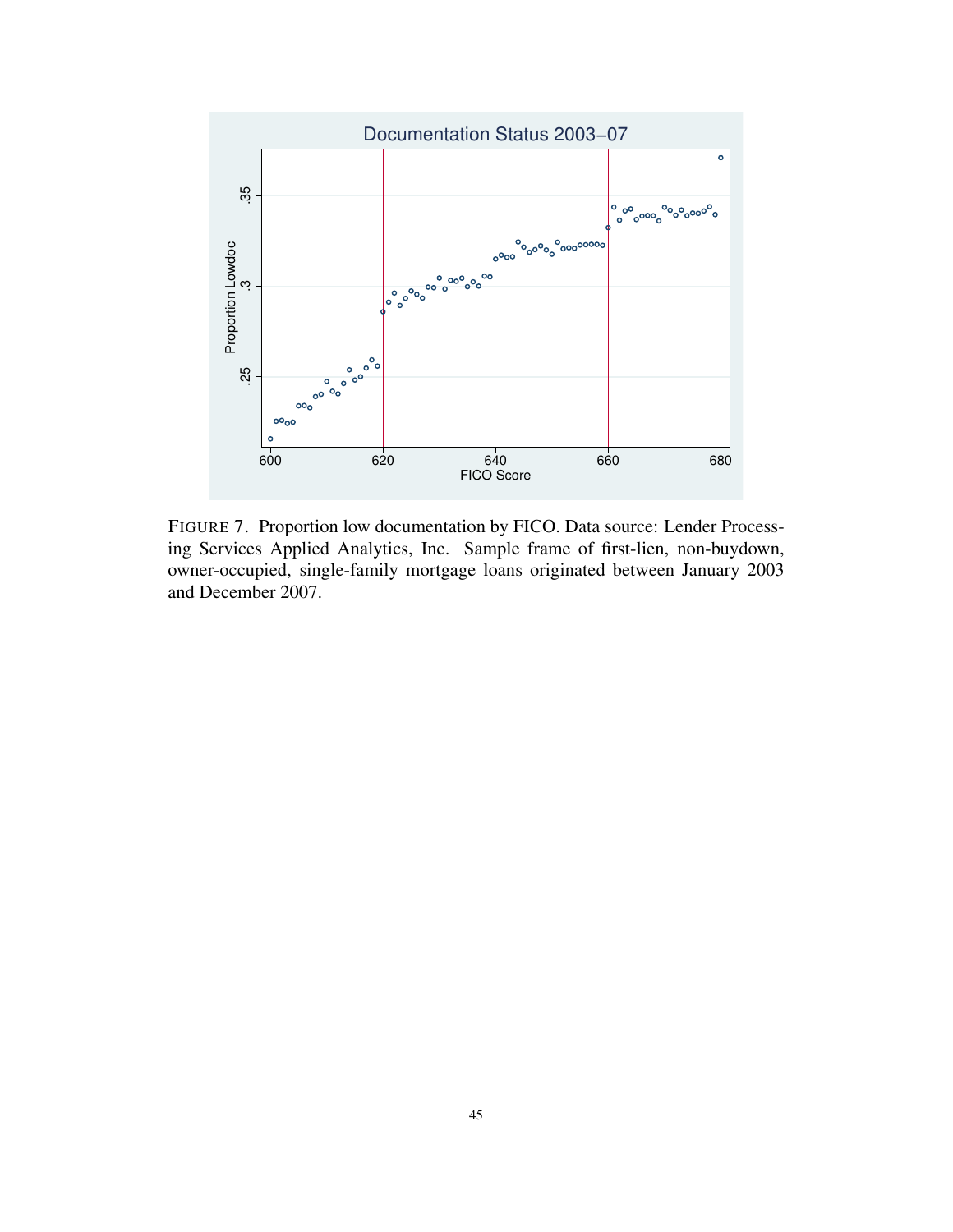

FIGURE 7. Proportion low documentation by FICO. Data source: Lender Processing Services Applied Analytics, Inc. Sample frame of first-lien, non-buydown, owner-occupied, single-family mortgage loans originated between January 2003 and December 2007.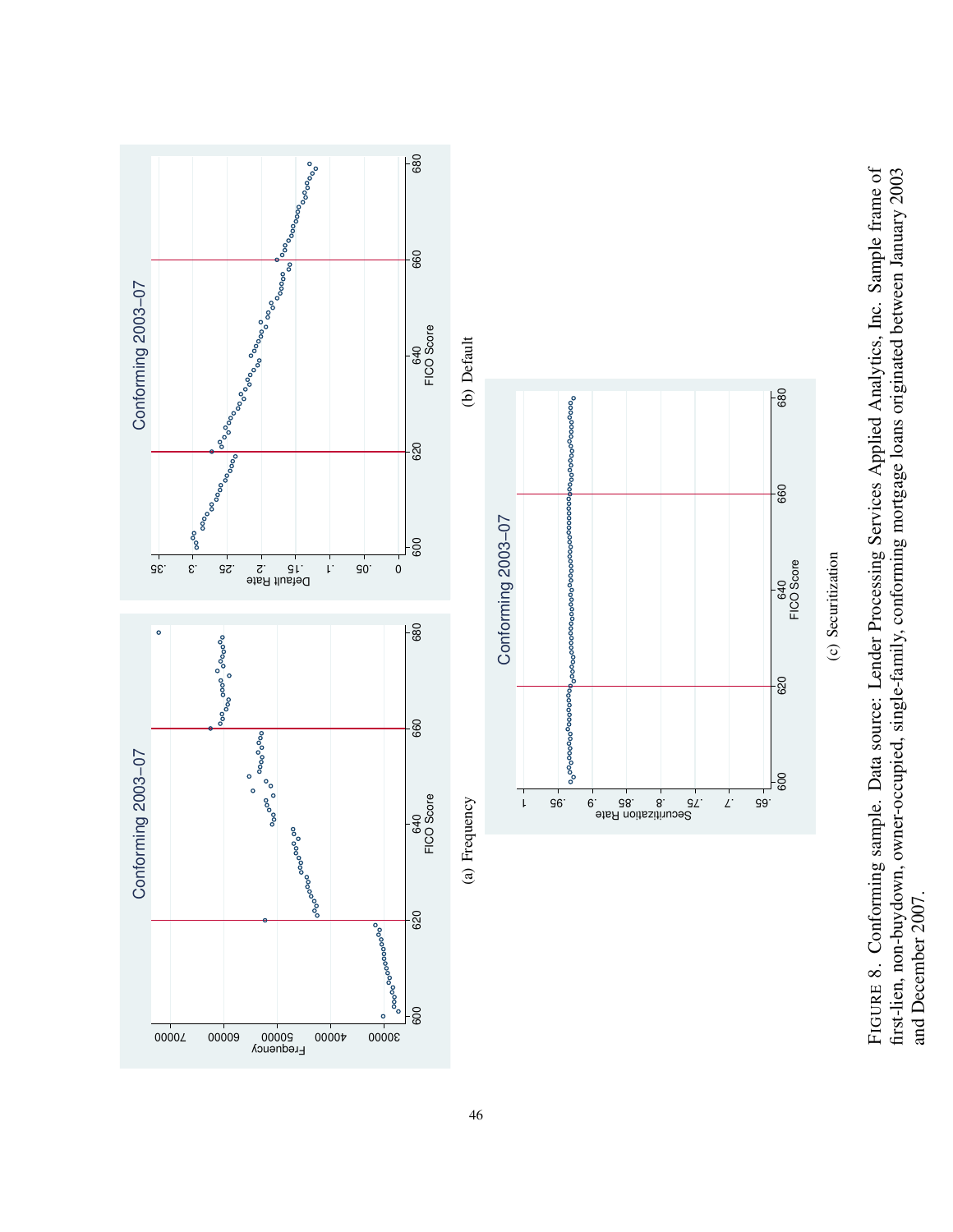FIGURE 8. Conforming sample. Data source: Lender Processing Services Applied Analytics, Inc. Sample frame of first-lien, non-buydown, owner-occupied, single-family, conforming mortgage loans originated between January 2003 FIGURE 8. Conforming sample. Data source: Lender Processing Services Applied Analytics, Inc. Sample frame of first-lien, non-buydown, owner-occupied, single-family, conforming mortgage loans originated between January 2003 and December 2007. and December 2007.

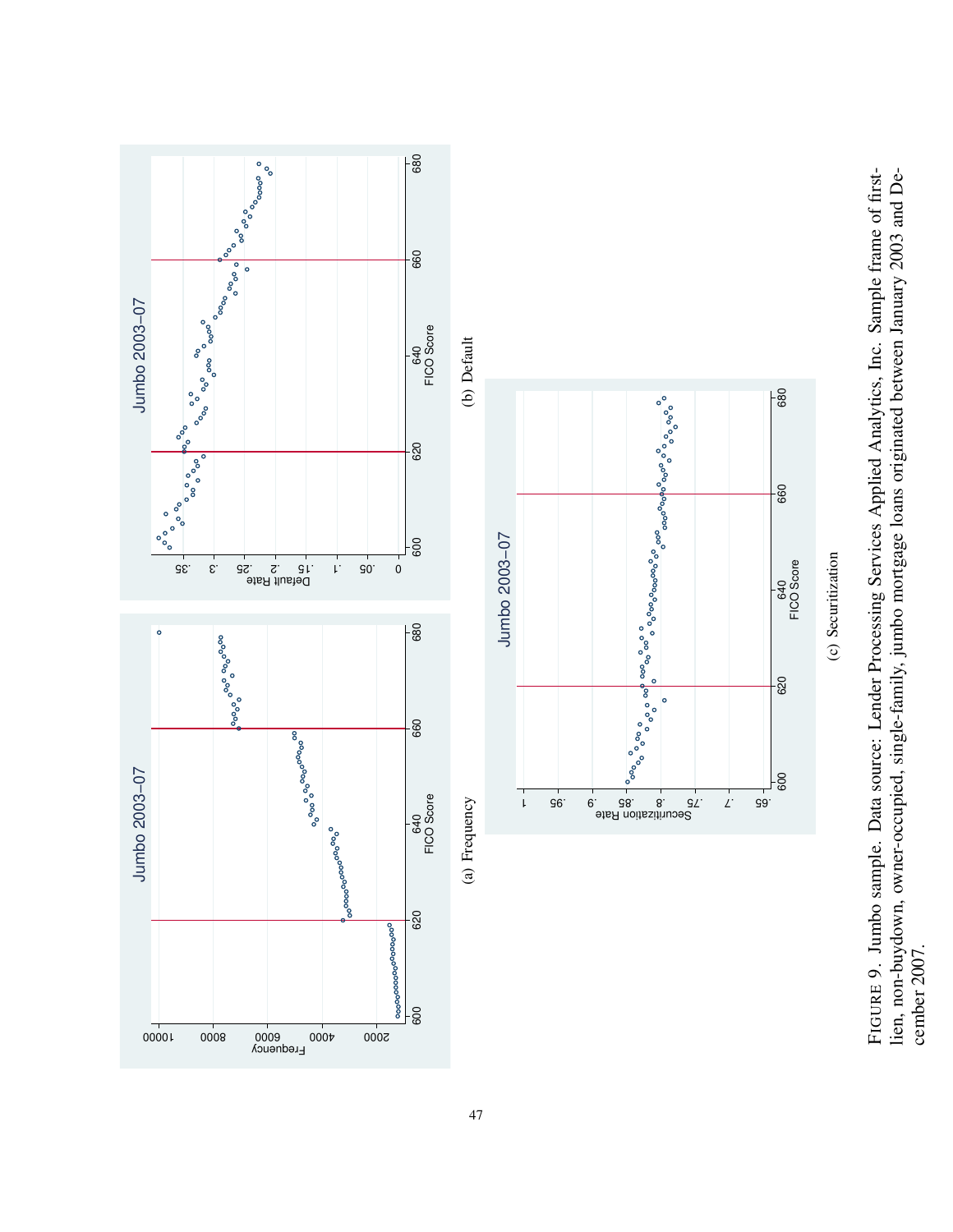FIGURE 9. Jumbo sample. Data source: Lender Processing Services Applied Analytics, Inc. Sample frame of firstlien, non-buydown, owner-occupied, single-family, jumbo mortgage loans originated between January 2003 and De-FIGURE 9. Jumbo sample. Data source: Lender Processing Services Applied Analytics, Inc. Sample frame of firstlien, non-buydown, owner-occupied, single-family, jumbo mortgage loans originated between January 2003 and December 2007. cember 2007.

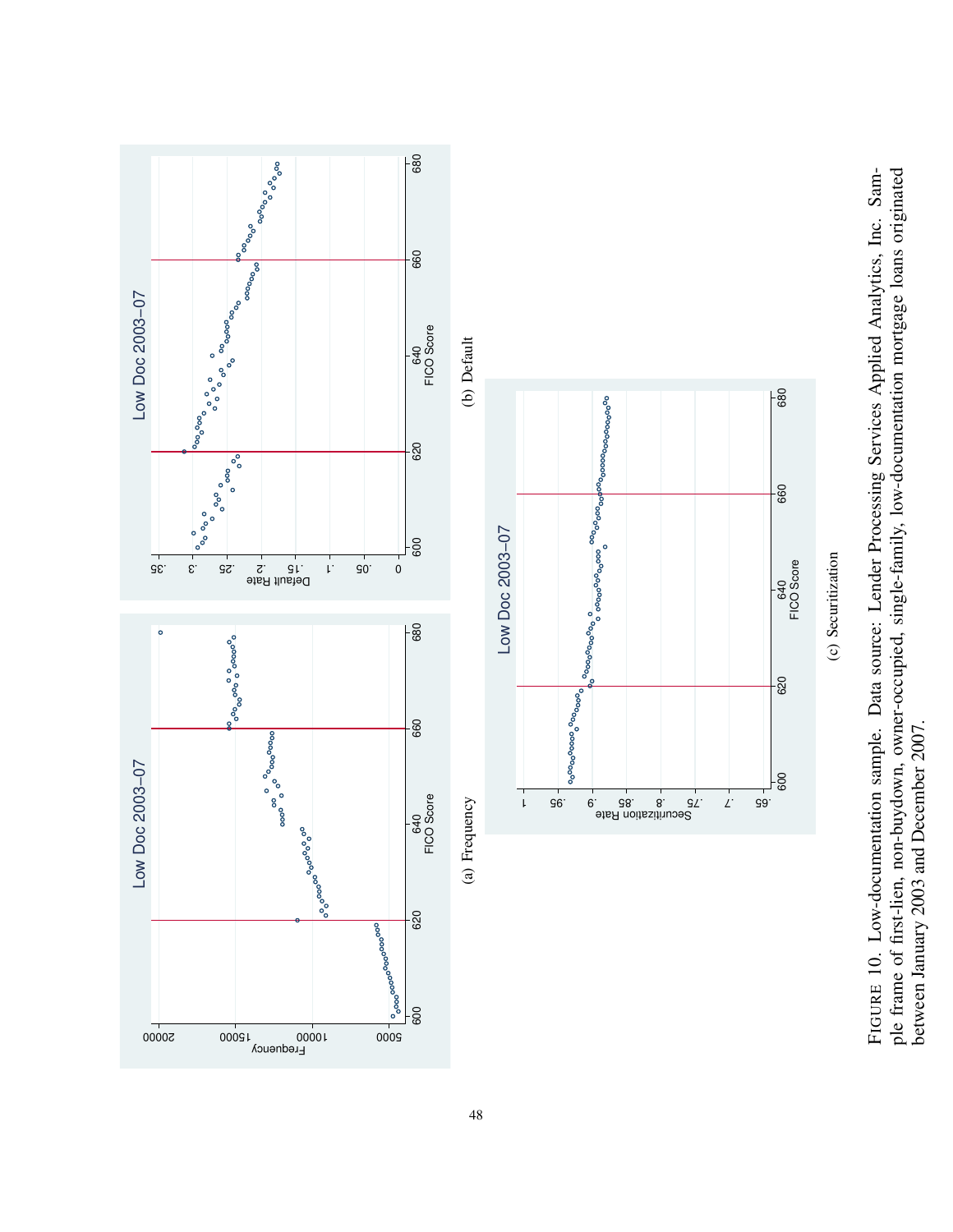FIGURE 10. Low-documentation sample. Data source: Lender Processing Services Applied Analytics, Inc. Sample frame of first-lien, non-buydown, owner-occupied, single-family, low-documentation mortgage loans originated ple frame of first-lien, non-buydown, owner-occupied, single-family, low-documentation mortgage loans originated FIGURE 10. Low-documentation sample. Data source: Lender Processing Services Applied Analytics, Inc. Sambetween January 2003 and December 2007. between January 2003 and December 2007.



48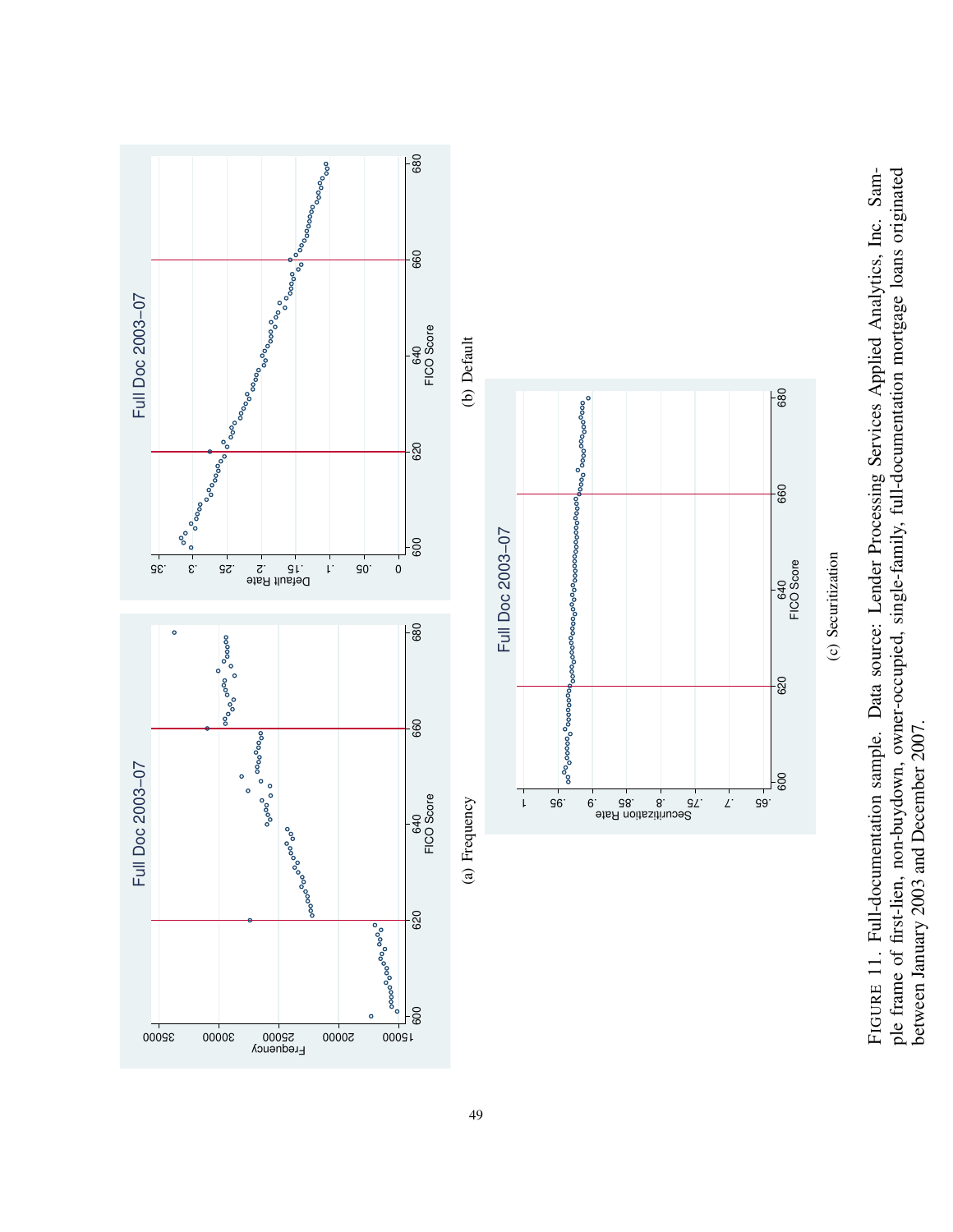FIGURE 11. Full-documentation sample. Data source: Lender Processing Services Applied Analytics, Inc. Sample frame of first-lien, non-buydown, owner-occupied, single-family, full-documentation mortgage loans originated ple frame of first-lien, non-buydown, owner-occupied, single-family, full-documentation mortgage loans originated FIGURE 11. Full-documentation sample. Data source: Lender Processing Services Applied Analytics, Inc. Sambetween January 2003 and December 2007. between January 2003 and December 2007.

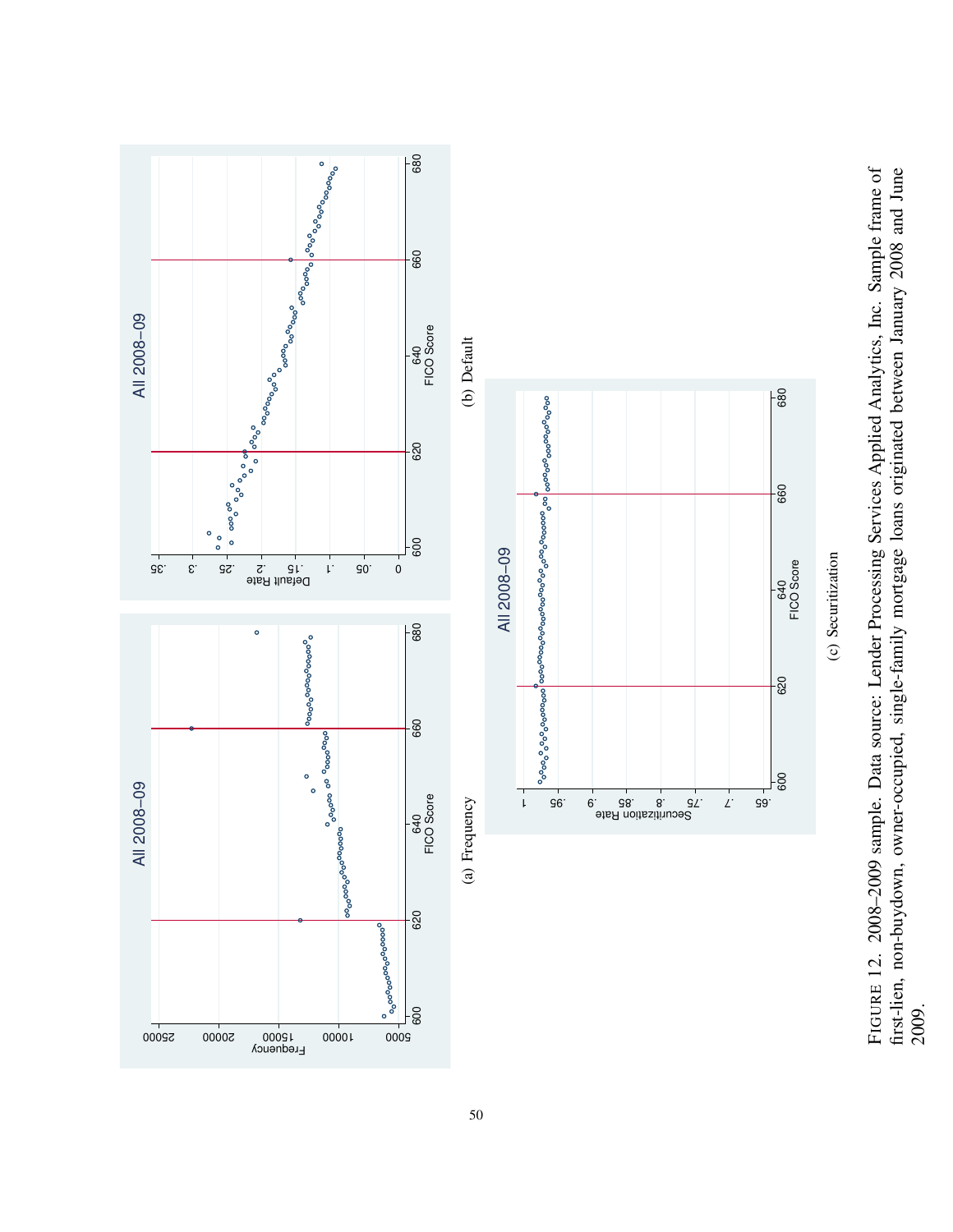FIGURE 12. 2008-2009 sample. Data source: Lender Processing Services Applied Analytics, Inc. Sample frame of first-lien, non-buydown, owner-occupied, single-family mortgage loans originated between January 2008 and June FIGURE 12. 2008–2009 sample. Data source: Lender Processing Services Applied Analytics, Inc. Sample frame of first-lien, non-buydown, owner-occupied, single-family mortgage loans originated between January 2008 and June 2009.

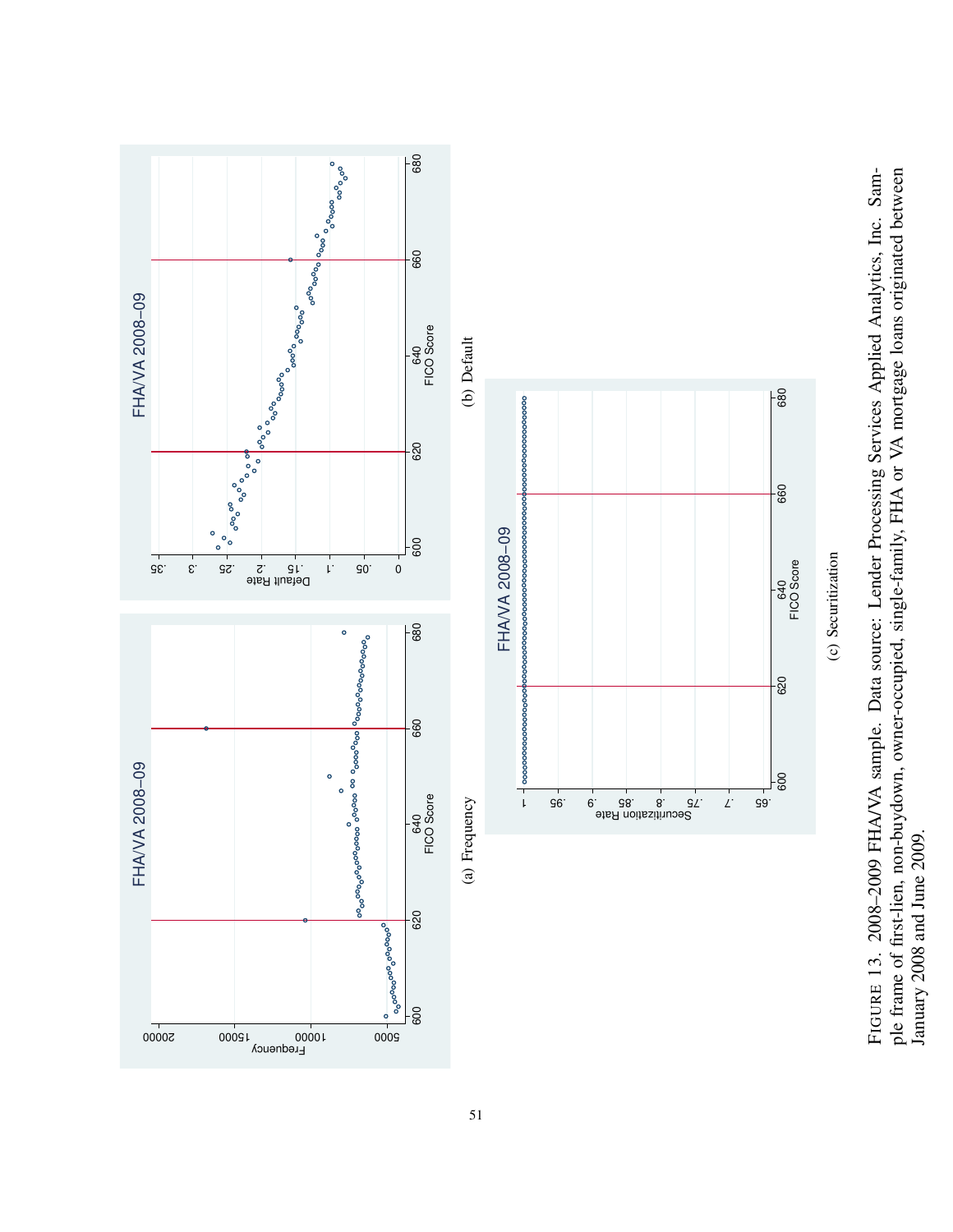FIGURE 13. 2008-2009 FHA/VA sample. Data source: Lender Processing Services Applied Analytics, Inc. Sample frame of first-lien, non-buydown, owner-occupied, single-family, FHA or VA mortgage loans originated between ple frame of first-lien, non-buydown, owner-occupied, single-family, FHA or VA mortgage loans originated between FIGURE 13. 2008–2009 FHA/VA sample. Data source: Lender Processing Services Applied Analytics, Inc. Sam-January 2008 and June 2009. January 2008 and June 2009.

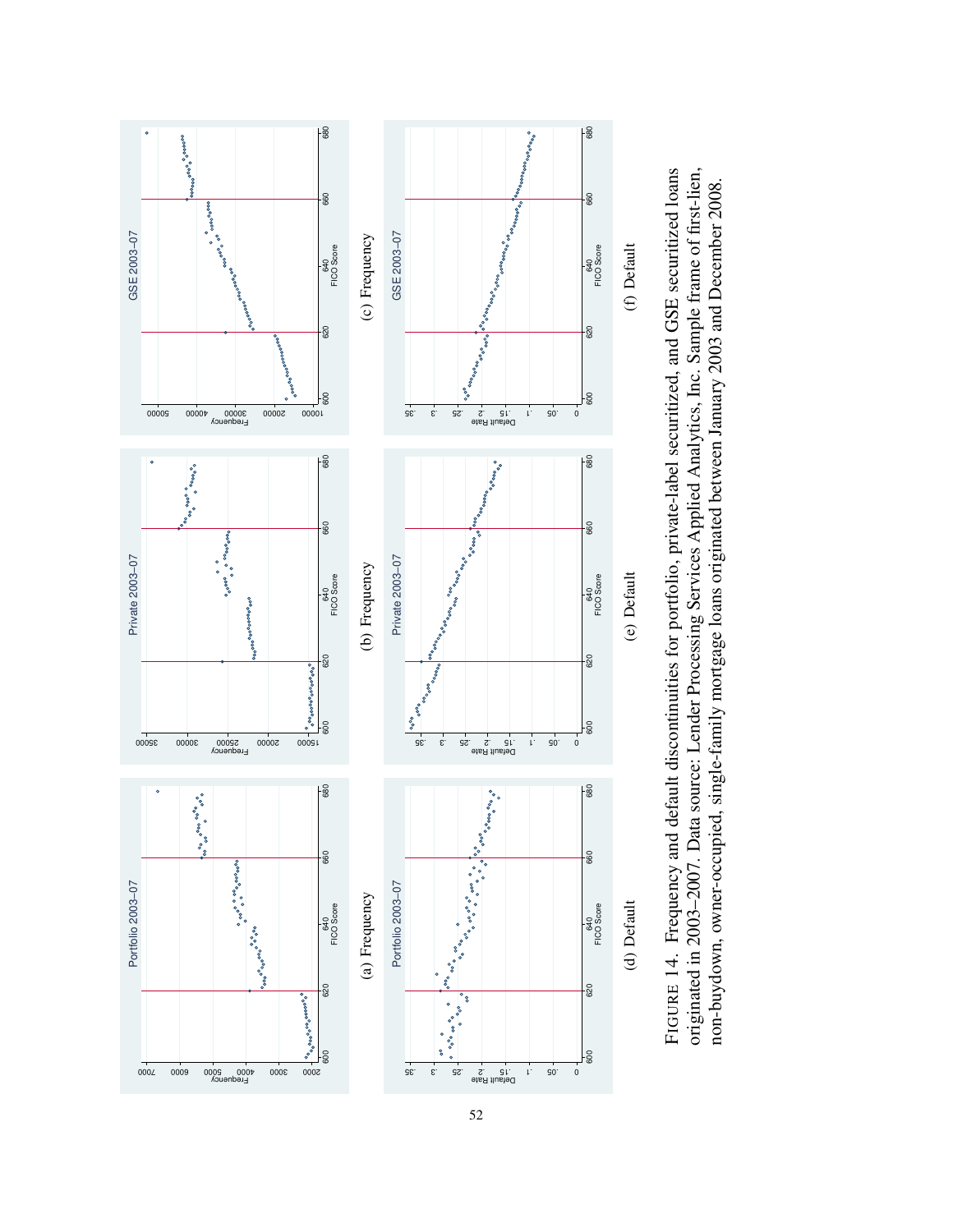



52